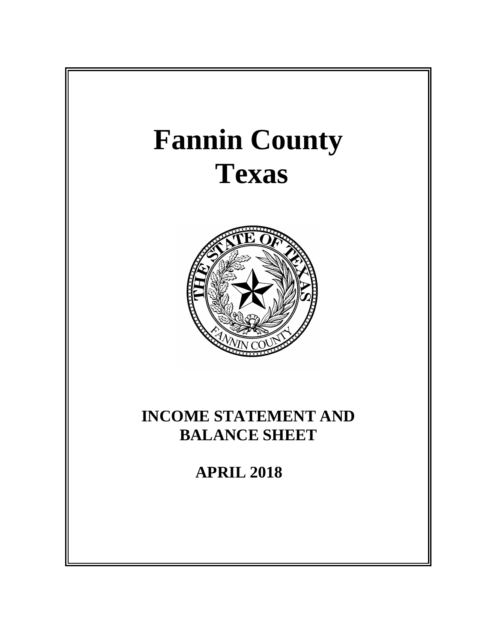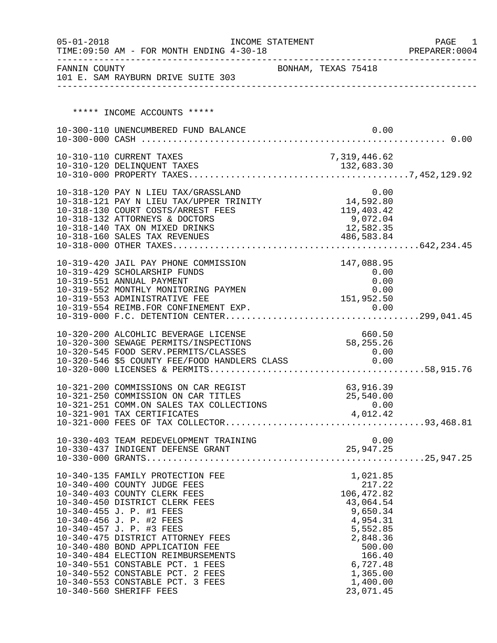| $05 - 01 - 2018$ | TIME: 09:50 AM - FOR MONTH ENDING 4-30-18                                                                                               | INCOME STATEMENT    |                        | PAGE<br>1<br>PREPARER: 0004 |
|------------------|-----------------------------------------------------------------------------------------------------------------------------------------|---------------------|------------------------|-----------------------------|
|                  | FANNIN COUNTY<br>101 E. SAM RAYBURN DRIVE SUITE 303                                                                                     | BONHAM, TEXAS 75418 |                        |                             |
|                  |                                                                                                                                         |                     |                        |                             |
|                  |                                                                                                                                         |                     |                        |                             |
|                  | ***** INCOME ACCOUNTS *****                                                                                                             |                     |                        |                             |
|                  | 10-300-110 UNENCUMBERED FUND BALANCE                                                                                                    |                     | 0.00                   |                             |
|                  |                                                                                                                                         |                     |                        |                             |
|                  | 10-310-110 CURRENT TAXES                                                                                                                |                     | 7,319,446.62           |                             |
|                  |                                                                                                                                         |                     |                        |                             |
|                  |                                                                                                                                         |                     |                        |                             |
|                  | 10-318-120 PAY N LIEU TAX/GRASSLAND                                                                                                     |                     | 0.00                   |                             |
|                  | 10-318-121 PAY N LIEU TAX/UPPER TRINITY 14,592.80                                                                                       |                     |                        |                             |
|                  | 10-318-130 COURT COSTS/ARREST FEES                                                                                                      |                     | 119,403.42<br>0.072.04 |                             |
|                  | 10-318-132 ATTORNEYS & DOCTORS                                                                                                          |                     | 9,072.04<br>12,582.35  |                             |
|                  | 10-318-140 TAX ON MIXED DRINKS<br>10-318-160 SALES TAX REVENUES                                                                         |                     | 486,583.84             |                             |
|                  |                                                                                                                                         |                     |                        |                             |
|                  |                                                                                                                                         |                     |                        |                             |
|                  | 10-319-420 JAIL PAY PHONE COMMISSION                                                                                                    |                     | 147,088.95             |                             |
|                  | 10-319-429 SCHOLARSHIP FUNDS<br>10-319-551 ANNUAL PAYMENT                                                                               |                     | 0.00<br>0.00           |                             |
|                  | 10-319-552 MONTHLY MONITORING PAYMEN                                                                                                    |                     | 0.00                   |                             |
|                  | 10-319-553 ADMINISTRATIVE FEE                                                                                                           |                     | 151,952.50             |                             |
|                  |                                                                                                                                         |                     |                        |                             |
|                  |                                                                                                                                         |                     |                        |                             |
|                  | 10-320-200 ALCOHLIC BEVERAGE LICENSE                                                                                                    |                     | 660.50                 |                             |
|                  | 10-320-300 SEWAGE PERMITS/INSPECTIONS                                                                                                   |                     | 58, 255. 26            |                             |
|                  | 10-320-545 FOOD SERV.PERMITS/CLASSES<br>10-320-545 FOOD SERV.PERMITS/CLASSES 0.00<br>10-320-546 \$5 COUNTY FEE/FOOD HANDLERS CLASS 0.00 |                     | 0.00                   |                             |
|                  |                                                                                                                                         |                     |                        |                             |
|                  |                                                                                                                                         |                     |                        |                             |
|                  | 10-321-200 COMMISSIONS ON CAR REGIST                                                                                                    |                     | 63,916.39              |                             |
|                  | 10-321-250 COMMISSION ON CAR TITLES                                                                                                     |                     | 25,540.00              |                             |
|                  | 10-321-251 COMM.ON SALES TAX COLLECTIONS                                                                                                |                     | 0.00                   |                             |
|                  | 10-321-901 TAX CERTIFICATES                                                                                                             |                     | 4,012.42               |                             |
|                  |                                                                                                                                         |                     |                        |                             |
|                  |                                                                                                                                         |                     |                        |                             |
|                  |                                                                                                                                         |                     |                        |                             |
|                  |                                                                                                                                         |                     |                        |                             |
|                  | 10-340-135 FAMILY PROTECTION FEE                                                                                                        |                     | 1,021.85               |                             |
|                  | 10-340-400 COUNTY JUDGE FEES                                                                                                            |                     | 217.22                 |                             |
|                  | 10-340-403 COUNTY CLERK FEES                                                                                                            |                     | 106,472.82             |                             |
|                  | 10-340-450 DISTRICT CLERK FEES<br>10-340-455 J. P. #1 FEES                                                                              |                     | 43,064.54<br>9,650.34  |                             |
|                  | 10-340-456 J. P. #2 FEES                                                                                                                |                     | 4,954.31               |                             |
|                  | 10-340-457 J. P. #3 FEES                                                                                                                |                     | 5,552.85               |                             |
|                  | 10-340-475 DISTRICT ATTORNEY FEES                                                                                                       |                     | 2,848.36               |                             |
|                  | 10-340-480 BOND APPLICATION FEE                                                                                                         |                     | 500.00                 |                             |
|                  | 10-340-484 ELECTION REIMBURSEMENTS<br>10-340-551 CONSTABLE PCT. 1 FEES                                                                  |                     | 166.40<br>6,727.48     |                             |
|                  | 10-340-552 CONSTABLE PCT. 2 FEES                                                                                                        |                     | 1,365.00               |                             |
|                  | 10-340-553 CONSTABLE PCT. 3 FEES                                                                                                        |                     | 1,400.00               |                             |
|                  | 10-340-560 SHERIFF FEES                                                                                                                 |                     | 23,071.45              |                             |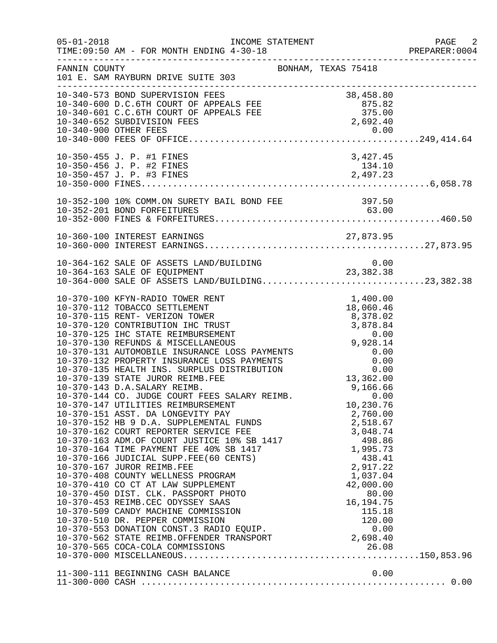| $05 - 01 - 2018$ | INCOME STATEMENT<br>TIME: 09:50 AM - FOR MONTH ENDING 4-30-18                                                                                                                                                                                                                                                                                                                                                                                                                                                                                                                                                                                                                                                                                                                                                                                                                                                                                                                                                                                                                                                                                                                                                                                                                                                              |                                                                                                                                                                                                 | PAGE 2<br>PREPARER: 0004 |
|------------------|----------------------------------------------------------------------------------------------------------------------------------------------------------------------------------------------------------------------------------------------------------------------------------------------------------------------------------------------------------------------------------------------------------------------------------------------------------------------------------------------------------------------------------------------------------------------------------------------------------------------------------------------------------------------------------------------------------------------------------------------------------------------------------------------------------------------------------------------------------------------------------------------------------------------------------------------------------------------------------------------------------------------------------------------------------------------------------------------------------------------------------------------------------------------------------------------------------------------------------------------------------------------------------------------------------------------------|-------------------------------------------------------------------------------------------------------------------------------------------------------------------------------------------------|--------------------------|
| FANNIN COUNTY    | BONHAM, TEXAS 75418<br>101 E. SAM RAYBURN DRIVE SUITE 303                                                                                                                                                                                                                                                                                                                                                                                                                                                                                                                                                                                                                                                                                                                                                                                                                                                                                                                                                                                                                                                                                                                                                                                                                                                                  |                                                                                                                                                                                                 |                          |
|                  | 10-340-573 BOND SUPERVISION FEES<br>10-340-600 D.C.6TH COURT OF APPEALS FEE 875.82<br>10-340-601 C.C.6TH COURT OF APPEALS FEE 875.82<br>10-340-652 SUBDIVISION FEES 2,692.40<br>10-340-652 SUBDIVISION FEES 2,692.40<br>10-340-662 SUBDI                                                                                                                                                                                                                                                                                                                                                                                                                                                                                                                                                                                                                                                                                                                                                                                                                                                                                                                                                                                                                                                                                   |                                                                                                                                                                                                 |                          |
|                  | 10-350-455 J. P. #1 FINES<br>10-350-456 J. P. #2 FINES                                                                                                                                                                                                                                                                                                                                                                                                                                                                                                                                                                                                                                                                                                                                                                                                                                                                                                                                                                                                                                                                                                                                                                                                                                                                     | 3,427.45<br>134.10                                                                                                                                                                              |                          |
|                  |                                                                                                                                                                                                                                                                                                                                                                                                                                                                                                                                                                                                                                                                                                                                                                                                                                                                                                                                                                                                                                                                                                                                                                                                                                                                                                                            |                                                                                                                                                                                                 |                          |
|                  |                                                                                                                                                                                                                                                                                                                                                                                                                                                                                                                                                                                                                                                                                                                                                                                                                                                                                                                                                                                                                                                                                                                                                                                                                                                                                                                            |                                                                                                                                                                                                 |                          |
|                  | 10-364-162 SALE OF ASSETS LAND/BUILDING<br>10-364-162 SALE OF ASSETS LAND/BUILDING 0.00<br>10-364-163 SALE OF EQUIPMENT 23,382.38<br>10-364-000 SALE OF ASSETS LAND/BUILDING23,382.38                                                                                                                                                                                                                                                                                                                                                                                                                                                                                                                                                                                                                                                                                                                                                                                                                                                                                                                                                                                                                                                                                                                                      | 0.00                                                                                                                                                                                            |                          |
|                  | 10-370-100 KFYN-RADIO TOWER RENT<br>10-370-112 TOBACCO SETTLEMENT<br>10-370-115 RENT- VERIZON TOWER<br>10-370-120 CONTRIBUTION IHC TRUST<br>10-370-125 IHC STATE REIMBURSEMENT 3,878.84<br>10-370-130 REFUNDS & MISCELLANEOUS 9,928.14<br>10-370-131 AUTOMOBILE INSURANCE LOSS PAYMENTS 0.00<br>10-370-132 PROPERTY INSURANCE LOSS PAYMENTS 0<br>10-370-139 STATE JUROR REIMB.FEE<br>10-370-143 D.A.SALARY REIMB.<br>10-370-143 D.A.SALARY REIMB.<br>10-370-144 CO. JUDGE COURT FEES SALARY REIMB.<br>10-370-147 UTILITIES REIMBURSEMENT<br>10-370-151 ASST. DA LONGEVITY PAY<br>10-370-152 HB 9 D.A. SUPPLEMENTAL FUNDS<br>10-370-162 COURT REPORTER SERVICE FEE 3,048.74<br>10-370-163 ADM.OF COURT JUSTICE 10% SB 1417 498.86<br>10-370-164 TIME PAYMENT FEE 40% SB 1417 1,995.73<br>10-370-166 JUDICIAL SUPP.FEE(60<br>10-370-166 JUDICIAL SUPP.FEE(60 CENTS)<br>10-370-167 JUROR REIMB.FEE<br>10-370-408 COUNTY WELLNESS PROGRAM<br>10-370-410 CO CT AT LAW SUPPLEMENT<br>10-370-450 DIST. CLK. PASSPORT PHOTO<br>10-370-453 REIMB.CEC ODYSSEY SAAS<br>10-370-509 CANDY MACHINE COMMISSION<br>10-370-510 DR. PEPPER COMMISSION<br>10-370-510 DR. PEPPER COMMISSION 120.00<br>10-370-553 DONATION CONST.3 RADIO EQUIP. (0.00<br>10-370-562 STATE REIMB.OFFENDER TRANSPORT 2,698.40<br>10-370-565 COCA-COLA COMMISSIONS | 1,400.00<br>18,060.46<br>8,378.02<br>13,362.00<br>9,166.66<br>0.00<br>10,230.76<br>2,760.00<br>438.41<br>2,917.22<br>1,037.04<br>42,000.00<br>80.00<br>16, 194. 75<br>115.18<br>120.00<br>26.08 |                          |
|                  | 11-300-111 BEGINNING CASH BALANCE                                                                                                                                                                                                                                                                                                                                                                                                                                                                                                                                                                                                                                                                                                                                                                                                                                                                                                                                                                                                                                                                                                                                                                                                                                                                                          | 0.00                                                                                                                                                                                            |                          |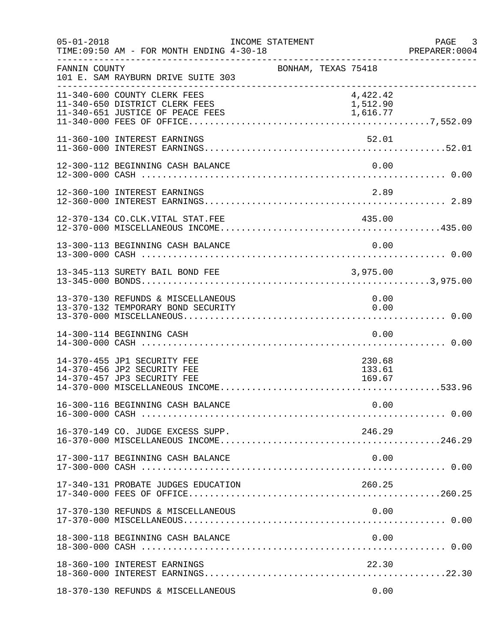| $05 - 01 - 2018$ | TIME: 09:50 AM - FOR MONTH ENDING 4-30-18                                                 | INCOME STATEMENT |                     |                            |      | PAGE 3 |
|------------------|-------------------------------------------------------------------------------------------|------------------|---------------------|----------------------------|------|--------|
| FANNIN COUNTY    | 101 E. SAM RAYBURN DRIVE SUITE 303                                                        |                  | BONHAM, TEXAS 75418 |                            |      |        |
|                  | 11-340-600 COUNTY CLERK FEES<br>11-340-650 DISTRICT CLERK FEES                            |                  |                     | 4,422.42<br>1,512.90       |      |        |
|                  | 11-360-100 INTEREST EARNINGS                                                              |                  |                     | 52.01                      |      |        |
|                  | 12-300-112 BEGINNING CASH BALANCE                                                         |                  |                     |                            | 0.00 |        |
|                  | 12-360-100 INTEREST EARNINGS                                                              |                  |                     | 2.89                       |      |        |
|                  | 12-370-134 CO.CLK.VITAL STAT.FEE                                                          |                  |                     | 435.00                     |      |        |
|                  | 13-300-113 BEGINNING CASH BALANCE                                                         |                  |                     |                            | 0.00 |        |
|                  | 13-345-113 SURETY BAIL BOND FEE                                                           |                  | 3,975.00            |                            |      |        |
|                  | 13-370-130 REFUNDS & MISCELLANEOUS<br>13-370-132 TEMPORARY BOND SECURITY                  |                  |                     | 0.00<br>0.00               |      |        |
|                  | 14-300-114 BEGINNING CASH                                                                 |                  |                     |                            | 0.00 |        |
|                  | 14-370-455 JP1 SECURITY FEE<br>14-370-456 JP2 SECURITY FEE<br>14-370-457 JP3 SECURITY FEE |                  |                     | 230.68<br>133.61<br>169.67 |      |        |
|                  |                                                                                           |                  |                     |                            |      |        |
|                  | 16-370-149 CO. JUDGE EXCESS SUPP.                                                         |                  |                     | 246.29                     |      |        |
|                  | 17-300-117 BEGINNING CASH BALANCE                                                         |                  |                     |                            | 0.00 |        |
|                  | 17-340-131 PROBATE JUDGES EDUCATION                                                       |                  |                     | 260.25                     |      |        |
|                  | 17-370-130 REFUNDS & MISCELLANEOUS                                                        |                  |                     | 0.00                       |      |        |
|                  | 18-300-118 BEGINNING CASH BALANCE                                                         |                  |                     |                            | 0.00 |        |
|                  | 18-360-100 INTEREST EARNINGS                                                              |                  |                     | 22.30                      |      |        |
|                  | 18-370-130 REFUNDS & MISCELLANEOUS                                                        |                  |                     |                            | 0.00 |        |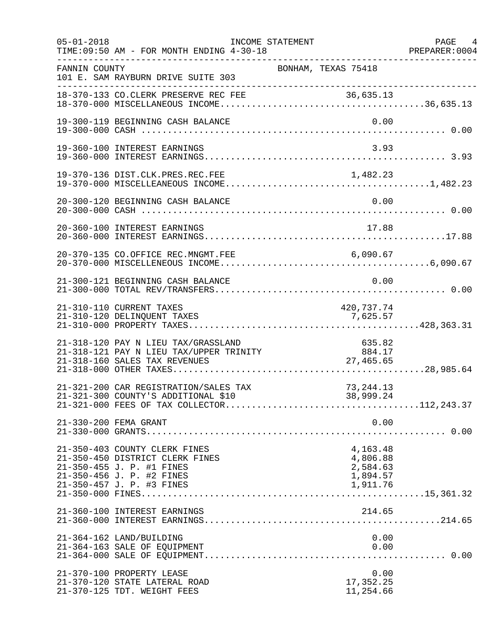| $05 - 01 - 2018$<br>___________________ | TIME: 09:50 AM - FOR MONTH ENDING 4-30-18<br>____________________                                                                                       | INCOME STATEMENT |                                                          | PAGE 4<br>PREPARER: 0004 |
|-----------------------------------------|---------------------------------------------------------------------------------------------------------------------------------------------------------|------------------|----------------------------------------------------------|--------------------------|
| FANNIN COUNTY                           | 101 E. SAM RAYBURN DRIVE SUITE 303                                                                                                                      |                  | BONHAM, TEXAS 75418                                      |                          |
|                                         |                                                                                                                                                         |                  |                                                          |                          |
|                                         | 19-300-119 BEGINNING CASH BALANCE                                                                                                                       |                  | 0.00                                                     |                          |
|                                         | 19-360-100 INTEREST EARNINGS                                                                                                                            |                  | 3.93                                                     |                          |
|                                         |                                                                                                                                                         |                  |                                                          |                          |
|                                         | 20-300-120 BEGINNING CASH BALANCE                                                                                                                       |                  | 0.00                                                     |                          |
|                                         | 20-360-100 INTEREST EARNINGS                                                                                                                            |                  | 17.88                                                    |                          |
|                                         | 20-370-135 CO.OFFICE REC.MNGMT.FEE                                                                                                                      |                  |                                                          |                          |
|                                         | 21-300-121 BEGINNING CASH BALANCE                                                                                                                       |                  | 0.00                                                     |                          |
|                                         | 21-310-110 CURRENT TAXES<br>21-310-120 DELINQUENT TAXES                                                                                                 |                  | 420,737.74<br>7,625.57                                   |                          |
|                                         | 21-318-120 PAY N LIEU TAX/GRASSLAND<br>21-318-121 PAY N LIEU TAX/UPPER TRINITY<br>21-318-160 SALES TAX REVENUES                                         |                  | 635.82<br>535.82<br>INITY 884.17<br>27,465.65            |                          |
|                                         | 21-321-200 CAR REGISTRATION/SALES TAX<br>21-321-300 COUNTY'S ADDITIONAL \$10                                                                            |                  | 73, 244. 13<br>38,999.24                                 |                          |
|                                         | 21-330-200 FEMA GRANT                                                                                                                                   |                  | 0.00                                                     |                          |
|                                         | 21-350-403 COUNTY CLERK FINES<br>21-350-450 DISTRICT CLERK FINES<br>21-350-455 J. P. #1 FINES<br>21-350-456 J. P. #2 FINES<br>21-350-457 J. P. #3 FINES |                  | 4,163.48<br>4,806.88<br>2,584.63<br>1,894.57<br>1,911.76 |                          |
|                                         | 21-360-100 INTEREST EARNINGS                                                                                                                            |                  | 214.65                                                   |                          |
|                                         | 21-364-162 LAND/BUILDING<br>21-364-163 SALE OF EQUIPMENT                                                                                                |                  | 0.00<br>0.00                                             |                          |
|                                         | 21-370-100 PROPERTY LEASE<br>21-370-120 STATE LATERAL ROAD<br>21-370-125 TDT. WEIGHT FEES                                                               |                  | 0.00<br>17,352.25<br>11,254.66                           |                          |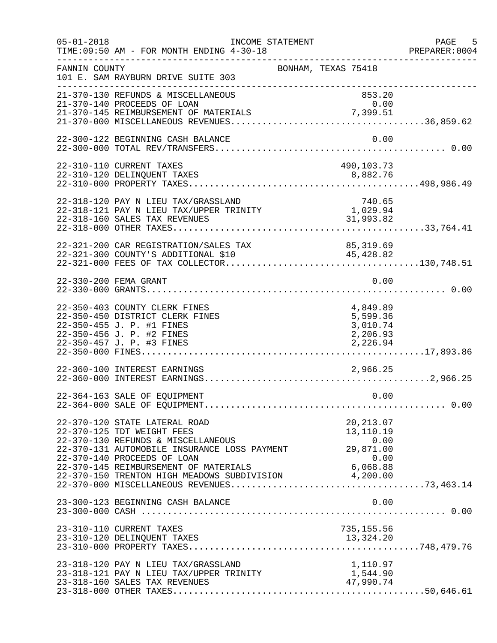| $05 - 01 - 2018$ | INCOME STATEMENT<br>TIME: 09:50 AM - FOR MONTH ENDING 4-30-18                                                                                                                                                                                                                              |                                                              | PAGE 5<br>PREPARER:0004 |
|------------------|--------------------------------------------------------------------------------------------------------------------------------------------------------------------------------------------------------------------------------------------------------------------------------------------|--------------------------------------------------------------|-------------------------|
| FANNIN COUNTY    | 101 E. SAM RAYBURN DRIVE SUITE 303<br>-----------------------------                                                                                                                                                                                                                        | BONHAM, TEXAS 75418                                          |                         |
|                  | 21-370-130 REFUNDS & MISCELLANEOUS<br>21-370-140 PROCEEDS OF LOAN                                                                                                                                                                                                                          | 853.20<br>0.00                                               |                         |
|                  | 22-300-122 BEGINNING CASH BALANCE                                                                                                                                                                                                                                                          | 0.00                                                         |                         |
|                  | 22-310-110 CURRENT TAXES                                                                                                                                                                                                                                                                   | 490,103.73                                                   |                         |
|                  | 22-318-120 PAY N LIEU TAX/GRASSLAND<br>22-318-121 PAY N LIEU TAX/UPPER TRINITY<br>22-318-160 SALES TAX REVENUES                                                                                                                                                                            | 740.65<br>1,029.94<br>31,993.82                              |                         |
|                  | 22-321-200 CAR REGISTRATION/SALES TAX<br>22-321-300 COUNTY'S ADDITIONAL \$10                                                                                                                                                                                                               | 85, 319.69<br>45,428.82                                      |                         |
|                  | 22-330-200 FEMA GRANT                                                                                                                                                                                                                                                                      | 0.00                                                         |                         |
|                  | 22-350-403 COUNTY CLERK FINES<br>22-350-450 DISTRICT CLERK FINES<br>22-350-455 J. P. #1 FINES<br>22-350-456 J. P. #2 FINES<br>22-350-457 J. P. #3 FINES                                                                                                                                    | 4,849.89<br>5,599.36<br>3,010.74<br>2,206.93<br>2,226.94     |                         |
|                  | 22-360-100 INTEREST EARNINGS                                                                                                                                                                                                                                                               | 2,966.25                                                     |                         |
|                  | 22-364-163 SALE OF EQUIPMENT                                                                                                                                                                                                                                                               | 0.00                                                         |                         |
|                  | 22-370-120 STATE LATERAL ROAD<br>22-370-125 TDT WEIGHT FEES<br>22-370-130 REFUNDS & MISCELLANEOUS<br>22-370-131 AUTOMOBILE INSURANCE LOSS PAYMENT<br>22-370-140 PROCEEDS OF LOAN<br>22-370-145 REIMBURSEMENT OF MATERIALS 6,068.88<br>22-370-150 TRENTON HIGH MEADOWS SUBDIVISION 4,200.00 | 20, 213.07<br>13,110.19<br>0.00<br>0.00<br>29,871.00<br>0.00 |                         |
|                  | 23-300-123 BEGINNING CASH BALANCE                                                                                                                                                                                                                                                          | 0.00                                                         |                         |
|                  | 23-310-110 CURRENT TAXES                                                                                                                                                                                                                                                                   | 735,155.56                                                   |                         |
|                  | 23-318-120 PAY N LIEU TAX/GRASSLAND<br>23-318-121 PAY N LIEU TAX/UPPER TRINITY<br>23-318-160 SALES TAX REVENUES                                                                                                                                                                            | 1,110.97<br>1,544.90<br>47,990.74                            |                         |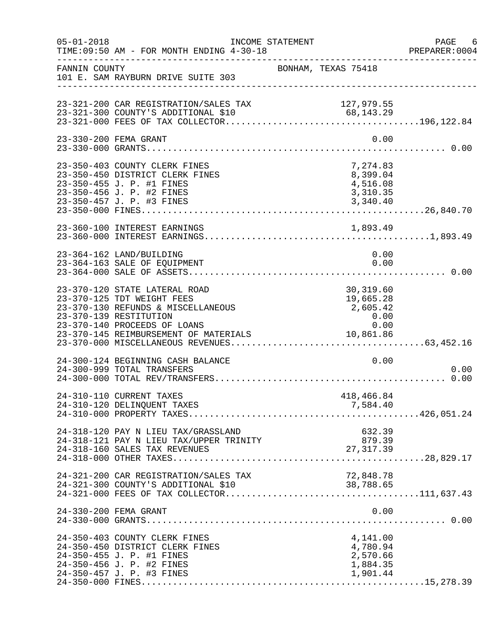| $05 - 01 - 2018$ | INCOME STATEMENT<br>TIME: 09:50 AM - FOR MONTH ENDING 4-30-18                                                                                                                                        |                                                                 | PAGE 6<br>PREPARER: 0004 |
|------------------|------------------------------------------------------------------------------------------------------------------------------------------------------------------------------------------------------|-----------------------------------------------------------------|--------------------------|
| FANNIN COUNTY    | 101 E. SAM RAYBURN DRIVE SUITE 303                                                                                                                                                                   | BONHAM, TEXAS 75418                                             |                          |
|                  | 23-321-200 CAR REGISTRATION/SALES TAX<br>23-321-300 COUNTY'S ADDITIONAL \$10                                                                                                                         | 127,979.55                                                      |                          |
|                  | 23-330-200 FEMA GRANT                                                                                                                                                                                | 0.00                                                            |                          |
|                  | 23-350-403 COUNTY CLERK FINES<br>23-350-450 DISTRICT CLERK FINES<br>23-350-455 J. P. #1 FINES<br>23-350-456 J. P. #2 FINES                                                                           | 7,274.83<br>8,399.04<br>4,516.08<br>3,310.35                    |                          |
|                  |                                                                                                                                                                                                      |                                                                 |                          |
|                  | 23-364-162 LAND/BUILDING<br>23-364-163 SALE OF EQUIPMENT                                                                                                                                             | 0.00<br>0.00                                                    |                          |
|                  | 23-370-120 STATE LATERAL ROAD<br>23-370-125 TDT WEIGHT FEES<br>23-370-130 REFUNDS & MISCELLANEOUS<br>23-370-139 RESTITUTION<br>23-370-140 PROCEEDS OF LOANS<br>23-370-145 REIMBURSEMENT OF MATERIALS | 30,319.60<br>19,665.28<br>2,605.42<br>0.00<br>0.00<br>10,861.86 |                          |
|                  | 24-300-124 BEGINNING CASH BALANCE<br>24-300-999 TOTAL TRANSFERS                                                                                                                                      | 0.00                                                            | 0.00                     |
|                  | 24-310-110 CURRENT TAXES<br>24-310-120 DELINQUENT TAXES                                                                                                                                              | 418,466.84<br>7,584.40                                          |                          |
|                  | 24-318-120 PAY N LIEU TAX/GRASSLAND<br>24-318-121 PAY N LIEU TAX/UPPER TRINITY<br>24-318-160 SALES TAX REVENUES                                                                                      | 632.39<br>879.39<br>27, 317.39                                  |                          |
|                  | 24-321-200 CAR REGISTRATION/SALES TAX                                                                                                                                                                | 72,848.78                                                       |                          |
|                  | 24-330-200 FEMA GRANT                                                                                                                                                                                | 0.00                                                            |                          |
|                  | 24-350-403 COUNTY CLERK FINES<br>24-350-450 DISTRICT CLERK FINES<br>24-350-455 J. P. #1 FINES<br>24-350-456 J. P. #2 FINES<br>24-350-457 J. P. #3 FINES                                              | 4,141.00<br>4,780.94<br>2,570.66<br>1,884.35<br>1,901.44        |                          |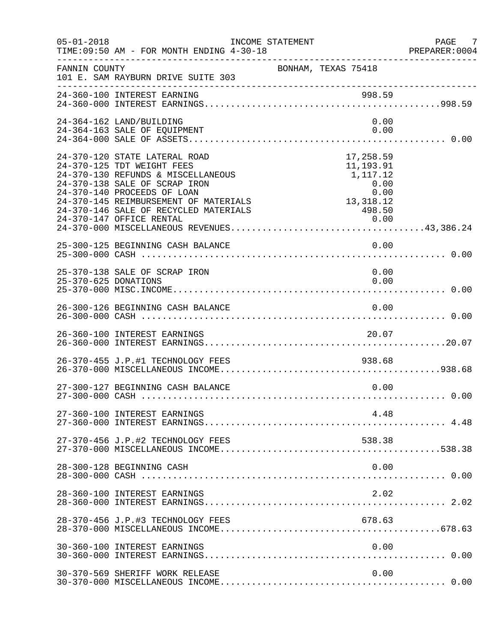| $05 - 01 - 2018$     | INCOME STATEMENT<br>TIME: 09:50 AM - FOR MONTH ENDING 4-30-18                                                                                                                                                                                                                   |                                                                                                                  | PAGE 7<br>PREPARER:0004 |
|----------------------|---------------------------------------------------------------------------------------------------------------------------------------------------------------------------------------------------------------------------------------------------------------------------------|------------------------------------------------------------------------------------------------------------------|-------------------------|
| FANNIN COUNTY        | 101 E. SAM RAYBURN DRIVE SUITE 303                                                                                                                                                                                                                                              | BONHAM, TEXAS 75418                                                                                              |                         |
|                      |                                                                                                                                                                                                                                                                                 |                                                                                                                  |                         |
|                      | 24-364-162 LAND/BUILDING<br>24-364-163 SALE OF EQUIPMENT                                                                                                                                                                                                                        | 0.00<br>0.00                                                                                                     |                         |
|                      | 24-370-120 STATE LATERAL ROAD<br>24-370-125 TDT WEIGHT FEES<br>24-370-130 REFUNDS & MISCELLANEOUS<br>24-370-138 SALE OF SCRAP IRON<br>24-370-140 PROCEEDS OF LOAN<br>24-370-145 REIMBURSEMENT OF MATERIALS<br>24-370-146 SALE OF RECYCLED MATERIALS<br>24-370-147 OFFICE RENTAL | 17,258.59<br>11,193.91<br>1,117.12<br>$\begin{array}{r} 0.00 \\ 0.00 \\ 13,318.12 \end{array}$<br>498.50<br>0.00 |                         |
|                      | 25-300-125 BEGINNING CASH BALANCE                                                                                                                                                                                                                                               | 0.00                                                                                                             |                         |
| 25-370-625 DONATIONS | 25-370-138 SALE OF SCRAP IRON                                                                                                                                                                                                                                                   | 0.00<br>0.00                                                                                                     |                         |
|                      | 26-300-126 BEGINNING CASH BALANCE                                                                                                                                                                                                                                               | 0.00                                                                                                             |                         |
|                      | 26-360-100 INTEREST EARNINGS                                                                                                                                                                                                                                                    | 20.07                                                                                                            |                         |
|                      | 26-370-455 J.P.#1 TECHNOLOGY FEES                                                                                                                                                                                                                                               | 938.68                                                                                                           |                         |
|                      | 27-300-127 BEGINNING CASH BALANCE                                                                                                                                                                                                                                               | 0.00                                                                                                             |                         |
|                      | 27-360-100 INTEREST EARNINGS                                                                                                                                                                                                                                                    | 4.48                                                                                                             |                         |
|                      | 27-370-456 J.P.#2 TECHNOLOGY FEES                                                                                                                                                                                                                                               | 538.38                                                                                                           |                         |
|                      | 28-300-128 BEGINNING CASH                                                                                                                                                                                                                                                       | 0.00                                                                                                             |                         |
|                      | 28-360-100 INTEREST EARNINGS                                                                                                                                                                                                                                                    | 2.02                                                                                                             |                         |
|                      | 28-370-456 J.P.#3 TECHNOLOGY FEES                                                                                                                                                                                                                                               | 678.63                                                                                                           |                         |
|                      | 30-360-100 INTEREST EARNINGS                                                                                                                                                                                                                                                    | 0.00                                                                                                             |                         |
|                      | 30-370-569 SHERIFF WORK RELEASE                                                                                                                                                                                                                                                 | 0.00                                                                                                             |                         |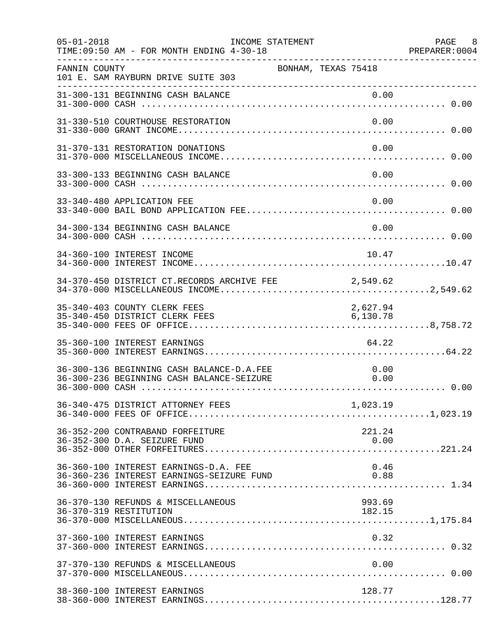| $05 - 01 - 2018$ | INCOME STATEMENT<br>TIME: 09:50 AM - FOR MONTH ENDING 4-30-18<br>______________________________________ |                       | PAGE 8 |
|------------------|---------------------------------------------------------------------------------------------------------|-----------------------|--------|
| FANNIN COUNTY    | BONHAM, TEXAS 75418<br>101 E. SAM RAYBURN DRIVE SUITE 303                                               |                       |        |
|                  |                                                                                                         |                       |        |
|                  | 31-330-510 COURTHOUSE RESTORATION                                                                       | 0.00                  |        |
|                  | 31-370-131 RESTORATION DONATIONS                                                                        | 0.00                  |        |
|                  | 33-300-133 BEGINNING CASH BALANCE                                                                       | 0.00                  |        |
|                  | 33-340-480 APPLICATION FEE                                                                              | 0.00                  |        |
|                  | 34-300-134 BEGINNING CASH BALANCE                                                                       | 0.00                  |        |
|                  | 34-360-100 INTEREST INCOME                                                                              | 10.47                 |        |
|                  | 34-370-450 DISTRICT CT.RECORDS ARCHIVE FEE 2,549.62                                                     |                       |        |
|                  | 35-340-403 COUNTY CLERK FEES<br>35-340-450 DISTRICT CLERK FEES                                          | 2,627.94<br>6, 130.78 |        |
|                  | 35-360-100 INTEREST EARNINGS                                                                            | 64.22                 |        |
|                  | 36-300-136 BEGINNING CASH BALANCE-D.A.FEE<br>36-300-236 BEGINNING CASH BALANCE-SEIZURE                  | 0.00<br>0.00          |        |
|                  |                                                                                                         | 1,023.19              |        |
|                  | 36-352-200 CONTRABAND FORFEITURE<br>36-352-300 D.A. SEIZURE FUND                                        | 221.24<br>0.00        |        |
|                  | 36-360-100 INTEREST EARNINGS-D.A. FEE<br>36-360-236 INTEREST EARNINGS-SEIZURE FUND                      | 0.46<br>0.88          |        |
|                  | 36-370-130 REFUNDS & MISCELLANEOUS<br>36-370-319 RESTITUTION                                            | 993.69<br>182.15      |        |
|                  | 37-360-100 INTEREST EARNINGS                                                                            | 0.32                  |        |
|                  | 37-370-130 REFUNDS & MISCELLANEOUS                                                                      | 0.00                  |        |
|                  | 38-360-100 INTEREST EARNINGS                                                                            | 128.77                |        |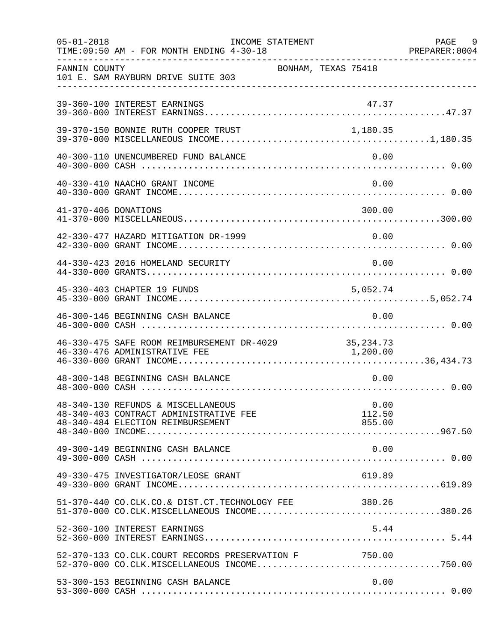| $05 - 01 - 2018$     | INCOME STATEMENT<br>TIME: 09:50 AM - FOR MONTH ENDING 4-30-18                                                     |                     |                          | PAGE 9<br>PREPARER: 0004 |
|----------------------|-------------------------------------------------------------------------------------------------------------------|---------------------|--------------------------|--------------------------|
| FANNIN COUNTY        | 101 E. SAM RAYBURN DRIVE SUITE 303                                                                                | BONHAM, TEXAS 75418 |                          |                          |
|                      | 39-360-100 INTEREST EARNINGS                                                                                      |                     | 47.37                    |                          |
|                      | 39-370-150 BONNIE RUTH COOPER TRUST                                                                               |                     | 1,180.35                 |                          |
|                      | 40-300-110 UNENCUMBERED FUND BALANCE                                                                              |                     | 0.00                     |                          |
|                      | 40-330-410 NAACHO GRANT INCOME                                                                                    |                     | 0.00                     |                          |
| 41-370-406 DONATIONS |                                                                                                                   |                     | 300.00                   |                          |
|                      | 42-330-477 HAZARD MITIGATION DR-1999                                                                              |                     | 0.00                     |                          |
|                      | 44-330-423 2016 HOMELAND SECURITY                                                                                 |                     | 0.00                     |                          |
|                      | 45-330-403 CHAPTER 19 FUNDS                                                                                       |                     | 5,052.74                 |                          |
|                      | 46-300-146 BEGINNING CASH BALANCE                                                                                 |                     | 0.00                     |                          |
|                      | 46-330-475 SAFE ROOM REIMBURSEMENT DR-4029 35,234.73<br>46-330-476 ADMINISTRATIVE FEE 1,200.00                    |                     |                          |                          |
|                      | 48-300-148 BEGINNING CASH BALANCE                                                                                 |                     | 0.00                     |                          |
|                      | 48-340-130 REFUNDS & MISCELLANEOUS<br>48-340-403 CONTRACT ADMINISTRATIVE FEE<br>48-340-484 ELECTION REIMBURSEMENT |                     | 0.00<br>112.50<br>855.00 |                          |
|                      | 49-300-149 BEGINNING CASH BALANCE                                                                                 |                     | 0.00                     |                          |
|                      | 49-330-475 INVESTIGATOR/LEOSE GRANT                                                                               |                     | 619.89                   |                          |
|                      | 51-370-440 CO.CLK.CO.& DIST.CT.TECHNOLOGY FEE 380.26<br>$51-370-000$ CO.CLK.MISCELLANEOUS INCOME380.26            |                     |                          |                          |
|                      | 52-360-100 INTEREST EARNINGS                                                                                      |                     | 5.44                     |                          |
|                      | 52-370-133 CO.CLK.COURT RECORDS PRESERVATION F 750.00                                                             |                     |                          |                          |
|                      | 53-300-153 BEGINNING CASH BALANCE                                                                                 |                     | 0.00                     |                          |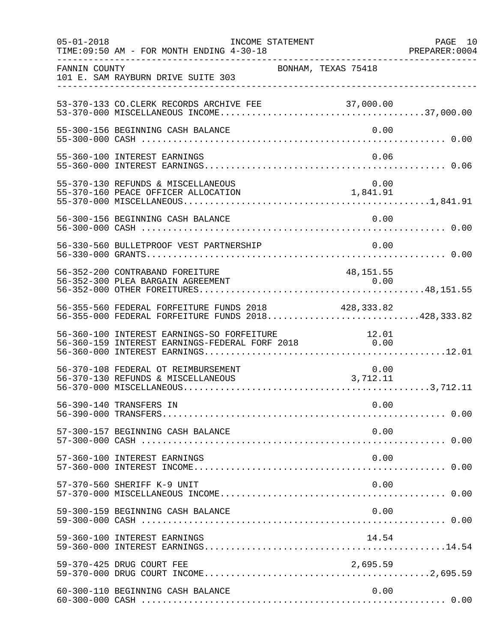| $05 - 01 - 2018$ | INCOME STATEMENT<br>TIME: 09:50 AM - FOR MONTH ENDING 4-30-18                                             |                                                              | PAGE 10<br>PREPARER:0004 |
|------------------|-----------------------------------------------------------------------------------------------------------|--------------------------------------------------------------|--------------------------|
| FANNIN COUNTY    | 101 E. SAM RAYBURN DRIVE SUITE 303                                                                        | BONHAM, TEXAS 75418                                          |                          |
|                  | 53-370-133 CO. CLERK RECORDS ARCHIVE FEE                                                                  |                                                              |                          |
|                  | 55-300-156 BEGINNING CASH BALANCE                                                                         | 0.00                                                         |                          |
|                  | 55-360-100 INTEREST EARNINGS                                                                              | 0.06                                                         |                          |
|                  | 55-370-130 REFUNDS & MISCELLANEOUS<br>55-370-160 PEACE OFFICER ALLOCATION                                 | 0.00<br>$\begin{smallmatrix}0.00\\1,841.91\end{smallmatrix}$ |                          |
|                  | 56-300-156 BEGINNING CASH BALANCE                                                                         | 0.00                                                         |                          |
|                  | 56-330-560 BULLETPROOF VEST PARTNERSHIP                                                                   | 0.00                                                         |                          |
|                  | 56-352-200 CONTRABAND FOREITURE                                                                           | 48, 151.55                                                   |                          |
|                  | 56-355-560 FEDERAL FORFEITURE FUNDS 2018 428,333.82<br>56-355-000 FEDERAL FORFEITURE FUNDS 2018428,333.82 |                                                              |                          |
|                  | 56-360-100 INTEREST EARNINGS-SO FORFEITURE                                                                | 12.01                                                        |                          |
|                  | 56-370-108 FEDERAL OT REIMBURSEMENT<br>56-370-130 REFUNDS & MISCELLANEOUS                                 | 0.00<br>3,712.11                                             |                          |
|                  | 56-390-140 TRANSFERS IN                                                                                   | 0.00                                                         |                          |
|                  | 57-300-157 BEGINNING CASH BALANCE                                                                         | 0.00                                                         |                          |
|                  | 57-360-100 INTEREST EARNINGS                                                                              | 0.00                                                         |                          |
|                  | 57-370-560 SHERIFF K-9 UNIT                                                                               | 0.00                                                         |                          |
|                  | 59-300-159 BEGINNING CASH BALANCE                                                                         | 0.00                                                         |                          |
|                  | 59-360-100 INTEREST EARNINGS                                                                              | 14.54                                                        |                          |
|                  | 59-370-425 DRUG COURT FEE                                                                                 | 2,695.59                                                     |                          |
|                  | 60-300-110 BEGINNING CASH BALANCE                                                                         | 0.00                                                         |                          |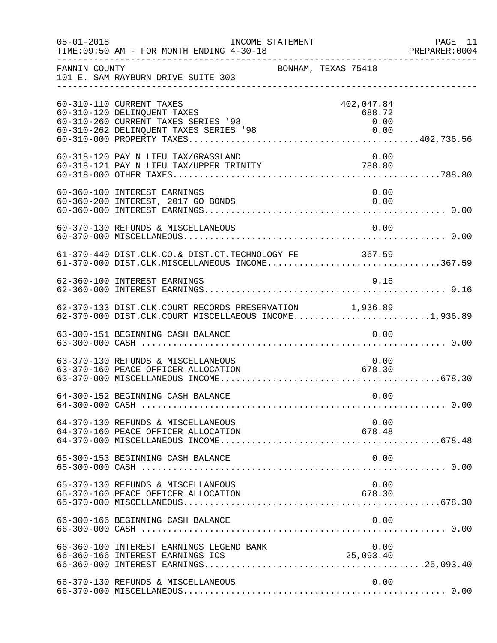| $05 - 01 - 2018$ | INCOME STATEMENT<br>TIME: 09:50 AM - FOR MONTH ENDING 4-30-18                                                                            |                                      | PAGE 11<br>PREPARER: 0004 |
|------------------|------------------------------------------------------------------------------------------------------------------------------------------|--------------------------------------|---------------------------|
| FANNIN COUNTY    | BONHAM, TEXAS 75418<br>101 E. SAM RAYBURN DRIVE SUITE 303                                                                                |                                      |                           |
|                  | 60-310-110 CURRENT TAXES<br>60-310-120 DELINQUENT TAXES<br>60-310-260 CURRENT TAXES SERIES '98<br>60-310-262 DELINQUENT TAXES SERIES '98 | 402,047.84<br>688.72<br>0.00<br>0.00 |                           |
|                  | 60-318-120 PAY N LIEU TAX/GRASSLAND                                                                                                      | 0.00                                 |                           |
|                  | 60-360-100 INTEREST EARNINGS<br>60-360-200 INTEREST, 2017 GO BONDS                                                                       | 0.00<br>0.00                         |                           |
|                  | 60-370-130 REFUNDS & MISCELLANEOUS                                                                                                       | 0.00                                 |                           |
|                  | 61-370-440 DIST.CLK.CO.& DIST.CT.TECHNOLOGY FE 367.59<br>61-370-000 DIST.CLK.MISCELLANEOUS INCOME367.59                                  |                                      |                           |
|                  | 62-360-100 INTEREST EARNINGS                                                                                                             | 9.16                                 |                           |
|                  | 62-370-133 DIST.CLK.COURT RECORDS PRESERVATION 1,936.89<br>62-370-000 DIST.CLK.COURT MISCELLAEOUS INCOME1,936.89                         |                                      |                           |
|                  | 63-300-151 BEGINNING CASH BALANCE                                                                                                        | 0.00                                 |                           |
|                  | 63-370-130 REFUNDS & MISCELLANEOUS<br>63-370-160 PEACE OFFICER ALLOCATION                                                                | 0.00<br>678.30                       |                           |
|                  | 64-300-152 BEGINNING CASH BALANCE                                                                                                        | 0.00                                 |                           |
|                  | 64-370-130 REFUNDS & MISCELLANEOUS<br>64-370-160 PEACE OFFICER ALLOCATION                                                                | 0.00<br>678.48                       |                           |
|                  | 65-300-153 BEGINNING CASH BALANCE                                                                                                        | 0.00                                 |                           |
|                  | 65-370-130 REFUNDS & MISCELLANEOUS<br>65-370-160 PEACE OFFICER ALLOCATION                                                                | 0.00<br>678.30                       |                           |
|                  | 66-300-166 BEGINNING CASH BALANCE                                                                                                        | 0.00                                 |                           |
|                  | 66-360-100 INTEREST EARNINGS LEGEND BANK<br>66-360-166 INTEREST EARNINGS ICS                                                             | 0.00<br>25,093.40                    |                           |
|                  | 66-370-130 REFUNDS & MISCELLANEOUS                                                                                                       | 0.00                                 |                           |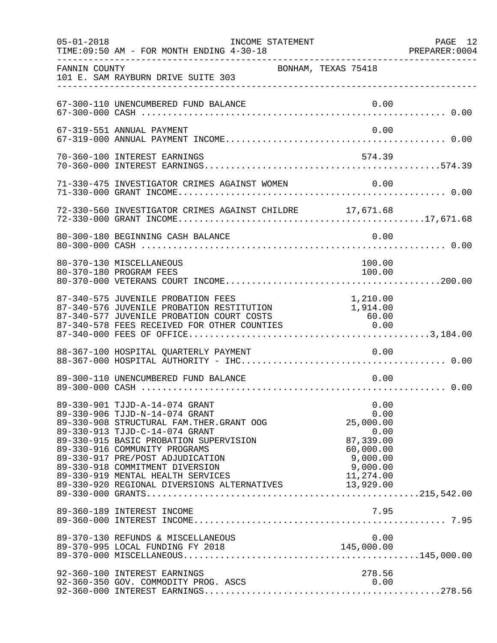| $05 - 01 - 2018$ | INCOME STATEMENT<br>TIME: 09:50 AM - FOR MONTH ENDING 4-30-18                                                                                                                                                                                                                                                                                                                                    |                                                                                                  | PAGE 12<br>PREPARER:0004 |
|------------------|--------------------------------------------------------------------------------------------------------------------------------------------------------------------------------------------------------------------------------------------------------------------------------------------------------------------------------------------------------------------------------------------------|--------------------------------------------------------------------------------------------------|--------------------------|
| FANNIN COUNTY    | BONHAM, TEXAS 75418<br>101 E. SAM RAYBURN DRIVE SUITE 303                                                                                                                                                                                                                                                                                                                                        |                                                                                                  |                          |
|                  | 67-300-110 UNENCUMBERED FUND BALANCE                                                                                                                                                                                                                                                                                                                                                             | 0.00                                                                                             |                          |
|                  | 67-319-551 ANNUAL PAYMENT                                                                                                                                                                                                                                                                                                                                                                        | 0.00                                                                                             |                          |
|                  | 70-360-100 INTEREST EARNINGS                                                                                                                                                                                                                                                                                                                                                                     | 574.39                                                                                           |                          |
|                  | 71-330-475 INVESTIGATOR CRIMES AGAINST WOMEN 0.00                                                                                                                                                                                                                                                                                                                                                |                                                                                                  |                          |
|                  | 72-330-560 INVESTIGATOR CRIMES AGAINST CHILDRE 17,671.68                                                                                                                                                                                                                                                                                                                                         |                                                                                                  |                          |
|                  | 80-300-180 BEGINNING CASH BALANCE                                                                                                                                                                                                                                                                                                                                                                | 0.00                                                                                             |                          |
|                  | 80-370-130 MISCELLANEOUS<br>80-370-180 PROGRAM FEES                                                                                                                                                                                                                                                                                                                                              | 100.00<br>100.00                                                                                 |                          |
|                  | 87-340-575 JUVENILE PROBATION FEES<br>87-340-576 JUVENILE PROBATION RESTITUTION<br>87-340-577 JUVENILE PROBATION COURT COSTS<br>87-340-578 FEES RECEIVED FOR OTHER COUNTIES                                                                                                                                                                                                                      | 1,210.00<br>1,914.00<br>60.00<br>0.00                                                            |                          |
|                  | 88-367-100 HOSPITAL QUARTERLY PAYMENT                                                                                                                                                                                                                                                                                                                                                            | 0.00                                                                                             |                          |
|                  | 89-300-110 UNENCUMBERED FUND BALANCE                                                                                                                                                                                                                                                                                                                                                             | 0.00                                                                                             |                          |
|                  | 89-330-901 TJJD-A-14-074 GRANT<br>89-330-906 TJJD-N-14-074 GRANT<br>89-330-908 STRUCTURAL FAM. THER. GRANT OOG<br>89-330-913 TJJD-C-14-074 GRANT<br>89-330-915 BASIC PROBATION SUPERVISION<br>89-330-916 COMMUNITY PROGRAMS<br>89-330-917 PRE/POST ADJUDICATION<br>89-330-918 COMMITMENT DIVERSION<br>89-330-919 MENTAL HEALTH SERVICES<br>89-330-920 REGIONAL DIVERSIONS ALTERNATIVES 13,929.00 | 0.00<br>0.00<br>25,000.00<br>0.00<br>87,339.00<br>60,000.00<br>9,000.00<br>9,000.00<br>11,274.00 |                          |
|                  | 89-360-189 INTEREST INCOME                                                                                                                                                                                                                                                                                                                                                                       | 7.95                                                                                             |                          |
|                  | 89-370-130 REFUNDS & MISCELLANEOUS                                                                                                                                                                                                                                                                                                                                                               | 0.00                                                                                             |                          |
|                  | 92-360-100 INTEREST EARNINGS<br>92-360-350 GOV. COMMODITY PROG. ASCS                                                                                                                                                                                                                                                                                                                             | 278.56<br>0.00                                                                                   |                          |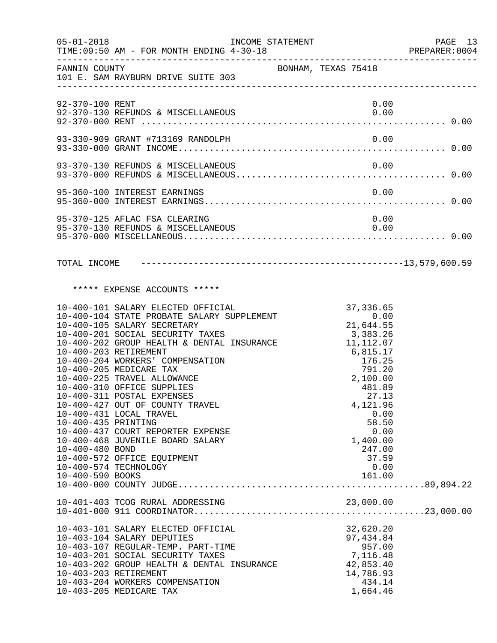| $05 - 01 - 2018$                                                                    | TIME: 09:50 AM - FOR MONTH ENDING 4-30-18                                                                                                                                                                                                                                                                                                                                                                                                                                                                                                                  | INCOME STATEMENT    |  |                                                                                                                                                                                                                                            | PAGE 13<br>PREPARER: 0004 |
|-------------------------------------------------------------------------------------|------------------------------------------------------------------------------------------------------------------------------------------------------------------------------------------------------------------------------------------------------------------------------------------------------------------------------------------------------------------------------------------------------------------------------------------------------------------------------------------------------------------------------------------------------------|---------------------|--|--------------------------------------------------------------------------------------------------------------------------------------------------------------------------------------------------------------------------------------------|---------------------------|
|                                                                                     | FANNIN COUNTY<br>101 E. SAM RAYBURN DRIVE SUITE 303                                                                                                                                                                                                                                                                                                                                                                                                                                                                                                        | BONHAM, TEXAS 75418 |  |                                                                                                                                                                                                                                            |                           |
| 92-370-100 RENT                                                                     |                                                                                                                                                                                                                                                                                                                                                                                                                                                                                                                                                            |                     |  | 0.00                                                                                                                                                                                                                                       |                           |
|                                                                                     | 93-330-909 GRANT #713169 RANDOLPH                                                                                                                                                                                                                                                                                                                                                                                                                                                                                                                          |                     |  | 0.00                                                                                                                                                                                                                                       |                           |
|                                                                                     |                                                                                                                                                                                                                                                                                                                                                                                                                                                                                                                                                            |                     |  |                                                                                                                                                                                                                                            |                           |
|                                                                                     | 95-360-100 INTEREST EARNINGS                                                                                                                                                                                                                                                                                                                                                                                                                                                                                                                               |                     |  | 0.00                                                                                                                                                                                                                                       |                           |
|                                                                                     | 95-370-125 AFLAC FSA CLEARING<br>95-370-130 REFUNDS & MISCELLANEOUS                                                                                                                                                                                                                                                                                                                                                                                                                                                                                        |                     |  | 0.00<br>0.00                                                                                                                                                                                                                               |                           |
|                                                                                     |                                                                                                                                                                                                                                                                                                                                                                                                                                                                                                                                                            |                     |  |                                                                                                                                                                                                                                            |                           |
|                                                                                     | ***** EXPENSE ACCOUNTS *****                                                                                                                                                                                                                                                                                                                                                                                                                                                                                                                               |                     |  |                                                                                                                                                                                                                                            |                           |
| 10-400-203 RETIREMENT<br>10-400-435 PRINTING<br>10-400-480 BOND<br>10-400-590 BOOKS | 10-400-101 SALARY ELECTED OFFICIAL<br>10-400-104 STATE PROBATE SALARY SUPPLEMENT<br>10-400-105 SALARY SECRETARY<br>10-400-201 SOCIAL SECURITY TAXES<br>10-400-202 GROUP HEALTH & DENTAL INSURANCE<br>10-400-204 WORKERS' COMPENSATION<br>10-400-205 MEDICARE TAX<br>10-400-225 TRAVEL ALLOWANCE<br>10-400-310 OFFICE SUPPLIES<br>10-400-311 POSTAL EXPENSES<br>10-400-427 OUT OF COUNTY TRAVEL<br>10-400-431 LOCAL TRAVEL<br>10-400-437 COURT REPORTER EXPENSE<br>10-400-468 JUVENILE BOARD SALARY<br>10-400-572 OFFICE EQUIPMENT<br>10-400-574 TECHNOLOGY |                     |  | 37, 336.65<br>$21,644.55$<br>0.00<br>21,644.55<br>3,383.26<br>11, 112.07<br>$6, 815.17$<br>176.25<br>791.20<br>791.20<br>2,100.00<br>481.89<br>27.13<br>4,121.96<br>0.00<br>58.50<br>0.00<br>1,400.00<br>247.00<br>37.59<br>0.00<br>161.00 |                           |
|                                                                                     |                                                                                                                                                                                                                                                                                                                                                                                                                                                                                                                                                            |                     |  |                                                                                                                                                                                                                                            |                           |
| 10-403-203 RETIREMENT                                                               | 10-403-101 SALARY ELECTED OFFICIAL<br>10-403-104 SALARY DEPUTIES<br>10-403-107 REGULAR-TEMP. PART-TIME<br>10-403-201 SOCIAL SECURITY TAXES<br>10-403-202 GROUP HEALTH & DENTAL INSURANCE<br>10-403-204 WORKERS COMPENSATION<br>10-403-205 MEDICARE TAX                                                                                                                                                                                                                                                                                                     |                     |  | 32,620.20<br>97, 434.84<br>957.00<br>7,116.48<br>42,853.40<br>14,786.93<br>434.14<br>1,664.46                                                                                                                                              |                           |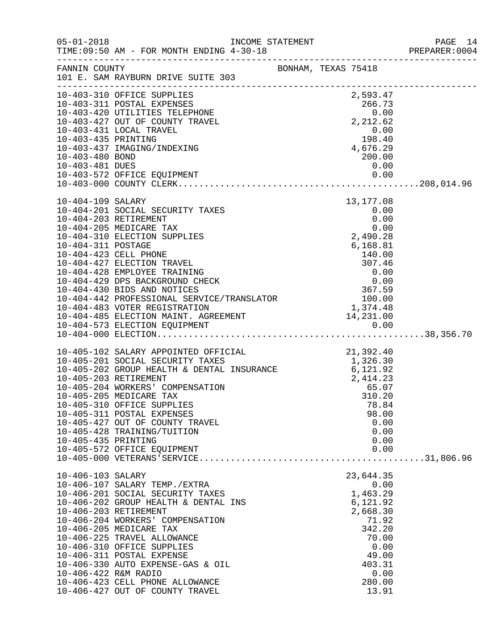|                                                                                                      |                                                                                                                                                                                                                                                                                                                                                                                                                                                                                                                                                                                                                                                                                                         |                                                                                                                                                           | PAGE 14<br>PREPARER: 0004 |
|------------------------------------------------------------------------------------------------------|---------------------------------------------------------------------------------------------------------------------------------------------------------------------------------------------------------------------------------------------------------------------------------------------------------------------------------------------------------------------------------------------------------------------------------------------------------------------------------------------------------------------------------------------------------------------------------------------------------------------------------------------------------------------------------------------------------|-----------------------------------------------------------------------------------------------------------------------------------------------------------|---------------------------|
|                                                                                                      | FANNIN COUNTY SONHAM, TEXAS 75418<br>101 E. SAM RAYBURN DRIVE SUITE 303                                                                                                                                                                                                                                                                                                                                                                                                                                                                                                                                                                                                                                 |                                                                                                                                                           |                           |
| 10-403-435 PRINTING<br>10-403-480 BOND<br>10-403-481 DUES<br>10-404-109 SALARY<br>10-404-311 POSTAGE | 10-403-310 OFFICE SUPPLIES<br>10-403-311 POSTAL EXPENSES<br>10-403-420 UTILITIES TELEPHONE 0.00<br>10-403-427 OUT OF COUNTY TRAVEL 2,212.62<br>10-403-431 LOCAL TRAVEL<br>10-403-437 IMAGING/INDEXING<br>10-404-201 SOCIAL SECURITY TAXES<br>10-404-203 RETIREMENT<br>10-404-205 MEDICARE TAX<br>10-404-310 ELECTION SUPPLIES<br>$\begin{tabular}{lllllllllllllllllllll} 10-404-311 &\text{POSTAGE} & & & & & & 6,168.81 \\ 10-404-423 &\text{CELL PHONE} & & & & 140.00 \\ 10-404-427 &\text{ELECTION TRAVEL} & & & 307.46 \\ 10-404-428 &\text{EMPLoyEE TRAINING} & & & & 0.00 \\ 10-404-429 &\text{DFS BACKGROWND CHECK} & & & & 0.00 \\ 10-404-430 &\text{BIDS AND NOTICES} & & & 0.00 \\ 10-404-4$ | 2,593.47<br>$\begin{array}{c} 0.00 \\ 198.40 \end{array}$<br>198.40<br>$\frac{198.40}{4,676.29}$<br>200.00<br>0.00<br>$13,177.08$<br>0.00<br>0.00<br>0.00 |                           |
|                                                                                                      |                                                                                                                                                                                                                                                                                                                                                                                                                                                                                                                                                                                                                                                                                                         |                                                                                                                                                           |                           |
| 10-405-435 PRINTING                                                                                  | 10-405-102 SALARY APPOINTED OFFICIAL 21,392.40<br>10-405-201 SOCIAL SECURITY TAXES 1,326.30<br>10-405-202 GROUP HEALTH & DENTAL INSURANCE 6,121.92<br>10-405-203 RETIREMENT<br>10-405-204 WORKERS' COMPENSATION<br>10-405-205 MEDICARE TAX<br>10-405-310 OFFICE SUPPLIES<br>10-405-311 POSTAL EXPENSES<br>10-405-427 OUT OF COUNTY TRAVEL<br>10-405-428 TRAINING/TUITION<br>10-405-572 OFFICE EQUIPMENT                                                                                                                                                                                                                                                                                                 | 2,414.23<br>65.07<br>310.20<br>78.84<br>98.00<br>0.00<br>0.00<br>0.00<br>0.00                                                                             |                           |
| 10-406-103 SALARY<br>10-406-422 R&M RADIO                                                            | 10-406-107 SALARY TEMP./EXTRA<br>10-406-201 SOCIAL SECURITY TAXES<br>10-406-202 GROUP HEALTH & DENTAL INS<br>10-406-203 RETIREMENT<br>10-406-204 WORKERS' COMPENSATION<br>10-406-205 MEDICARE TAX<br>10-406-225 TRAVEL ALLOWANCE<br>10-406-310 OFFICE SUPPLIES<br>10-406-311 POSTAL EXPENSE<br>10-406-330 AUTO EXPENSE-GAS & OIL<br>10-406-423 CELL PHONE ALLOWANCE<br>10-406-427 OUT OF COUNTY TRAVEL                                                                                                                                                                                                                                                                                                  | 23,644.35<br>0.00<br>1,463.29<br>6,121.92<br>2,668.30<br>71.92<br>342.20<br>70.00<br>0.00<br>49.00<br>403.31<br>0.00<br>280.00<br>13.91                   |                           |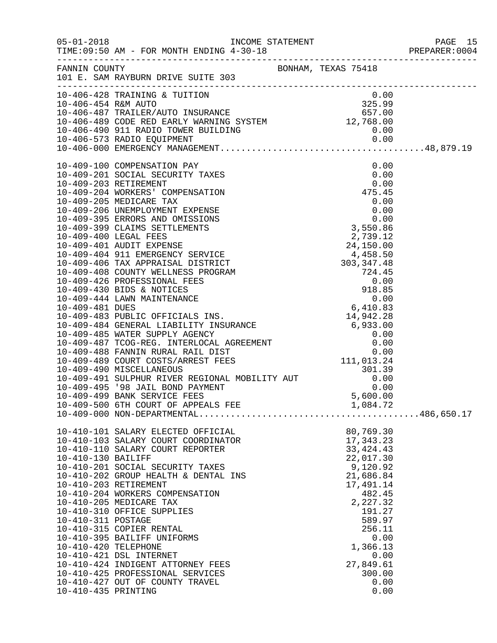|                      |                                                                                                                                                                                                                                                                                                                                                       |                                    | PREPARER: 0004 |
|----------------------|-------------------------------------------------------------------------------------------------------------------------------------------------------------------------------------------------------------------------------------------------------------------------------------------------------------------------------------------------------|------------------------------------|----------------|
|                      | FANNIN COUNTY<br>101 E. SAM RAYBURN DRIVE SUITE 303                                                                                                                                                                                                                                                                                                   |                                    |                |
|                      | 10-406-428 TRAINING & TUITION 0.00<br>10-406-454 R&M AUTO 325.99<br>10-406-487 TRAILER/AUTO INSURANCE 657.00<br>10-406-489 CODE RED EARLY WARNING SYSTEM 12,768.00                                                                                                                                                                                    |                                    |                |
|                      |                                                                                                                                                                                                                                                                                                                                                       |                                    |                |
|                      |                                                                                                                                                                                                                                                                                                                                                       |                                    |                |
|                      |                                                                                                                                                                                                                                                                                                                                                       |                                    |                |
|                      |                                                                                                                                                                                                                                                                                                                                                       |                                    |                |
|                      |                                                                                                                                                                                                                                                                                                                                                       |                                    |                |
|                      | $[10-409-100\text{ CMPENKUSMCT MANABEMHENT}\underbrace{0.00} {0.00\text{ CMPENSAMTON PAN} } {\begin{array}{ c c c c c c c c c c c c c c c} \hline 10-409-201\text{ SCORIN EISURITY TAKES} & 0.00 \\ 10-409-203\text{ RETIREMENTY TAKES} & 0.00 \\ 10-409-203\text{ RETIREMENTY TAKES} & 0.00 \\ 10-409-204\text{ WOKREES'} & \text{COMPINSANTON} & 4$ |                                    |                |
|                      |                                                                                                                                                                                                                                                                                                                                                       |                                    |                |
|                      |                                                                                                                                                                                                                                                                                                                                                       |                                    |                |
|                      |                                                                                                                                                                                                                                                                                                                                                       |                                    |                |
|                      |                                                                                                                                                                                                                                                                                                                                                       |                                    |                |
|                      |                                                                                                                                                                                                                                                                                                                                                       |                                    |                |
|                      | 10-410-101 SALARY ELECTED OFFICIAL<br>10-410-103 SALARY COURT COORDINATOR                                                                                                                                                                                                                                                                             | 80,769.30<br>17,343.23             |                |
| 10-410-130 BAILIFF   | 10-410-110 SALARY COURT REPORTER                                                                                                                                                                                                                                                                                                                      | 33, 424. 43<br>22,017.30           |                |
|                      | 10-410-201 SOCIAL SECURITY TAXES<br>10-410-202 GROUP HEALTH & DENTAL INS<br>10-410-203 RETIREMENT                                                                                                                                                                                                                                                     | 9,120.92<br>21,686.84<br>17,491.14 |                |
|                      | 10-410-204 WORKERS COMPENSATION<br>10-410-205 MEDICARE TAX<br>10-410-310 OFFICE SUPPLIES                                                                                                                                                                                                                                                              | 482.45<br>2,227.32<br>191.27       |                |
| 10-410-311 POSTAGE   | 10-410-315 COPIER RENTAL<br>10-410-395 BAILIFF UNIFORMS                                                                                                                                                                                                                                                                                               | 589.97<br>256.11<br>0.00           |                |
| 10-410-420 TELEPHONE | 10-410-421 DSL INTERNET<br>10-410-424 INDIGENT ATTORNEY FEES                                                                                                                                                                                                                                                                                          | 1,366.13<br>0.00<br>27,849.61      |                |
| 10-410-435 PRINTING  | 10-410-425 PROFESSIONAL SERVICES<br>10-410-427 OUT OF COUNTY TRAVEL                                                                                                                                                                                                                                                                                   | 300.00<br>0.00<br>0.00             |                |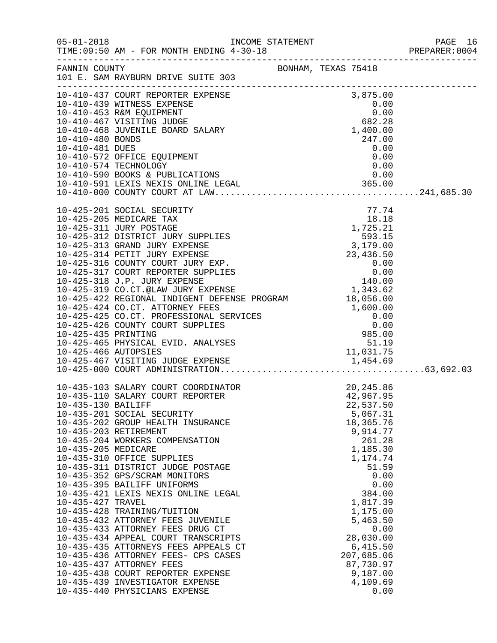| $05 - 01 - 2018$                                               | INCOME STATEMENT<br>TIME: 09:50 AM - FOR MONTH ENDING 4-30-18                                                                                                                                                                                                                                                                                                                                                                                                                                                                                                                                                                                                                                                                                       |                     |                                                                                                                                                                                                                  |                                                           | PAGE 16<br>PREPARER: 0004 |
|----------------------------------------------------------------|-----------------------------------------------------------------------------------------------------------------------------------------------------------------------------------------------------------------------------------------------------------------------------------------------------------------------------------------------------------------------------------------------------------------------------------------------------------------------------------------------------------------------------------------------------------------------------------------------------------------------------------------------------------------------------------------------------------------------------------------------------|---------------------|------------------------------------------------------------------------------------------------------------------------------------------------------------------------------------------------------------------|-----------------------------------------------------------|---------------------------|
|                                                                | FANNIN COUNTY<br>101 E. SAM RAYBURN DRIVE SUITE 303                                                                                                                                                                                                                                                                                                                                                                                                                                                                                                                                                                                                                                                                                                 | BONHAM, TEXAS 75418 |                                                                                                                                                                                                                  |                                                           |                           |
| 10-410-481 DUES                                                | 10-410-437 COURT REPORTER EXPENSE<br>10-410-439 WITNESS EXPENSE<br>10-410-453 R&M EQUIPMENT<br>10-410-467 VISITING JUDGE<br>10-410-468 JUVENILE BOARD SALARY<br>247.00<br>10-410-572 OFFICE EQUIPMENT<br>10-410-574 TECHNOLOGY                                                                                                                                                                                                                                                                                                                                                                                                                                                                                                                      |                     |                                                                                                                                                                                                                  | 0.00<br>0.00<br>0.00                                      |                           |
|                                                                |                                                                                                                                                                                                                                                                                                                                                                                                                                                                                                                                                                                                                                                                                                                                                     |                     |                                                                                                                                                                                                                  |                                                           |                           |
| 10-435-130 BAILIFF<br>10-435-205 MEDICARE<br>10-435-427 TRAVEL | 10-435-103 SALARY COURT COORDINATOR<br>10-435-110 SALARY COURT REPORTER<br>10-435-201 SOCIAL SECURITY<br>10-435-202 GROUP HEALTH INSURANCE<br>10-435-203 RETIREMENT<br>10-435-204 WORKERS COMPENSATION<br>10-435-310 OFFICE SUPPLIES<br>10-435-311 DISTRICT JUDGE POSTAGE<br>10-435-352 GPS/SCRAM MONITORS<br>10-435-395 BAILIFF UNIFORMS<br>10-435-421 LEXIS NEXIS ONLINE LEGAL<br>10-435-428 TRAINING/TUITION<br>10-435-432 ATTORNEY FEES JUVENILE<br>10-435-433 ATTORNEY FEES DRUG CT<br>10-435-434 APPEAL COURT TRANSCRIPTS<br>10-435-435 ATTORNEYS FEES APPEALS CT<br>10-435-436 ATTORNEY FEES- CPS CASES<br>10-435-437 ATTORNEY FEES<br>10-435-438 COURT REPORTER EXPENSE<br>10-435-439 INVESTIGATOR EXPENSE<br>10-435-440 PHYSICIANS EXPENSE |                     | 20,245.86<br>42,967.95<br>22,537.50<br>5,067.31<br>18,365.76<br>9,914.77<br>1,185.30<br>1,174.74<br>1,817.39<br>1,175.00<br>5,463.50<br>28,030.00<br>6,415.50<br>207,685.06<br>87,730.97<br>9,187.00<br>4,109.69 | 261.28<br>51.59<br>0.00<br>0.00<br>384.00<br>0.00<br>0.00 |                           |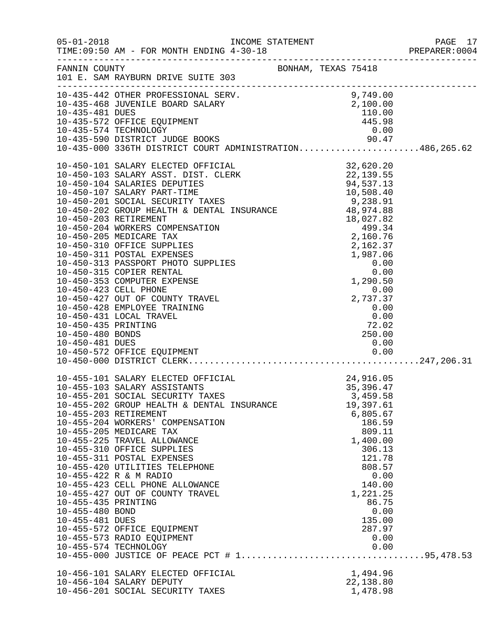|                                                           |                                                                                                                                                                                                                                                                                                                                                                                                                                                                                                                                                                                              |                                                                                                                                                                        | PAGE 17<br>PREPARER: 0004 |
|-----------------------------------------------------------|----------------------------------------------------------------------------------------------------------------------------------------------------------------------------------------------------------------------------------------------------------------------------------------------------------------------------------------------------------------------------------------------------------------------------------------------------------------------------------------------------------------------------------------------------------------------------------------------|------------------------------------------------------------------------------------------------------------------------------------------------------------------------|---------------------------|
|                                                           | $\begin{tabular}{lllllll} \texttt{FANNIN} & \texttt{COUNTY} & \texttt{BONHAM, TEXAS} & 75418 \\ 101 & E. SAM RAYBURN DRIVE SUITE & 303 \\ \end{tabular}$                                                                                                                                                                                                                                                                                                                                                                                                                                     |                                                                                                                                                                        |                           |
|                                                           | 10-435-442 OTHER PROFESSIONAL SERV.<br>10-435-468 JUVENILE BOARD SALARY 2,100.00<br>10-435-572 OFFICE EQUIPMENT 445.98<br>10-435-572 OFFICE EQUIPMENT 445.98<br>10-435-574 TECHNOLOGY 0.00<br>10-435-590 DISTRICT JUDGE BOOKS 90.47<br>10-                                                                                                                                                                                                                                                                                                                                                   |                                                                                                                                                                        |                           |
|                                                           | $10-450-101\,\mathrm{SALARY}\,\mathrm{BEST}.\,T = T = 0.97133\,\mathrm{SALARY}\,\mathrm{BIST}.\,T = T = 0.97133\,\mathrm{SIAAPY}\,\mathrm{BIST}.\,T = T = 0.97133\,\mathrm{SIAAPY}\,\mathrm{BIST}.\,T = T = 0.97133\,\mathrm{SIAAPY}\,\mathrm{BRT}.\,T = 0.97133\,\mathrm{SIAAPY}\,\mathrm{BRT}.\,T = 0.9713\,\mathrm{SIAAPY}\,\mathrm{BRT}.\,T = 0.9713\,\mathrm{SIAAPY}\,\mathrm{BRT}.\,$                                                                                                                                                                                                  |                                                                                                                                                                        |                           |
| 10-455-435 PRINTING<br>10-455-480 BOND<br>10-455-481 DUES | 10-455-101 SALARY ELECTED OFFICIAL 24,916.05<br>10-455-103 SALARY ASSISTANTS 35,396.47<br>10-455-201 SOCIAL SECURITY TAXES 3,459.58<br>10-455-202 GROUP HEALTH & DENTAL INSURANCE<br>10-455-203 RETIREMENT<br>10-455-204 WORKERS' COMPENSATION<br>10-455-205 MEDICARE TAX<br>10-455-225 TRAVEL ALLOWANCE<br>10-455-310 OFFICE SUPPLIES<br>10-455-311 POSTAL EXPENSES<br>10-455-420 UTILITIES TELEPHONE<br>10-455-422 R & M RADIO<br>10-455-423 CELL PHONE ALLOWANCE<br>10-455-427 OUT OF COUNTY TRAVEL<br>10-455-572 OFFICE EQUIPMENT<br>10-455-573 RADIO EQUIPMENT<br>10-455-574 TECHNOLOGY | 19,397.61<br>6,805.67<br>186.59<br>809.11<br>1,400.00<br>306.13<br>121.78<br>808.57<br>0.00<br>140.00<br>1,221.25<br>86.75<br>0.00<br>135.00<br>287.97<br>0.00<br>0.00 |                           |
|                                                           | 10-456-101 SALARY ELECTED OFFICIAL<br>10-456-104 SALARY DEPUTY<br>10-456-201 SOCIAL SECURITY TAXES                                                                                                                                                                                                                                                                                                                                                                                                                                                                                           | 1,494.96<br>22,138.80<br>1,478.98                                                                                                                                      |                           |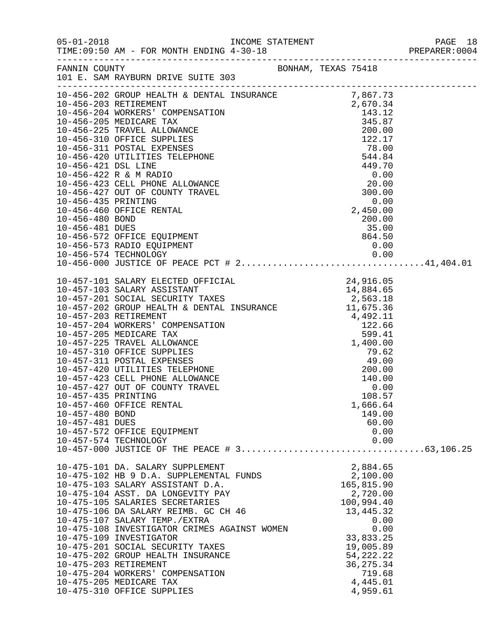|                                                           |                                                                                                                                                                                                                                                                                                                                                                                                                                                                                                                                            |                                                                                                                                                                                     | PAGE 18<br>PREPARER:0004<br>PAGE 18 |
|-----------------------------------------------------------|--------------------------------------------------------------------------------------------------------------------------------------------------------------------------------------------------------------------------------------------------------------------------------------------------------------------------------------------------------------------------------------------------------------------------------------------------------------------------------------------------------------------------------------------|-------------------------------------------------------------------------------------------------------------------------------------------------------------------------------------|-------------------------------------|
|                                                           | FANNIN COUNTY BONHAM, TEXAS 75418<br>101 E. SAM RAYBURN DRIVE SUITE 303                                                                                                                                                                                                                                                                                                                                                                                                                                                                    |                                                                                                                                                                                     |                                     |
|                                                           | $[10-456-202 \text{ GRUDF}} {\rm H0+456-420 \text{ GRUDF}} {\rm H0+456-400 \text{ OF HEERITHK}} {\rm H0+456-404 \text{ WOKKERS}} {\rm H0+456-404 \text{ WOKKERS}} {\rm H0+456-404 \text{ WOKKERS}} {\rm H0+456-404 \text{ WOKKERS}} {\rm H0+456-421 \text{ ISL L1OWANCE}} {\rm H0+456-421 \text{ ISL L1WENERS}} {\rm H0+456-422 \text{ ISL L1KRE} {\rm H0+456-421 \text{$                                                                                                                                                                  |                                                                                                                                                                                     |                                     |
|                                                           |                                                                                                                                                                                                                                                                                                                                                                                                                                                                                                                                            |                                                                                                                                                                                     |                                     |
| 10-457-435 PRINTING<br>10-457-480 BOND<br>10-457-481 DUES | 10-457-460 OFFICE RENTAL<br>10-457-572 OFFICE EQUIPMENT<br>10-457-574 TECHNOLOGY                                                                                                                                                                                                                                                                                                                                                                                                                                                           | 108.57<br>1,666.64<br>149.00<br>60.00<br>0.00<br>0.00                                                                                                                               |                                     |
|                                                           | 10-475-101 DA. SALARY SUPPLEMENT<br>10-475-102 HB 9 D.A. SUPPLEMENTAL FUNDS<br>10-475-103 SALARY ASSISTANT D.A.<br>10-475-104 ASST. DA LONGEVITY PAY<br>10-475-105 SALARIES SECRETARIES<br>10-475-106 DA SALARY REIMB. GC CH 46<br>10-475-107 SALARY TEMP./EXTRA<br>10-475-108 INVESTIGATOR CRIMES AGAINST WOMEN<br>10-475-109 INVESTIGATOR<br>10-475-201 SOCIAL SECURITY TAXES<br>10-475-202 GROUP HEALTH INSURANCE<br>10-475-203 RETIREMENT<br>10-475-204 WORKERS' COMPENSATION<br>10-475-205 MEDICARE TAX<br>10-475-310 OFFICE SUPPLIES | 2,884.65<br>2,100.00<br>165,815.90<br>2,720.00<br>100,994.40<br>13,445.32<br>0.00<br>0.00<br>33,833.25<br>19,005.89<br>54, 222. 22<br>36, 275. 34<br>719.68<br>4,445.01<br>4,959.61 |                                     |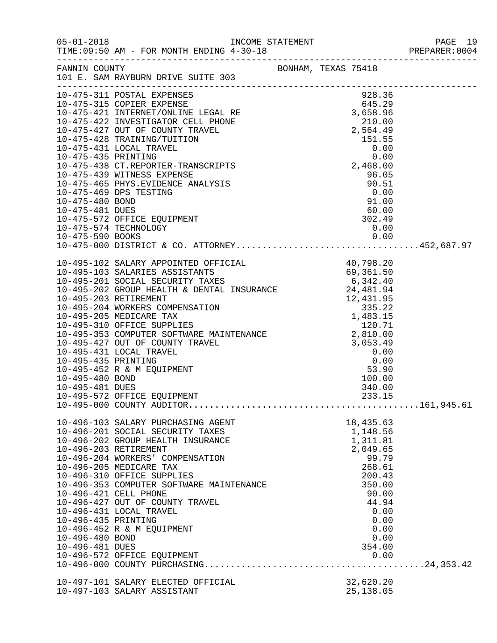| $05 - 01 - 2018$                   | TIME: 09:50 AM - FOR MONTH ENDING 4-30-18                                                                                                                                                                                                                                                                                                                              |                                   | PAGE 19<br>PREPARER:0004<br>PAGE 19 |
|------------------------------------|------------------------------------------------------------------------------------------------------------------------------------------------------------------------------------------------------------------------------------------------------------------------------------------------------------------------------------------------------------------------|-----------------------------------|-------------------------------------|
|                                    | FANNIN COUNTY BONHAM, TEXAS 75418<br>101 E. SAM RAYBURN DRIVE SUITE 303                                                                                                                                                                                                                                                                                                |                                   |                                     |
|                                    | $\begin{tabular}{lllllllllllllllllllllll} 10-475-315 & \text{COPIER EXPENSE} & 928.36 \\ 10-475-421 & \text{INTERENT/ONLINE LEGAL RE} & 645.29 \\ 10-475-422 & \text{INTERNET/ONLINE LEGAL RE & 3,658.96 \\ 10-475-427 & \text{OUT OF COUNTY TRAVEL} & 2,564.49 \\ 10-475-428 & \text{TRAINING/TUITION} & 2,564.49 \\ 10-475-431 & \text{LOCAL TRAVEL} & 0.00 \\ 10-4$ |                                   |                                     |
|                                    |                                                                                                                                                                                                                                                                                                                                                                        |                                   |                                     |
|                                    |                                                                                                                                                                                                                                                                                                                                                                        |                                   |                                     |
|                                    |                                                                                                                                                                                                                                                                                                                                                                        |                                   |                                     |
|                                    |                                                                                                                                                                                                                                                                                                                                                                        |                                   |                                     |
|                                    | 10-475-439 WITNESS EXPENSE<br>10-475-465 PHYS.EVIDENCE ANALYSIS 96.05<br>10-475-469 DPS TESTING 0.00<br>10-475-480 BOND 91.00<br>10-475-572 OFFICE EQUIPMENT 302.49<br>10-475-574 TECHNOLOGY 0.00<br>10-475-590 BOOKS 0.00                                                                                                                                             |                                   |                                     |
|                                    |                                                                                                                                                                                                                                                                                                                                                                        |                                   |                                     |
|                                    | 10-475-590 BOOKS 0.00<br>10-475-000 DISTRICT & CO. ATTORNEY452,687.97                                                                                                                                                                                                                                                                                                  |                                   |                                     |
|                                    |                                                                                                                                                                                                                                                                                                                                                                        |                                   |                                     |
|                                    |                                                                                                                                                                                                                                                                                                                                                                        |                                   |                                     |
|                                    |                                                                                                                                                                                                                                                                                                                                                                        |                                   |                                     |
|                                    |                                                                                                                                                                                                                                                                                                                                                                        |                                   |                                     |
|                                    |                                                                                                                                                                                                                                                                                                                                                                        |                                   |                                     |
|                                    |                                                                                                                                                                                                                                                                                                                                                                        |                                   |                                     |
|                                    |                                                                                                                                                                                                                                                                                                                                                                        |                                   |                                     |
|                                    | 10-496-103 SALARY PURCHASING AGENT<br>10-496-201 SOCIAL SECURITY TAXES<br>10-496-202 GROUP HEALTH INSURANCE                                                                                                                                                                                                                                                            | 18,435.63<br>1,148.56<br>1,311.81 |                                     |
| 10-496-203 RETIREMENT              | 10-496-204 WORKERS' COMPENSATION                                                                                                                                                                                                                                                                                                                                       | 2,049.65<br>99.79                 |                                     |
|                                    | 10-496-205 MEDICARE TAX<br>10-496-310 OFFICE SUPPLIES<br>10-496-353 COMPUTER SOFTWARE MAINTENANCE                                                                                                                                                                                                                                                                      | 268.61<br>200.43<br>350.00        |                                     |
| 10-496-421 CELL PHONE              | 10-496-427 OUT OF COUNTY TRAVEL                                                                                                                                                                                                                                                                                                                                        | 90.00<br>44.94                    |                                     |
| 10-496-435 PRINTING                | 10-496-431 LOCAL TRAVEL<br>10-496-452 R & M EQUIPMENT                                                                                                                                                                                                                                                                                                                  |                                   | 0.00<br>0.00<br>0.00                |
| 10-496-480 BOND<br>10-496-481 DUES | 10-496-572 OFFICE EQUIPMENT                                                                                                                                                                                                                                                                                                                                            | 354.00                            | 0.00<br>0.00                        |
|                                    |                                                                                                                                                                                                                                                                                                                                                                        |                                   |                                     |
|                                    | 10-497-101 SALARY ELECTED OFFICIAL<br>10-497-103 SALARY ASSISTANT                                                                                                                                                                                                                                                                                                      | 32,620.20<br>25, 138.05           |                                     |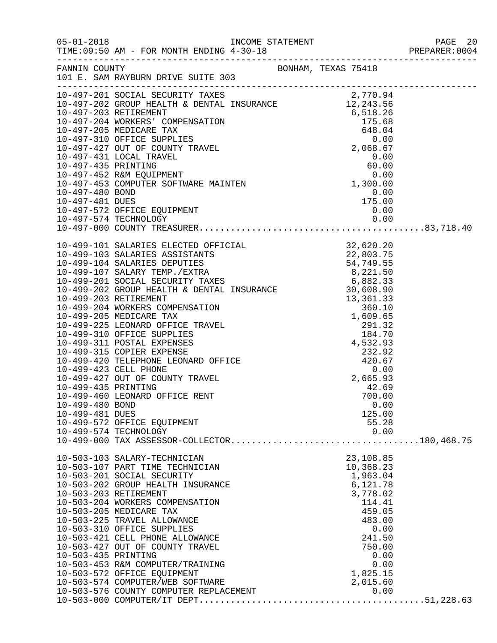|                                    | FANNIN COUNTY<br>101 E. SAM RAYBURN DRIVE SUITE 303                                                                                                         |                                                               |  |
|------------------------------------|-------------------------------------------------------------------------------------------------------------------------------------------------------------|---------------------------------------------------------------|--|
|                                    |                                                                                                                                                             |                                                               |  |
|                                    |                                                                                                                                                             |                                                               |  |
| 10-497-481 DUES                    | 10-497-572 OFFICE EQUIPMENT                                                                                                                                 | $\begin{array}{r} 0.00 \\ 175.00 \\ 0.00 \\ 0.00 \end{array}$ |  |
|                                    |                                                                                                                                                             |                                                               |  |
|                                    |                                                                                                                                                             |                                                               |  |
|                                    |                                                                                                                                                             |                                                               |  |
| 10-499-480 BOND<br>10-499-481 DUES |                                                                                                                                                             | 0.00<br>125.00                                                |  |
|                                    | 10-499-572 OFFICE EQUIPMENT<br>10-499-574 TECHNOLOGY                                                                                                        | 55.28<br>0.00                                                 |  |
|                                    | 10-503-103 SALARY-TECHNICIAN<br>10-503-107 PART TIME TECHNICIAN<br>10-503-201 SOCIAL SECURITY<br>10-503-202 GROUP HEALTH INSURANCE<br>10-503-203 RETIREMENT | 23,108.85<br>10,368.23<br>1,963.04<br>6,121.78<br>3,778.02    |  |
|                                    | 10-503-204 WORKERS COMPENSATION<br>10-503-205 MEDICARE TAX<br>10-503-225 TRAVEL ALLOWANCE<br>10-503-310 OFFICE SUPPLIES<br>10-503-421 CELL PHONE ALLOWANCE  | 114.41<br>459.05<br>483.00<br>0.00<br>241.50                  |  |
| 10-503-435 PRINTING                | 10-503-427 OUT OF COUNTY TRAVEL<br>10-503-453 R&M COMPUTER/TRAINING<br>10-503-572 OFFICE EQUIPMENT<br>10-503-574 COMPUTER/WEB SOFTWARE                      | 750.00<br>0.00<br>0.00<br>1,825.15<br>2,015.60                |  |
|                                    | 10-503-576 COUNTY COMPUTER REPLACEMENT                                                                                                                      | 0.00                                                          |  |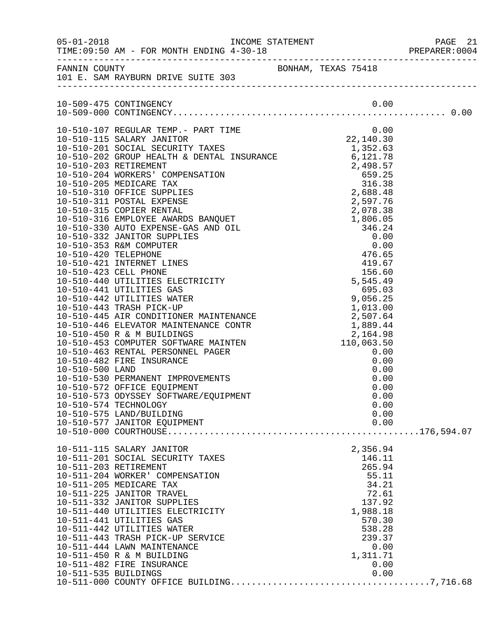|                                               |                                                                                                                                                                                                                                                                                                                                                                                                                    |                                                                                                                                                 | PREPARER: 0004 |
|-----------------------------------------------|--------------------------------------------------------------------------------------------------------------------------------------------------------------------------------------------------------------------------------------------------------------------------------------------------------------------------------------------------------------------------------------------------------------------|-------------------------------------------------------------------------------------------------------------------------------------------------|----------------|
|                                               | FANNIN COUNTY BONHAM, TEXAS 75418<br>101 E. SAM RAYBURN DRIVE SUITE 303                                                                                                                                                                                                                                                                                                                                            |                                                                                                                                                 |                |
|                                               |                                                                                                                                                                                                                                                                                                                                                                                                                    |                                                                                                                                                 |                |
|                                               | 10-510-574 TECHNOLOGY<br>10-510-575 LAND/BUILDING<br>10-510-577 JANITOR EQUIPMENT                                                                                                                                                                                                                                                                                                                                  | 0.00<br>0.00<br>0.00                                                                                                                            |                |
|                                               |                                                                                                                                                                                                                                                                                                                                                                                                                    |                                                                                                                                                 |                |
| 10-511-203 RETIREMENT<br>10-511-535 BUILDINGS | 10-511-115 SALARY JANITOR<br>10-511-201 SOCIAL SECURITY TAXES<br>10-511-204 WORKER' COMPENSATION<br>10-511-205 MEDICARE TAX<br>10-511-225 JANITOR TRAVEL<br>10-511-332 JANITOR SUPPLIES<br>10-511-440 UTILITIES ELECTRICITY<br>10-511-441 UTILITIES GAS<br>10-511-442 UTILITIES WATER<br>10-511-443 TRASH PICK-UP SERVICE<br>10-511-444 LAWN MAINTENANCE<br>10-511-450 R & M BUILDING<br>10-511-482 FIRE INSURANCE | 2,356.94<br>146.11<br>265.94<br>55.11<br>34.21<br>72.61<br>137.92<br>1,988.18<br>570.30<br>538.28<br>239.37<br>0.00<br>1,311.71<br>0.00<br>0.00 |                |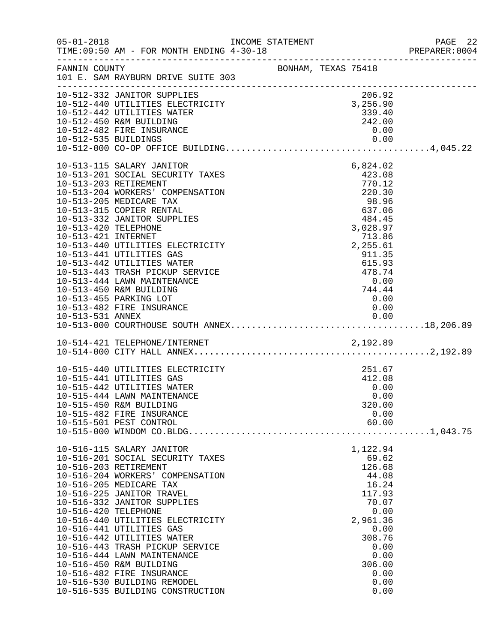| $05 - 01 - 2018$                            | TIME: 09:50 AM - FOR MONTH ENDING 4-30-18                                                                                                                                                                                                                                                                                                                                                                                                                                                                    | INCOME STATEMENT |                     |                                                                                                                                                                       | PAGE 22<br>PREPARER: 0004       |
|---------------------------------------------|--------------------------------------------------------------------------------------------------------------------------------------------------------------------------------------------------------------------------------------------------------------------------------------------------------------------------------------------------------------------------------------------------------------------------------------------------------------------------------------------------------------|------------------|---------------------|-----------------------------------------------------------------------------------------------------------------------------------------------------------------------|---------------------------------|
| FANNIN COUNTY                               | 101 E. SAM RAYBURN DRIVE SUITE 303                                                                                                                                                                                                                                                                                                                                                                                                                                                                           |                  | BONHAM, TEXAS 75418 |                                                                                                                                                                       |                                 |
|                                             | 10-512-332 JANITOR SUPPLIES<br>10-512-440 UTILITIES ELECTRICITY<br>10-512-442 UTILITIES WATER<br>10-512-450 R&M BUILDING<br>10-512-482 FIRE INSURANCE                                                                                                                                                                                                                                                                                                                                                        |                  |                     | 206.92<br>3,256.90<br>339.40<br>242.00<br>0.00                                                                                                                        |                                 |
| 10-513-420 TELEPHONE<br>10-513-421 INTERNET | 10-513-115 SALARY JANITOR<br>10-513-201 SOCIAL SECURITY TAXES<br>10-513-203 RETIREMENT<br>10-513-204 WORKERS' COMPENSATION<br>10-513-205 MEDICARE TAX<br>10-513-315 COPIER RENTAL<br>10-513-332 JANITOR SUPPLIES<br>10-513-440 UTILITIES ELECTRICITY<br>10-513-441 UTILITIES GAS<br>10-513-442 UTILITIES WATER<br>10-513-443 TRASH PICKUP SERVICE<br>10-513-444 LAWN MAINTENANCE<br>10-513-450 R&M BUILDING<br>10-513-455 PARKING LOT<br>10-513-482 FIRE INSURANCE                                           |                  |                     | 6,824.02<br>423.08<br>770.12<br>220.30<br>98.96<br>637.06<br>484.45<br>3,028.97<br>713.86<br>2,255.61<br>911.35<br>615.93<br>478.74<br>0.00<br>744.44<br>0.00<br>0.00 |                                 |
|                                             | 10-514-421 TELEPHONE/INTERNET 2,192.89                                                                                                                                                                                                                                                                                                                                                                                                                                                                       |                  |                     |                                                                                                                                                                       |                                 |
|                                             | 10-515-440 UTILITIES ELECTRICITY<br>10-515-441 UTILITIES GAS<br>10-515-442 UTILITIES WATER<br>10-515-444 LAWN MAINTENANCE<br>10-515-450 R&M BUILDING<br>10-515-482 FIRE INSURANCE<br>10-515-501 PEST CONTROL                                                                                                                                                                                                                                                                                                 |                  |                     | 251.67<br>412.08<br>0.00<br>0.00<br>320.00<br>0.00<br>60.00                                                                                                           | $\ldots \ldots \ldots 1,043.75$ |
| 10-516-420 TELEPHONE                        | 10-516-115 SALARY JANITOR<br>10-516-201 SOCIAL SECURITY TAXES<br>10-516-203 RETIREMENT<br>10-516-204 WORKERS' COMPENSATION<br>10-516-205 MEDICARE TAX<br>10-516-225 JANITOR TRAVEL<br>10-516-332 JANITOR SUPPLIES<br>10-516-440 UTILITIES ELECTRICITY<br>10-516-441 UTILITIES GAS<br>10-516-442 UTILITIES WATER<br>10-516-443 TRASH PICKUP SERVICE<br>10-516-444 LAWN MAINTENANCE<br>10-516-450 R&M BUILDING<br>10-516-482 FIRE INSURANCE<br>10-516-530 BUILDING REMODEL<br>10-516-535 BUILDING CONSTRUCTION |                  |                     | 1,122.94<br>69.62<br>126.68<br>44.08<br>16.24<br>117.93<br>70.07<br>0.00<br>2,961.36<br>0.00<br>308.76<br>0.00<br>0.00<br>306.00<br>0.00<br>0.00<br>0.00              |                                 |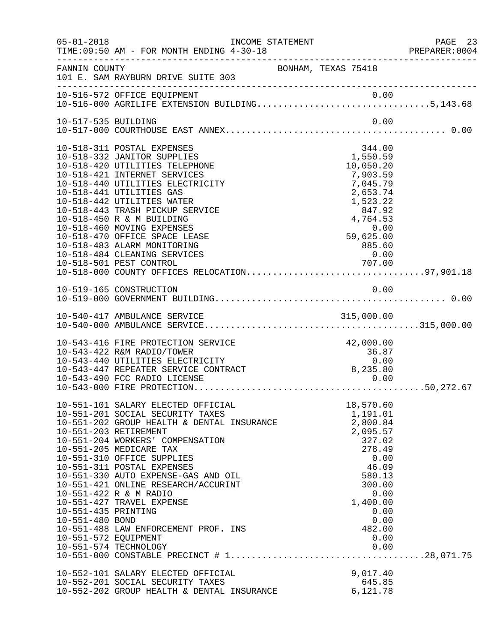| $05 - 01 - 2018$                                               | TIME: 09:50 AM - FOR MONTH ENDING 4-30-18                                                                                                                                                                                                                                                                                                                                                                                                             | INCOME STATEMENT                                                                                                                                                  | PAGE 23<br>PREPARER: 0004 |
|----------------------------------------------------------------|-------------------------------------------------------------------------------------------------------------------------------------------------------------------------------------------------------------------------------------------------------------------------------------------------------------------------------------------------------------------------------------------------------------------------------------------------------|-------------------------------------------------------------------------------------------------------------------------------------------------------------------|---------------------------|
| FANNIN COUNTY                                                  | 101 E. SAM RAYBURN DRIVE SUITE 303                                                                                                                                                                                                                                                                                                                                                                                                                    | BONHAM, TEXAS 75418                                                                                                                                               |                           |
|                                                                | 10-516-572 OFFICE EQUIPMENT 0.00<br>10-516-000 AGRILIFE EXTENSION BUILDING5,143.68                                                                                                                                                                                                                                                                                                                                                                    |                                                                                                                                                                   |                           |
| 10-517-535 BUILDING                                            |                                                                                                                                                                                                                                                                                                                                                                                                                                                       | 0.00                                                                                                                                                              |                           |
|                                                                | 10-518-311 POSTAL EXPENSES<br>10-518-332 JANITOR SUPPLIES<br>10-518-420 UTILITIES TELEPHONE<br>10-518-421 INTERNET SERVICES<br>10-518-440 UTILITIES ELECTRICITY<br>10-518-441 UTILITIES GAS<br>10-518-442 UTILITIES WATER<br>10-518-443 TRASH PICKUP SERVICE<br>10-518-450 R & M BUILDING<br>10-518-460 MOVING EXPENSES<br>10-518-470 OFFICE SPACE LEASE<br>10-518-483 ALARM MONITORING<br>10-518-484 CLEANING SERVICES<br>10-518-501 PEST CONTROL    | 344.00<br>1,550.59<br>10,050.20<br>7,903.59<br>7,045.79<br>2,653.74<br>1,523.22<br>847.92<br>4,764.53<br>0.00<br>$59,625.00$<br>885.60<br>0 0 0<br>0.00<br>707.00 |                           |
|                                                                |                                                                                                                                                                                                                                                                                                                                                                                                                                                       |                                                                                                                                                                   |                           |
|                                                                |                                                                                                                                                                                                                                                                                                                                                                                                                                                       |                                                                                                                                                                   |                           |
|                                                                | 10-543-416 FIRE PROTECTION SERVICE<br>10-543-422 R&M RADIO/TOWER<br>10-543-440 UTILITIES ELECTRICITY<br>10-543-447 REPEATER SERVICE CONTRACT<br>10-543-490 FCC RADIO LICENSE                                                                                                                                                                                                                                                                          | 42,000.00<br>$36.87$<br>$8,235.80$<br>0.00                                                                                                                        |                           |
| 10-551-435 PRINTING<br>10-551-480 BOND<br>10-551-572 EQUIPMENT | 10-551-101 SALARY ELECTED OFFICIAL<br>10-551-201 SOCIAL SECURITY TAXES<br>10-551-202 GROUP HEALTH & DENTAL INSURANCE<br>10-551-203 RETIREMENT<br>10-551-204 WORKERS' COMPENSATION<br>10-551-205 MEDICARE TAX<br>10-551-310 OFFICE SUPPLIES<br>10-551-311 POSTAL EXPENSES<br>10-551-330 AUTO EXPENSE-GAS AND OIL<br>10-551-421 ONLINE RESEARCH/ACCURINT<br>10-551-422 R & M RADIO<br>10-551-427 TRAVEL EXPENSE<br>10-551-488 LAW ENFORCEMENT PROF. INS | 18,570.60<br>1,191.01<br>2,800.84<br>2,095.57<br>327.02<br>278.49<br>0.00<br>46.09<br>580.13<br>300.00<br>0.00<br>1,400.00<br>0.00<br>0.00<br>482.00<br>0.00      |                           |
|                                                                | 10-552-101 SALARY ELECTED OFFICIAL<br>10-552-201 SOCIAL SECURITY TAXES<br>10-552-202 GROUP HEALTH & DENTAL INSURANCE                                                                                                                                                                                                                                                                                                                                  | 9,017.40<br>645.85<br>6,121.78                                                                                                                                    |                           |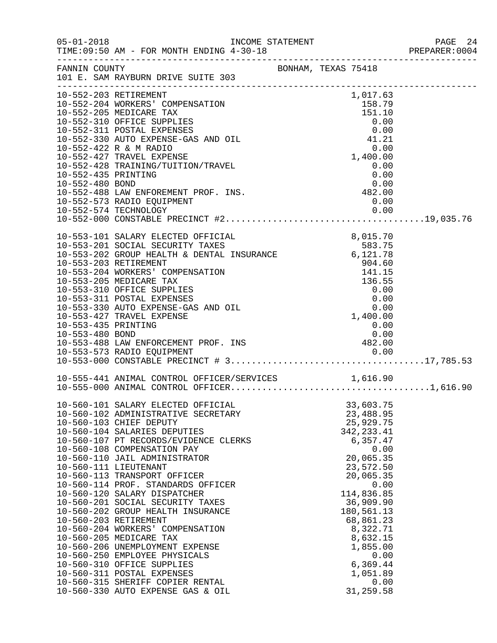|                                        |                                                                                                                                                                                                                                                                                                                                                                                                                                                                                                                                                                                                                                                                                                                                                        |                     |                                                                                                        |                                                                                                                                                                                                                                      |                              | PREPARER: 0004 |
|----------------------------------------|--------------------------------------------------------------------------------------------------------------------------------------------------------------------------------------------------------------------------------------------------------------------------------------------------------------------------------------------------------------------------------------------------------------------------------------------------------------------------------------------------------------------------------------------------------------------------------------------------------------------------------------------------------------------------------------------------------------------------------------------------------|---------------------|--------------------------------------------------------------------------------------------------------|--------------------------------------------------------------------------------------------------------------------------------------------------------------------------------------------------------------------------------------|------------------------------|----------------|
|                                        | FANNIN COUNTY<br>101 E. SAM RAYBURN DRIVE SUITE 303                                                                                                                                                                                                                                                                                                                                                                                                                                                                                                                                                                                                                                                                                                    | BONHAM, TEXAS 75418 |                                                                                                        |                                                                                                                                                                                                                                      |                              |                |
| 10-552-435 PRINTING<br>10-552-480 BOND | 10-552-203 RETIREMENT<br>10-552-204 WORKERS' COMPENSATION<br>10-552-205 MEDICARE TAX<br>10-552-310 OFFICE SUPPLIES<br>10-552-311 POSTAL EXPENSES<br>10-552-330 AUTO EXPENSE-GAS AND OIL<br>10-552-422 R & M RADIO<br>10-552-427 TRAVEL EXPENSE<br>10-552-428 TRAINING/TUITION/TRAVEL<br>10-552-488 LAW ENFOREMENT PROF. INS.<br>10-552-573 RADIO EQUIPMENT                                                                                                                                                                                                                                                                                                                                                                                             |                     |                                                                                                        | 1,017.63<br>158.79<br>151.10<br>0.00<br>0.00<br>41.21<br>1,400.00<br>0.00<br>0.00<br>$0\,.00\0.00$<br>0.00                                                                                                                           | 0.00<br>0.00                 |                |
| 10-553-435 PRINTING<br>10-553-480 BOND | 10-553-101 SALARY ELECTED OFFICIAL (8,015.70<br>10-553-201 SOCIAL SECURITY TAXES 583.75<br>10-553-202 GROUP HEALTH & DENTAL INSURANCE (6,121.78<br>10-553-203 RETIREMENT<br>10-553-204 WORKERS' COMPENSATION<br>10-553-205 MEDICARE TAX<br>10-553-310 OFFICE SUPPLIES<br>10-553-311 POSTAL EXPENSES<br>10-553-330 AUTO EXPENSE-GAS AND OIL<br>10-553-427 TRAVEL EXPENSE<br>10-553-400 BOND<br>10-553-488 LAW ENFORCEMENT PROF. INS<br>10-553-488 LAW ENFORCEMENT PROF. INS                                                                                                                                                                                                                                                                             |                     | $\begin{array}{r} \n 0.41.60 \\  904.60 \\  141.15 \\  136.55 \\  0.00 \\  0.00 \\  0.00\n\end{array}$ | 1,400.00<br>0.00<br>0.00                                                                                                                                                                                                             | 0.00                         |                |
|                                        |                                                                                                                                                                                                                                                                                                                                                                                                                                                                                                                                                                                                                                                                                                                                                        |                     |                                                                                                        |                                                                                                                                                                                                                                      |                              |                |
|                                        | 10-560-101 SALARY ELECTED OFFICIAL<br>10-560-102 ADMINISTRATIVE SECRETARY<br>10-560-103 CHIEF DEPUTY<br>10-560-104 SALARIES DEPUTIES<br>10-560-107 PT RECORDS/EVIDENCE CLERKS<br>10-560-108 COMPENSATION PAY<br>10-560-110 JAIL ADMINISTRATOR<br>10-560-111 LIEUTENANT<br>10-560-113 TRANSPORT OFFICER<br>10-560-114 PROF. STANDARDS OFFICER<br>10-560-120 SALARY DISPATCHER<br>10-560-201 SOCIAL SECURITY TAXES<br>10-560-202 GROUP HEALTH INSURANCE<br>10-560-203 RETIREMENT<br>10-560-204 WORKERS' COMPENSATION<br>10-560-205 MEDICARE TAX<br>10-560-206 UNEMPLOYMENT EXPENSE<br>10-560-250 EMPLOYEE PHYSICALS<br>10-560-310 OFFICE SUPPLIES<br>10-560-311 POSTAL EXPENSES<br>10-560-315 SHERIFF COPIER RENTAL<br>10-560-330 AUTO EXPENSE GAS & OIL |                     |                                                                                                        | 33,603.75<br>23,488.95<br>25,929.75<br>342, 233.41<br>6,357.47<br>20,065.35<br>23,572.50<br>20,065.35<br>114,836.85<br>36,909.90<br>180,561.13<br>68,861.23<br>8,322.71<br>8,632.15<br>1,855.00<br>6,369.44<br>1,051.89<br>31,259.58 | 0.00<br>0.00<br>0.00<br>0.00 |                |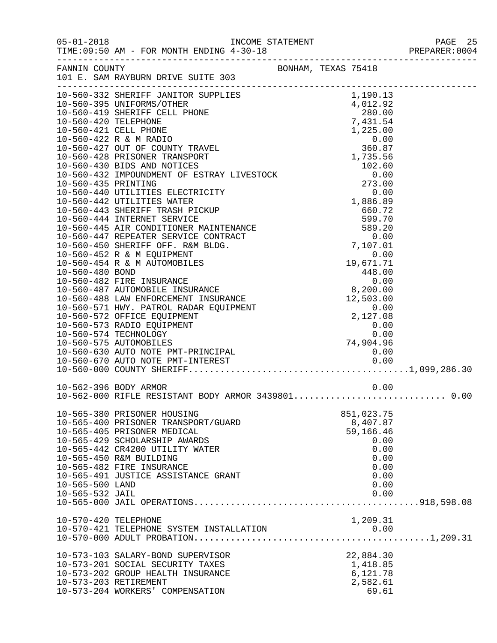|                      |                                                            |                     |              | PREPARER: 0004 |
|----------------------|------------------------------------------------------------|---------------------|--------------|----------------|
|                      | FANNIN COUNTY                                              | BONHAM, TEXAS 75418 |              |                |
|                      |                                                            |                     |              |                |
|                      |                                                            |                     |              |                |
|                      |                                                            |                     |              |                |
|                      |                                                            |                     |              |                |
|                      |                                                            |                     |              |                |
|                      |                                                            |                     |              |                |
|                      |                                                            |                     |              |                |
|                      |                                                            |                     |              |                |
|                      |                                                            |                     |              |                |
|                      |                                                            |                     |              |                |
|                      |                                                            |                     |              |                |
|                      |                                                            |                     |              |                |
|                      |                                                            |                     |              |                |
|                      |                                                            |                     |              |                |
|                      |                                                            |                     |              |                |
|                      |                                                            |                     |              |                |
|                      |                                                            |                     |              |                |
|                      |                                                            |                     |              |                |
|                      |                                                            |                     |              |                |
|                      |                                                            |                     |              |                |
|                      |                                                            |                     |              |                |
|                      |                                                            |                     |              |                |
|                      |                                                            |                     |              |                |
|                      |                                                            |                     |              |                |
|                      |                                                            |                     |              |                |
|                      |                                                            |                     |              |                |
|                      |                                                            |                     |              |                |
|                      |                                                            |                     |              |                |
|                      |                                                            |                     |              |                |
|                      |                                                            |                     |              |                |
|                      | 10-562-396 BODY ARMOR                                      |                     | 0.00         |                |
|                      | 10-562-000 RIFLE RESISTANT BODY ARMOR 3439801 0.00         |                     |              |                |
|                      | 10-565-380 PRISONER HOUSING                                |                     | 851,023.75   |                |
|                      | 10-565-400 PRISONER TRANSPORT/GUARD                        |                     | 8,407.87     |                |
|                      | 10-565-405 PRISONER MEDICAL                                |                     | 59,166.46    |                |
|                      | 10-565-429 SCHOLARSHIP AWARDS                              |                     | 0.00         |                |
|                      | 10-565-442 CR4200 UTILITY WATER<br>10-565-450 R&M BUILDING |                     | 0.00         |                |
|                      | 10-565-482 FIRE INSURANCE                                  |                     | 0.00<br>0.00 |                |
|                      | 10-565-491 JUSTICE ASSISTANCE GRANT                        |                     | 0.00         |                |
| 10-565-500 LAND      |                                                            |                     | 0.00         |                |
| 10-565-532 JAIL      |                                                            |                     | 0.00         |                |
|                      |                                                            |                     |              |                |
| 10-570-420 TELEPHONE |                                                            |                     | 1,209.31     |                |
|                      | 10-570-421 TELEPHONE SYSTEM INSTALLATION                   |                     | 0.00         |                |
|                      |                                                            |                     |              |                |
|                      | 10-573-103 SALARY-BOND SUPERVISOR                          |                     | 22,884.30    |                |
|                      | 10-573-201 SOCIAL SECURITY TAXES                           |                     | 1,418.85     |                |
|                      | 10-573-202 GROUP HEALTH INSURANCE                          |                     | 6,121.78     |                |
|                      | 10-573-203 RETIREMENT                                      |                     | 2,582.61     |                |
|                      | 10-573-204 WORKERS' COMPENSATION                           |                     | 69.61        |                |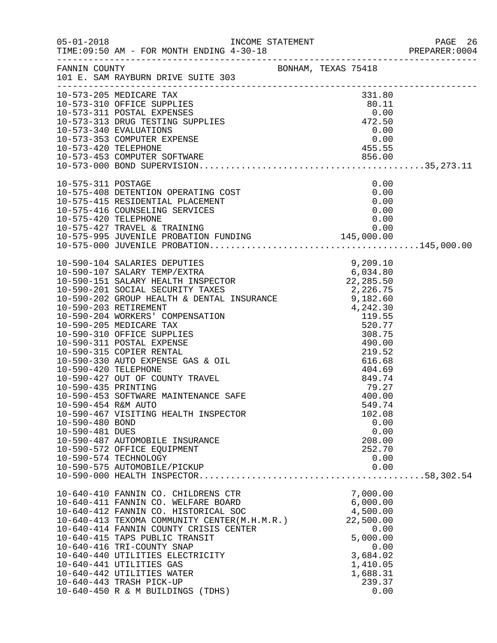| $05 - 01 - 2018$                                          | TIME: 09:50 AM - FOR MONTH ENDING 4-30-18                                                                                                                                                                                                                                                                                                                                                                                                   |                                                                                                                                 |  |
|-----------------------------------------------------------|---------------------------------------------------------------------------------------------------------------------------------------------------------------------------------------------------------------------------------------------------------------------------------------------------------------------------------------------------------------------------------------------------------------------------------------------|---------------------------------------------------------------------------------------------------------------------------------|--|
|                                                           | FANNIN COUNTY<br>101 E. SAM RAYBURN DRIVE SUITE 303                                                                                                                                                                                                                                                                                                                                                                                         |                                                                                                                                 |  |
|                                                           | $\begin{array}{lllllllllllllllllll} 10-573-205 & \text{MEDICARE TAX} & 331.80 \\ 10-573-310 & \text{OFFICE SUPPLIES} & 80.11 \\ 10-573-311 & \text{POSTAL EXPENSES} & 0.00 \\ 10-573-313 & \text{DRUG TESTING SUPPLIES} & 472.50 \\ 10-573-340 & \text{EVALUATIONS} & 0.00 \\ 10-573-353 & \text{COMPUTER EXPENSE} & 0.00 \\ 10-573-420 & \text{TELEPHONE} & 455.5$                                                                         |                                                                                                                                 |  |
|                                                           | $\begin{array}{lllllllllllllllllllllll} 10-575-311 & \text{POSTAGE} & 0.00 \\ 10-575-408 & \text{DEFENTION OPERATING COST} & 0.00 \\ 10-575-415 & \text{RESIDENTIAL PLACEMENT} & 0.00 \\ 10-575-416 & \text{COUNTIS} & \text{SENUEST} & 0.00 \\ 10-575-420 & \text{TELEPHONE} & 0.00 \\ 10-575-427 & \text{TRAVEL & TRAINING} & 0.00 \\ 10-575-995 & \text{JUVENILE PROBATION FUNDING} &$                                                   |                                                                                                                                 |  |
| 10-590-454 R&M AUTO<br>10-590-480 BOND<br>10-590-481 DUES | 10-590-467 VISITING HEALTH INSPECTOR<br>10-590-487 AUTOMOBILE INSURANCE<br>10-590-572 OFFICE EQUIPMENT<br>10-590-574 TECHNOLOGY<br>10-590-575 AUTOMOBILE/PICKUP                                                                                                                                                                                                                                                                             | 549.74<br>102.08<br>0.00<br>0.00<br>208.00<br>252.70<br>0.00<br>0.00                                                            |  |
|                                                           | 10-640-410 FANNIN CO. CHILDRENS CTR<br>10-640-411 FANNIN CO. WELFARE BOARD<br>10-640-412 FANNIN CO. HISTORICAL SOC<br>10-640-413 TEXOMA COMMUNITY CENTER(M.H.M.R.)<br>10-640-414 FANNIN COUNTY CRISIS CENTER<br>10-640-415 TAPS PUBLIC TRANSIT<br>10-640-416 TRI-COUNTY SNAP<br>10-640-440 UTILITIES ELECTRICITY<br>10-640-441 UTILITIES GAS<br>10-640-442 UTILITIES WATER<br>10-640-443 TRASH PICK-UP<br>10-640-450 R & M BUILDINGS (TDHS) | 7,000.00<br>6,000.00<br>4,500.00<br>22,500.00<br>0.00<br>5,000.00<br>0.00<br>3,684.02<br>1,410.05<br>1,688.31<br>239.37<br>0.00 |  |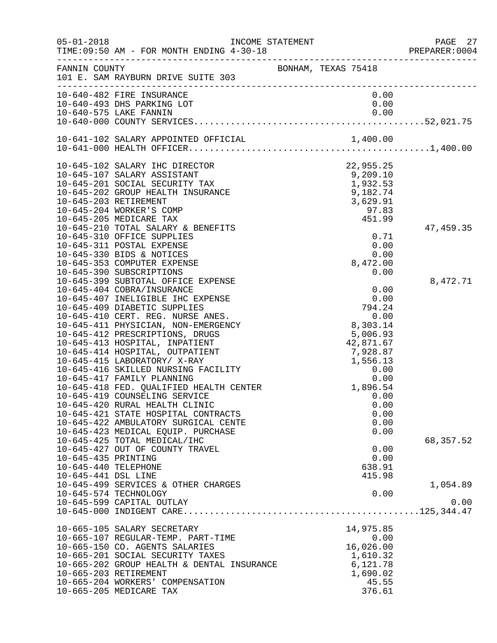| $05 - 01 - 2018$                                                   | TIME: 09:50 AM - FOR MONTH ENDING 4-30-18                                                                                                                                                                                                                                                                                                                                                                                                                                                                                                                                                                                                                         |                                                                                                                                                                    | PAGE 27<br>PREPARER:0004 |
|--------------------------------------------------------------------|-------------------------------------------------------------------------------------------------------------------------------------------------------------------------------------------------------------------------------------------------------------------------------------------------------------------------------------------------------------------------------------------------------------------------------------------------------------------------------------------------------------------------------------------------------------------------------------------------------------------------------------------------------------------|--------------------------------------------------------------------------------------------------------------------------------------------------------------------|--------------------------|
| FANNIN COUNTY                                                      | 101 E. SAM RAYBURN DRIVE SUITE 303                                                                                                                                                                                                                                                                                                                                                                                                                                                                                                                                                                                                                                | BONHAM, TEXAS 75418                                                                                                                                                |                          |
|                                                                    | 10-640-482 FIRE INSURANCE<br>10-640-493 DHS PARKING LOT                                                                                                                                                                                                                                                                                                                                                                                                                                                                                                                                                                                                           | 0.00<br>0.00                                                                                                                                                       |                          |
|                                                                    |                                                                                                                                                                                                                                                                                                                                                                                                                                                                                                                                                                                                                                                                   |                                                                                                                                                                    |                          |
|                                                                    | 10-645-102 SALARY IHC DIRECTOR<br>10-645-107 SALARY ASSISTANT<br>10-645-201 SOCIAL SECURITY TAX<br>10-645-202 GROUP HEALTH INSURANCE<br>10-645-203 RETIREMENT<br>10-645-204 WORKER'S COMP<br>10-645-205 MEDICARE TAX<br>10-645-210 TOTAL SALARY & BENEFITS<br>10-645-310 OFFICE SUPPLIES                                                                                                                                                                                                                                                                                                                                                                          | $22,955.25$<br>9,209.10<br>1,932.53<br>9.182<br>451.99<br>0.71                                                                                                     | 47, 459.35               |
|                                                                    | 10-645-311 POSTAL EXPENSE<br>10-645-330 BIDS & NOTICES<br>10-645-353 COMPUTER EXPENSE<br>10-645-390 SUBSCRIPTIONS                                                                                                                                                                                                                                                                                                                                                                                                                                                                                                                                                 | 0.00<br>0.00<br>8,472.00<br>0.00                                                                                                                                   |                          |
|                                                                    | 10-645-399 SUBTOTAL OFFICE EXPENSE<br>10-645-404 COBRA/INSURANCE<br>10-645-407 INELIGIBLE IHC EXPENSE<br>10-645-409 DIABETIC SUPPLIES<br>10-645-410 CERT. REG. NURSE ANES.<br>10-645-411 PHYSICIAN, NON-EMERGENCY<br>10-645-412 PRESCRIPTIONS, DRUGS<br>10-645-413 HOSPITAL, INPATIENT<br>10-645-414 HOSPITAL, OUTPATIENT<br>10-645-415 LABORATORY/ X-RAY<br>10-645-416 SKILLED NURSING FACILITY<br>10-645-417 FAMILY PLANNING<br>10-645-418 FED. QUALIFIED HEALTH CENTER<br>10-645-419 COUNSELING SERVICE<br>10-645-420 RURAL HEALTH CLINIC<br>10-645-421 STATE HOSPITAL CONTRACTS<br>10-645-422 AMBULATORY SURGICAL CENTE<br>10-645-423 MEDICAL EQUIP. PURCHASE | <sup>2</sup><br>$\frac{8}{5}$ , 0,<br>$\frac{42}{7}$ , 928. c<br>$\frac{7}{7}$ , 928. c<br>$\frac{1}{56}$ , 13<br>0. 00<br>0. 00<br>1, 896. 5<br>0<br>0.00<br>0.00 | 8,472.71                 |
| 10-645-435 PRINTING<br>10-645-440 TELEPHONE<br>10-645-441 DSL LINE | 10-645-425 TOTAL MEDICAL/IHC<br>10-645-427 OUT OF COUNTY TRAVEL<br>10-645-499 SERVICES & OTHER CHARGES                                                                                                                                                                                                                                                                                                                                                                                                                                                                                                                                                            | 0.00<br>0.00<br>638.91<br>415.98                                                                                                                                   | 68, 357.52<br>1,054.89   |
|                                                                    | 10-645-574 TECHNOLOGY<br>10-645-599 CAPITAL OUTLAY                                                                                                                                                                                                                                                                                                                                                                                                                                                                                                                                                                                                                | 0.00                                                                                                                                                               | 0.00                     |
|                                                                    | 10-665-105 SALARY SECRETARY<br>10-665-107 REGULAR-TEMP. PART-TIME<br>10-665-150 CO. AGENTS SALARIES<br>10-665-201 SOCIAL SECURITY TAXES<br>10-665-202 GROUP HEALTH & DENTAL INSURANCE<br>10-665-203 RETIREMENT<br>10-665-204 WORKERS' COMPENSATION<br>10-665-205 MEDICARE TAX                                                                                                                                                                                                                                                                                                                                                                                     | 14,975.85<br>0.00<br>16,026.00<br>1,610.32<br>6,121.78<br>1,690.02<br>45.55<br>376.61                                                                              |                          |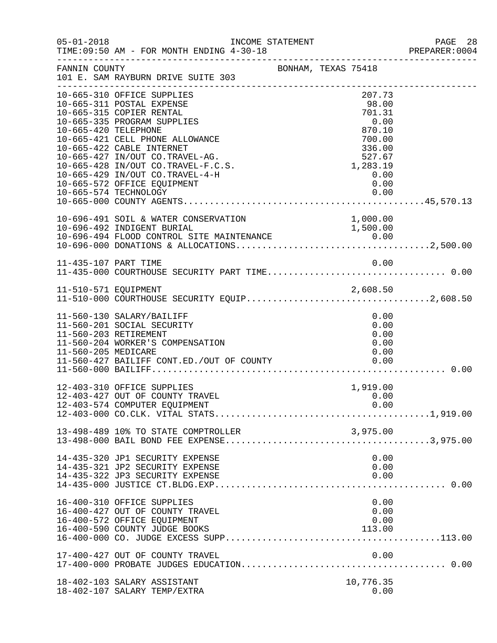| $05 - 01 - 2018$     | INCOME STATEMENT<br>TIME: 09:50 AM - FOR MONTH ENDING 4-30-18                                                                                                                                                                                               |  |                                                                                       | PAGE 28<br>PREPARER:0004 |
|----------------------|-------------------------------------------------------------------------------------------------------------------------------------------------------------------------------------------------------------------------------------------------------------|--|---------------------------------------------------------------------------------------|--------------------------|
| FANNIN COUNTY        | BONHAM, TEXAS 75418<br>101 E. SAM RAYBURN DRIVE SUITE 303                                                                                                                                                                                                   |  |                                                                                       |                          |
| 10-665-420 TELEPHONE | 10-665-310 OFFICE SUPPLIES<br>10-665-311 POSTAL EXPENSE<br>10-665-315 COPIER RENTAL<br>10-665-335 PROGRAM SUPPLIES<br>10-665-421 CELL PHONE ALLOWANCE<br>10-665-422 CABLE INTERNET<br>10-665-427 IN/OUT CO.TRAVEL-AG.<br>10-665-428 IN/OUT CO.TRAVEL-F.C.S. |  | 207.73<br>98.00<br>701.31<br>0.00<br>870.10<br>700.00<br>336.00<br>527.67<br>1,283.19 |                          |
|                      | 10-665-429 IN/OUT CO.TRAVEL-4-H<br>10-665-572 OFFICE EQUIPMENT<br>10-665-574 TECHNOLOGY                                                                                                                                                                     |  | 0.00<br>0.00<br>0.00                                                                  |                          |
|                      | 10-696-491 SOIL & WATER CONSERVATION                                                                                                                                                                                                                        |  | 1,000.00                                                                              |                          |
| 11-435-107 PART TIME |                                                                                                                                                                                                                                                             |  | 0.00                                                                                  |                          |
|                      |                                                                                                                                                                                                                                                             |  |                                                                                       |                          |
| 11-560-205 MEDICARE  | 11-560-130 SALARY/BAILIFF<br>11-560-201 SOCIAL SECURITY<br>11-560-203 RETIREMENT<br>11-560-204 WORKER'S COMPENSATION<br>11-560-427 BAILIFF CONT.ED./OUT OF COUNTY                                                                                           |  | 0.00<br>0.00<br>0.00<br>0.00<br>0.00<br>0.00                                          |                          |
|                      | 12-403-310 OFFICE SUPPLIES<br>12-403-427 OUT OF COUNTY TRAVEL<br>12-403-574 COMPUTER EQUIPMENT                                                                                                                                                              |  | 1,919.00<br>0.00<br>0.00                                                              |                          |
|                      | 13-498-489 10% TO STATE COMPTROLLER                                                                                                                                                                                                                         |  |                                                                                       |                          |
|                      | 14-435-320 JP1 SECURITY EXPENSE<br>14-435-321 JP2 SECURITY EXPENSE<br>14-435-322 JP3 SECURITY EXPENSE                                                                                                                                                       |  | 0.00<br>0.00<br>0.00                                                                  |                          |
|                      | 16-400-310 OFFICE SUPPLIES<br>16-400-427 OUT OF COUNTY TRAVEL<br>16-400-572 OFFICE EQUIPMENT<br>16-400-590 COUNTY JUDGE BOOKS                                                                                                                               |  | 0.00<br>0.00<br>0.00<br>113.00                                                        |                          |
|                      | 17-400-427 OUT OF COUNTY TRAVEL                                                                                                                                                                                                                             |  | 0.00                                                                                  |                          |
|                      | 18-402-103 SALARY ASSISTANT<br>18-402-107 SALARY TEMP/EXTRA                                                                                                                                                                                                 |  | 10,776.35<br>0.00                                                                     |                          |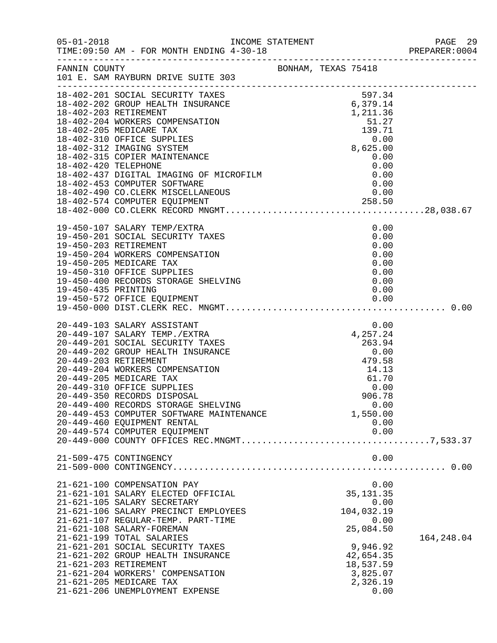|                     |                                                                                              |  |                       | PREPARER: 0004 |
|---------------------|----------------------------------------------------------------------------------------------|--|-----------------------|----------------|
|                     |                                                                                              |  |                       |                |
|                     |                                                                                              |  |                       |                |
|                     |                                                                                              |  |                       |                |
|                     |                                                                                              |  |                       |                |
|                     |                                                                                              |  |                       |                |
|                     |                                                                                              |  |                       |                |
|                     |                                                                                              |  |                       |                |
|                     |                                                                                              |  |                       |                |
|                     |                                                                                              |  |                       |                |
|                     |                                                                                              |  |                       |                |
|                     | 19-450-107 SALARY TEMP/EXTRA<br>19-450-201 SOCIAL SECURITY TAXES                             |  | 0.00<br>0.00          |                |
|                     | 19-450-203 RETIREMENT                                                                        |  | 0.00                  |                |
|                     | 19-450-204 WORKERS COMPENSATION                                                              |  | 0.00<br>0.00          |                |
|                     | 19-450-205 MEDICARE TAX<br>19-450-310 OFFICE SUPPLIES<br>19-450-400 RECORDS STORAGE SHELVING |  | 0.00                  |                |
| 19-450-435 PRINTING |                                                                                              |  | 0.00<br>0.00          |                |
|                     |                                                                                              |  |                       |                |
|                     |                                                                                              |  |                       |                |
|                     |                                                                                              |  |                       |                |
|                     |                                                                                              |  |                       |                |
|                     |                                                                                              |  |                       |                |
|                     |                                                                                              |  |                       |                |
|                     | 20-449-205 MEDICARE TAX<br>20-449-310 OFFICE SUPPLIES                                        |  | 61.70<br>0.00         |                |
|                     | 20-449-350 RECORDS DISPOSAL<br>20-449-400 RECORDS STORAGE SHELVING                           |  | 906.78                |                |
|                     | 20-449-453 COMPUTER SOFTWARE MAINTENANCE                                                     |  | 0.00<br>1,550.00      |                |
|                     | 20-449-460 EQUIPMENT RENTAL<br>20-449-574 COMPUTER EQUIPMENT                                 |  | 0.00<br>0.00          |                |
|                     |                                                                                              |  |                       |                |
|                     | 21-509-475 CONTINGENCY                                                                       |  | 0.00                  |                |
|                     |                                                                                              |  |                       |                |
|                     | 21-621-100 COMPENSATION PAY                                                                  |  | 0.00                  |                |
|                     | 21-621-101 SALARY ELECTED OFFICIAL<br>21-621-105 SALARY SECRETARY                            |  | 35, 131.35<br>0.00    |                |
|                     | 21-621-106 SALARY PRECINCT EMPLOYEES                                                         |  | 104,032.19            |                |
|                     | 21-621-107 REGULAR-TEMP. PART-TIME<br>21-621-108 SALARY-FOREMAN                              |  | 0.00<br>25,084.50     |                |
|                     | 21-621-199 TOTAL SALARIES<br>21-621-201 SOCIAL SECURITY TAXES                                |  | 9,946.92              | 164,248.04     |
|                     | 21-621-202 GROUP HEALTH INSURANCE                                                            |  | 42,654.35             |                |
|                     | 21-621-203 RETIREMENT<br>21-621-204 WORKERS' COMPENSATION                                    |  | 18,537.59<br>3,825.07 |                |
|                     | 21-621-205 MEDICARE TAX                                                                      |  | 2,326.19              |                |
|                     | 21-621-206 UNEMPLOYMENT EXPENSE                                                              |  | 0.00                  |                |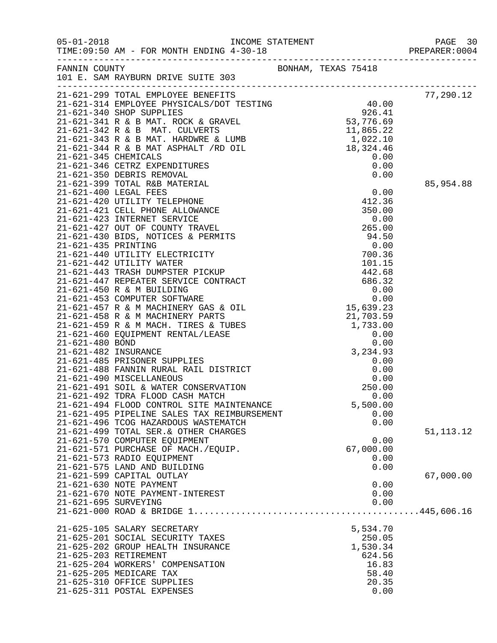|                      |                                                                   |                   | PAGE 30<br>PREPARER: 0004 |
|----------------------|-------------------------------------------------------------------|-------------------|---------------------------|
|                      |                                                                   |                   |                           |
|                      |                                                                   |                   | 77,290.12                 |
|                      |                                                                   |                   |                           |
|                      |                                                                   |                   |                           |
|                      |                                                                   |                   |                           |
|                      |                                                                   |                   |                           |
|                      |                                                                   |                   |                           |
|                      |                                                                   |                   |                           |
|                      |                                                                   |                   |                           |
|                      |                                                                   |                   |                           |
|                      |                                                                   |                   | 85,954.88                 |
|                      |                                                                   |                   |                           |
|                      |                                                                   |                   |                           |
|                      |                                                                   |                   |                           |
|                      |                                                                   |                   |                           |
|                      |                                                                   |                   |                           |
|                      |                                                                   |                   |                           |
|                      |                                                                   |                   |                           |
|                      |                                                                   |                   |                           |
|                      |                                                                   |                   |                           |
|                      |                                                                   |                   |                           |
|                      |                                                                   |                   |                           |
|                      |                                                                   |                   |                           |
|                      |                                                                   |                   |                           |
|                      |                                                                   |                   |                           |
|                      |                                                                   |                   |                           |
|                      |                                                                   |                   |                           |
|                      |                                                                   |                   |                           |
|                      |                                                                   |                   |                           |
|                      |                                                                   |                   |                           |
|                      | 21-621-490 MISCELLANEOUS                                          | 0.00              |                           |
|                      | 21-621-491 SOIL & WATER CONSERVATION                              | 250.00            |                           |
|                      | 21-621-492 TDRA FLOOD CASH MATCH                                  | 0.00              |                           |
|                      | 21-621-494 FLOOD CONTROL SITE MAINTENANCE                         | 5,500.00          |                           |
|                      | 21-621-495 PIPELINE SALES TAX REIMBURSEMENT                       | 0.00              |                           |
|                      | 21-621-496 TCOG HAZARDOUS WASTEMATCH                              | 0.00              |                           |
|                      | 21-621-499 TOTAL SER. & OTHER CHARGES                             |                   | 51, 113. 12               |
|                      | 21-621-570 COMPUTER EQUIPMENT                                     | 0.00              |                           |
|                      | 21-621-571 PURCHASE OF MACH./EQUIP.<br>21-621-573 RADIO EQUIPMENT | 67,000.00<br>0.00 |                           |
|                      | 21-621-575 LAND AND BUILDING                                      | 0.00              |                           |
|                      | 21-621-599 CAPITAL OUTLAY                                         |                   | 67,000.00                 |
|                      | 21-621-630 NOTE PAYMENT                                           | 0.00              |                           |
|                      | 21-621-670 NOTE PAYMENT-INTEREST                                  | 0.00              |                           |
| 21-621-695 SURVEYING |                                                                   | 0.00              |                           |
|                      |                                                                   |                   |                           |
|                      | 21-625-105 SALARY SECRETARY                                       | 5,534.70          |                           |
|                      | 21-625-201 SOCIAL SECURITY TAXES                                  | 250.05            |                           |
|                      | 21-625-202 GROUP HEALTH INSURANCE                                 | 1,530.34          |                           |
|                      | 21-625-203 RETIREMENT                                             | 624.56            |                           |
|                      | 21-625-204 WORKERS' COMPENSATION                                  | 16.83             |                           |
|                      | 21-625-205 MEDICARE TAX                                           | 58.40             |                           |
|                      | 21-625-310 OFFICE SUPPLIES<br>21-625-311 POSTAL EXPENSES          | 20.35<br>0.00     |                           |
|                      |                                                                   |                   |                           |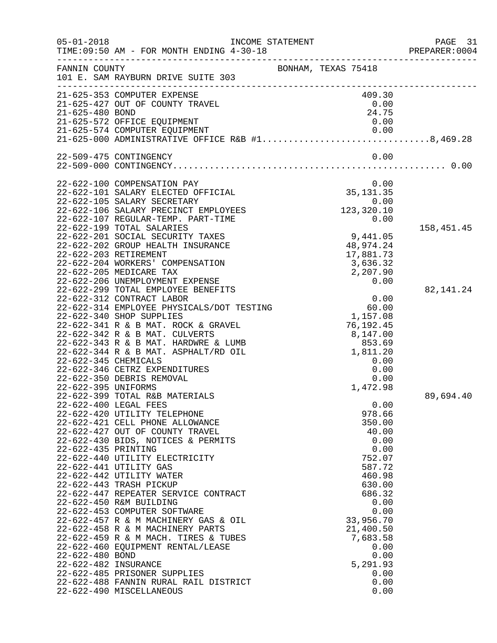| $05 - 01 - 2018$     | TIME: 09:50 AM - FOR MONTH ENDING 4-30-18                                    | INCOME STATEMENT                                                                 | PAGE 31<br>PREPARER: 0004 |
|----------------------|------------------------------------------------------------------------------|----------------------------------------------------------------------------------|---------------------------|
| FANNIN COUNTY        | 101 E. SAM RAYBURN DRIVE SUITE 303                                           | BONHAM, TEXAS 75418                                                              |                           |
|                      | 21-625-353 COMPUTER EXPENSE                                                  | 409.30                                                                           |                           |
|                      | 21-625-427 OUT OF COUNTY TRAVEL                                              | 0.00                                                                             |                           |
| 21-625-480 BOND      |                                                                              | 24.75                                                                            |                           |
|                      | 21-625-572 OFFICE EQUIPMENT                                                  | 0.00                                                                             |                           |
|                      |                                                                              | 21-625-574 COMPUTER EQUIPMENT<br>21-625-000 ADMINISTRATIVE OFFICE R&B #18,469.28 |                           |
|                      | 22-509-475 CONTINGENCY                                                       | 0.00                                                                             |                           |
|                      |                                                                              |                                                                                  |                           |
|                      | 22-622-100 COMPENSATION PAY                                                  | 0.00                                                                             |                           |
|                      | 22-622-101 SALARY ELECTED OFFICIAL                                           | 35, 131.35                                                                       |                           |
|                      | 22-622-105 SALARY SECRETARY                                                  | 0.00                                                                             |                           |
|                      | 22-622-106 SALARY PRECINCT EMPLOYEES                                         | 123, 320.10                                                                      |                           |
|                      | 22-622-107 REGULAR-TEMP. PART-TIME                                           | 0.00                                                                             |                           |
|                      | 22-622-199 TOTAL SALARIES                                                    |                                                                                  | 158,451.45                |
|                      | 22-622-201 SOCIAL SECURITY TAXES                                             | 9,441.05                                                                         |                           |
|                      | 22-622-202 GROUP HEALTH INSURANCE                                            | 48,974.24                                                                        |                           |
|                      | 22-622-203 RETIREMENT                                                        | 17,881.73                                                                        |                           |
|                      | 22-622-204 WORKERS' COMPENSATION                                             | 3,636.32                                                                         |                           |
|                      | 22-622-205 MEDICARE TAX                                                      | 2,207.90                                                                         |                           |
|                      | 22-622-206 UNEMPLOYMENT EXPENSE                                              | 0.00                                                                             |                           |
|                      | 22-622-299 TOTAL EMPLOYEE BENEFITS                                           |                                                                                  | 82, 141. 24               |
|                      | 22-622-312 CONTRACT LABOR                                                    | 0.00                                                                             |                           |
|                      | 22-622-314 EMPLOYEE PHYSICALS/DOT TESTING                                    | 60.00                                                                            |                           |
|                      | 22-622-340 SHOP SUPPLIES                                                     | 1,157.08                                                                         |                           |
|                      | 22-622-341 R & B MAT. ROCK & GRAVEL                                          | 76,192.45                                                                        |                           |
|                      | 22-622-342 R & B MAT. CULVERTS                                               | 8,147.00                                                                         |                           |
|                      | 22-622-343 R & B MAT. HARDWRE & LUMB<br>22-622-344 R & B MAT. ASPHALT/RD OIL | 853.69                                                                           |                           |
| 22-622-345 CHEMICALS |                                                                              | 1,811.20<br>0.00                                                                 |                           |
|                      | 22-622-346 CETRZ EXPENDITURES                                                | 0.00                                                                             |                           |
|                      | 22-622-350 DEBRIS REMOVAL                                                    | 0.00                                                                             |                           |
| 22-622-395 UNIFORMS  |                                                                              | 1,472.98                                                                         |                           |
|                      | 22-622-399 TOTAL R&B MATERIALS                                               |                                                                                  | 89,694.40                 |
|                      | 22-622-400 LEGAL FEES                                                        | 0.00                                                                             |                           |
|                      | 22-622-420 UTILITY TELEPHONE                                                 | 978.66                                                                           |                           |
|                      | 22-622-421 CELL PHONE ALLOWANCE                                              | 350.00                                                                           |                           |
|                      | 22-622-427 OUT OF COUNTY TRAVEL                                              | 40.00                                                                            |                           |
|                      | 22-622-430 BIDS, NOTICES & PERMITS                                           | 0.00                                                                             |                           |
| 22-622-435 PRINTING  |                                                                              | 0.00                                                                             |                           |
|                      | 22-622-440 UTILITY ELECTRICITY                                               | 752.07                                                                           |                           |
|                      | 22-622-441 UTILITY GAS                                                       | 587.72                                                                           |                           |
|                      | 22-622-442 UTILITY WATER                                                     | 460.98                                                                           |                           |
|                      | 22-622-443 TRASH PICKUP                                                      | 630.00                                                                           |                           |
|                      | 22-622-447 REPEATER SERVICE CONTRACT                                         | 686.32                                                                           |                           |
|                      | 22-622-450 R&M BUILDING                                                      | 0.00                                                                             |                           |
|                      | 22-622-453 COMPUTER SOFTWARE                                                 | 0.00                                                                             |                           |
|                      | 22-622-457 R & M MACHINERY GAS & OIL                                         | 33,956.70                                                                        |                           |
|                      | 22-622-458 R & M MACHINERY PARTS                                             | 21,400.50                                                                        |                           |
|                      | 22-622-459 R & M MACH. TIRES & TUBES                                         | 7,683.58                                                                         |                           |
|                      | 22-622-460 EQUIPMENT RENTAL/LEASE                                            | 0.00                                                                             |                           |
| 22-622-480 BOND      |                                                                              | 0.00                                                                             |                           |
| 22-622-482 INSURANCE |                                                                              | 5,291.93                                                                         |                           |
|                      | 22-622-485 PRISONER SUPPLIES                                                 | 0.00                                                                             |                           |
|                      | 22-622-488 FANNIN RURAL RAIL DISTRICT                                        | 0.00                                                                             |                           |
|                      | 22-622-490 MISCELLANEOUS                                                     | 0.00                                                                             |                           |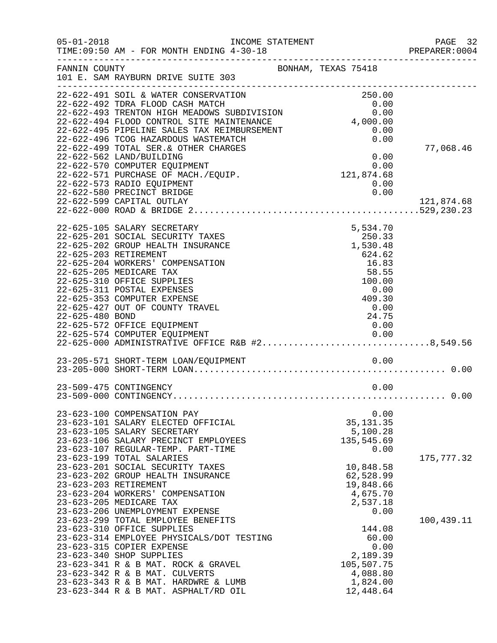| $05 - 01 - 2018$ | INCOME STATEMENT<br>TIME: 09:50 AM - FOR MONTH ENDING 4-30-18                       |                                                                      | PAGE 32<br>PREPARER: 0004 |
|------------------|-------------------------------------------------------------------------------------|----------------------------------------------------------------------|---------------------------|
| FANNIN COUNTY    | 101 E. SAM RAYBURN DRIVE SUITE 303                                                  | BONHAM, TEXAS 75418                                                  |                           |
|                  | 22-622-491 SOIL & WATER CONSERVATION                                                | 250.00                                                               |                           |
|                  | 22-622-492 TDRA FLOOD CASH MATCH                                                    | 0.00<br>$\begin{array}{c} 0.00 \ 0.00 \ 0.00 \ 4,000.00 \end{array}$ |                           |
|                  | 22-622-493 TRENTON HIGH MEADOWS SUBDIVISION                                         |                                                                      |                           |
|                  | 22-622-494 FLOOD CONTROL SITE MAINTENANCE                                           | 0.00                                                                 |                           |
|                  | 22-622-495 PIPELINE SALES TAX REIMBURSEMENT<br>22-622-496 TCOG HAZARDOUS WASTEMATCH | 0.00                                                                 |                           |
|                  | 22-622-499 TOTAL SER. & OTHER CHARGES                                               |                                                                      | 77,068.46                 |
|                  | 22-622-562 LAND/BUILDING                                                            | 0.00                                                                 |                           |
|                  | 22-622-570 COMPUTER EQUIPMENT                                                       |                                                                      |                           |
|                  | 22-622-571 PURCHASE OF MACH./EQUIP.                                                 | 0.00<br>121,874.68                                                   |                           |
|                  | 22-622-573 RADIO EQUIPMENT                                                          | 0.00                                                                 |                           |
|                  | 22-622-580 PRECINCT BRIDGE                                                          | 0.00                                                                 |                           |
|                  | 22-622-599 CAPITAL OUTLAY                                                           |                                                                      | 121,874.68                |
|                  |                                                                                     |                                                                      |                           |
|                  | 22-625-105 SALARY SECRETARY                                                         | 5,534.70                                                             |                           |
|                  | 22-625-201 SOCIAL SECURITY TAXES                                                    | 250.33                                                               |                           |
|                  | 22-625-202 GROUP HEALTH INSURANCE                                                   | 1,530.48                                                             |                           |
|                  | 22-625-203 RETIREMENT<br>22-625-204 WORKERS' COMPENSATION                           | 624.62<br>16.83                                                      |                           |
|                  | 22-625-205 MEDICARE TAX                                                             | 58.55                                                                |                           |
|                  | 22-625-310 OFFICE SUPPLIES                                                          | 100.00                                                               |                           |
|                  | 22-625-311 POSTAL EXPENSES                                                          | 0.00                                                                 |                           |
|                  | 22-625-353 COMPUTER EXPENSE                                                         | 409.30                                                               |                           |
|                  | 22-625-427 OUT OF COUNTY TRAVEL                                                     | 0.00                                                                 |                           |
| 22-625-480 BOND  |                                                                                     | 24.75                                                                |                           |
|                  | 22-625-572 OFFICE EQUIPMENT                                                         | 0.00                                                                 |                           |
|                  | 22-625-574 COMPUTER EQUIPMENT<br>22-625-000 ADMINISTRATIVE OFFICE R&B #28,549.56    |                                                                      |                           |
|                  |                                                                                     |                                                                      |                           |
|                  |                                                                                     |                                                                      |                           |
|                  |                                                                                     |                                                                      |                           |
|                  | 23-509-475 CONTINGENCY                                                              | 0.00                                                                 |                           |
|                  |                                                                                     |                                                                      |                           |
|                  | 23-623-100 COMPENSATION PAY                                                         | 0.00                                                                 |                           |
|                  | 23-623-101 SALARY ELECTED OFFICIAL                                                  | 35, 131.35                                                           |                           |
|                  | 23-623-105 SALARY SECRETARY                                                         | 5,100.28                                                             |                           |
|                  | 23-623-106 SALARY PRECINCT EMPLOYEES                                                | 135,545.69                                                           |                           |
|                  | 23-623-107 REGULAR-TEMP. PART-TIME<br>23-623-199 TOTAL SALARIES                     | 0.00                                                                 | 175, 777.32               |
|                  | 23-623-201 SOCIAL SECURITY TAXES                                                    | 10,848.58                                                            |                           |
|                  | 23-623-202 GROUP HEALTH INSURANCE                                                   | 62,528.99                                                            |                           |
|                  | 23-623-203 RETIREMENT                                                               | 19,848.66                                                            |                           |
|                  | 23-623-204 WORKERS' COMPENSATION                                                    | 4,675.70                                                             |                           |
|                  | 23-623-205 MEDICARE TAX                                                             | 2,537.18                                                             |                           |
|                  | 23-623-206 UNEMPLOYMENT EXPENSE                                                     | 0.00                                                                 |                           |
|                  | 23-623-299 TOTAL EMPLOYEE BENEFITS                                                  |                                                                      | 100,439.11                |
|                  | 23-623-310 OFFICE SUPPLIES                                                          | 144.08                                                               |                           |
|                  | 23-623-314 EMPLOYEE PHYSICALS/DOT TESTING                                           | 60.00                                                                |                           |
|                  | 23-623-315 COPIER EXPENSE                                                           | 0.00                                                                 |                           |
|                  | 23-623-340 SHOP SUPPLIES<br>23-623-341 R & B MAT. ROCK & GRAVEL                     | 2,189.39<br>105,507.75                                               |                           |
|                  | 23-623-342 R & B MAT. CULVERTS                                                      | 4,088.80                                                             |                           |
|                  | 23-623-343 R & B MAT. HARDWRE & LUMB                                                | 1,824.00                                                             |                           |
|                  | 23-623-344 R & B MAT. ASPHALT/RD OIL                                                | 12,448.64                                                            |                           |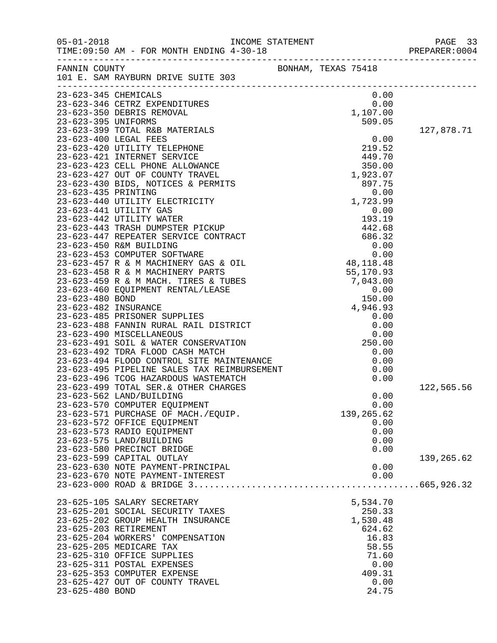| $05 - 01 - 2018$     | TIME: 09:50 AM - FOR MONTH ENDING 4-30-18                                  |  |            | PREPARER: 0004 |
|----------------------|----------------------------------------------------------------------------|--|------------|----------------|
|                      | FANNIN COUNTY<br>BONHAM, TEXAS 75418<br>101 E. SAM RAYBURN DRIVE SUITE 303 |  |            |                |
| 23-623-345 CHEMICALS |                                                                            |  | 0.00       |                |
|                      |                                                                            |  |            |                |
|                      |                                                                            |  |            |                |
|                      |                                                                            |  |            | 127,878.71     |
|                      |                                                                            |  |            |                |
|                      |                                                                            |  |            |                |
|                      |                                                                            |  |            |                |
|                      |                                                                            |  |            |                |
|                      |                                                                            |  |            |                |
|                      |                                                                            |  |            |                |
|                      |                                                                            |  |            |                |
|                      |                                                                            |  |            |                |
|                      |                                                                            |  |            |                |
|                      |                                                                            |  |            |                |
|                      |                                                                            |  |            |                |
|                      |                                                                            |  |            |                |
|                      |                                                                            |  |            |                |
|                      |                                                                            |  |            |                |
|                      |                                                                            |  |            |                |
|                      |                                                                            |  |            |                |
|                      |                                                                            |  |            |                |
|                      |                                                                            |  |            |                |
|                      |                                                                            |  |            |                |
|                      |                                                                            |  |            |                |
|                      |                                                                            |  |            |                |
|                      |                                                                            |  |            |                |
|                      |                                                                            |  |            |                |
|                      |                                                                            |  |            |                |
|                      |                                                                            |  |            |                |
|                      |                                                                            |  |            |                |
|                      | 23-623-499 TOTAL SER. & OTHER CHARGES                                      |  |            |                |
|                      | 23-623-562 LAND/BUILDING                                                   |  | 0.00       | 122,565.56     |
|                      | 23-623-570 COMPUTER EQUIPMENT                                              |  | 0.00       |                |
|                      | 23-623-571 PURCHASE OF MACH./EQUIP.                                        |  | 139,265.62 |                |
|                      | 23-623-572 OFFICE EQUIPMENT                                                |  | 0.00       |                |
|                      | 23-623-573 RADIO EQUIPMENT                                                 |  | 0.00       |                |
|                      | 23-623-575 LAND/BUILDING                                                   |  | 0.00       |                |
|                      | 23-623-580 PRECINCT BRIDGE                                                 |  | 0.00       |                |
|                      | 23-623-599 CAPITAL OUTLAY                                                  |  |            | 139,265.62     |
|                      | 23-623-630 NOTE PAYMENT-PRINCIPAL                                          |  | 0.00       |                |
|                      | 23-623-670 NOTE PAYMENT-INTEREST                                           |  | 0.00       |                |
|                      |                                                                            |  |            |                |
|                      | 23-625-105 SALARY SECRETARY                                                |  | 5,534.70   |                |
|                      | 23-625-201 SOCIAL SECURITY TAXES                                           |  | 250.33     |                |
|                      | 23-625-202 GROUP HEALTH INSURANCE                                          |  | 1,530.48   |                |
|                      | 23-625-203 RETIREMENT                                                      |  | 624.62     |                |
|                      | 23-625-204 WORKERS' COMPENSATION                                           |  | 16.83      |                |
|                      | 23-625-205 MEDICARE TAX                                                    |  | 58.55      |                |
|                      | 23-625-310 OFFICE SUPPLIES                                                 |  | 71.60      |                |
|                      | 23-625-311 POSTAL EXPENSES                                                 |  | 0.00       |                |
|                      | 23-625-353 COMPUTER EXPENSE                                                |  | 409.31     |                |
|                      | 23-625-427 OUT OF COUNTY TRAVEL                                            |  | 0.00       |                |
| 23-625-480 BOND      |                                                                            |  | 24.75      |                |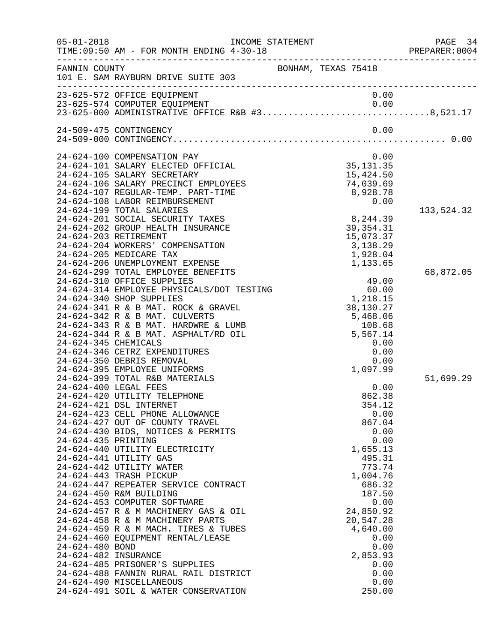| $05 - 01 - 2018$                                                                       | INCOME STATEMENT<br>TIME: 09:50 AM - FOR MONTH ENDING 4-30-18                                                                                                                                                                                                                                                                                                                                                                                                                                                                                                                                                                                                                                                                                                                                                                                                                                                                                                                                                                                                                                                                                                                                                                                                                                                                                                                                                                                                                                            | PREPARE<br>---------------------------------                                                                                                                                                                                                                                                                                                                                                                                                                                                    | PAGE 34<br>PREPARER: 0004            |
|----------------------------------------------------------------------------------------|----------------------------------------------------------------------------------------------------------------------------------------------------------------------------------------------------------------------------------------------------------------------------------------------------------------------------------------------------------------------------------------------------------------------------------------------------------------------------------------------------------------------------------------------------------------------------------------------------------------------------------------------------------------------------------------------------------------------------------------------------------------------------------------------------------------------------------------------------------------------------------------------------------------------------------------------------------------------------------------------------------------------------------------------------------------------------------------------------------------------------------------------------------------------------------------------------------------------------------------------------------------------------------------------------------------------------------------------------------------------------------------------------------------------------------------------------------------------------------------------------------|-------------------------------------------------------------------------------------------------------------------------------------------------------------------------------------------------------------------------------------------------------------------------------------------------------------------------------------------------------------------------------------------------------------------------------------------------------------------------------------------------|--------------------------------------|
| FANNIN COUNTY                                                                          | 101 E. SAM RAYBURN DRIVE SUITE 303                                                                                                                                                                                                                                                                                                                                                                                                                                                                                                                                                                                                                                                                                                                                                                                                                                                                                                                                                                                                                                                                                                                                                                                                                                                                                                                                                                                                                                                                       | BONHAM, TEXAS 75418                                                                                                                                                                                                                                                                                                                                                                                                                                                                             |                                      |
|                                                                                        | 23-625-572 OFFICE EQUIPMENT<br>23-625-574 COMPUTER EQUIPMENT 0.00<br>23-625-000 ADMINISTRATIVE OFFICE R&B #38,521.17                                                                                                                                                                                                                                                                                                                                                                                                                                                                                                                                                                                                                                                                                                                                                                                                                                                                                                                                                                                                                                                                                                                                                                                                                                                                                                                                                                                     | 0.00                                                                                                                                                                                                                                                                                                                                                                                                                                                                                            |                                      |
|                                                                                        | 24-509-475 CONTINGENCY                                                                                                                                                                                                                                                                                                                                                                                                                                                                                                                                                                                                                                                                                                                                                                                                                                                                                                                                                                                                                                                                                                                                                                                                                                                                                                                                                                                                                                                                                   | 0.00                                                                                                                                                                                                                                                                                                                                                                                                                                                                                            |                                      |
| 24-624-345 CHEMICALS<br>24-624-435 PRINTING<br>24-624-480 BOND<br>24-624-482 INSURANCE | 24-624-100 COMPENSATION PAY<br>24-624-101 SALARY ELECTED OFFICIAL<br>24-624-105 SALARY SECRETARY<br>24-624-106 SALARY PRECINCT EMPLOYEES<br>24-624-107 REGULAR-TEMP. PART-TIME<br>24-624-108 LABOR REIMBURSEMENT<br>24-624-199 TOTAL SALARIES<br>24-624-201 SOCIAL SECURITY TAXES<br>24-624-202 GROUP HEALTH INSURANCE<br>24-624-203 RETIREMENT<br>24-624-204 WORKERS' COMPENSATION<br>24-624-205 MEDICARE TAX<br>24-624-206 UNEMPLOYMENT EXPENSE<br>24-624-299 TOTAL EMPLOYEE BENEFITS<br>24-624-310 OFFICE SUPPLIES<br>24-624-314 EMPLOYEE PHYSICALS/DOT TESTING<br>24-624-340 SHOP SUPPLIES<br>24-624-341 R & B MAT. ROCK & GRAVEL<br>24-624-342 R & B MAT. CULVERTS<br>24-624-343 R & B MAT. HARDWRE & LUMB<br>24-624-344 R & B MAT. ASPHALT/RD OIL<br>24-624-346 CETRZ EXPENDITURES<br>24-624-350 DEBRIS REMOVAL<br>24-624-395 EMPLOYEE UNIFORMS<br>24-624-399 TOTAL R&B MATERIALS<br>24-624-400 LEGAL FEES<br>24-624-420 UTILITY TELEPHONE<br>24-624-421 DSL INTERNET<br>24-624-423 CELL PHONE ALLOWANCE<br>24-624-427 OUT OF COUNTY TRAVEL<br>24-624-430 BIDS, NOTICES & PERMITS<br>24-624-440 UTILITY ELECTRICITY<br>24-624-441 UTILITY GAS<br>24-624-442 UTILITY WATER<br>24-624-443 TRASH PICKUP<br>24-624-447 REPEATER SERVICE CONTRACT<br>24-624-450 R&M BUILDING<br>24-624-453 COMPUTER SOFTWARE<br>24-624-457 R & M MACHINERY GAS & OIL<br>24-624-458 R & M MACHINERY PARTS<br>24-624-459 R & M MACH. TIRES & TUBES<br>24-624-460 EQUIPMENT RENTAL/LEASE<br>24-624-485 PRISONER'S SUPPLIES | 0.00<br>35, 131.35<br>15,424.50<br>74,039.69<br>8,928.78<br>0.00<br>8,244.39<br>39, 354. 31<br>15,073.37<br>3,138.29<br>1,928.04<br>1,133.65<br>$49.00$<br>$60.00$<br>$1,218.15$<br>$-22.37$<br>38,130.27<br>5,468.06<br>108.68<br>5,567.14<br>0.00<br>0.00<br>0.00<br>1,097.99<br>0.00<br>862.38<br>354.12<br>0.00<br>867.04<br>0.00<br>0.00<br>1,655.13<br>495.31<br>773.74<br>1,004.76<br>686.32<br>187.50<br>0.00<br>24,850.92<br>20,547.28<br>4,640.00<br>0.00<br>0.00<br>2,853.93<br>0.00 | 133,524.32<br>68,872.05<br>51,699.29 |
|                                                                                        | 24-624-488 FANNIN RURAL RAIL DISTRICT<br>24-624-490 MISCELLANEOUS<br>24-624-491 SOIL & WATER CONSERVATION                                                                                                                                                                                                                                                                                                                                                                                                                                                                                                                                                                                                                                                                                                                                                                                                                                                                                                                                                                                                                                                                                                                                                                                                                                                                                                                                                                                                | 0.00<br>0.00<br>250.00                                                                                                                                                                                                                                                                                                                                                                                                                                                                          |                                      |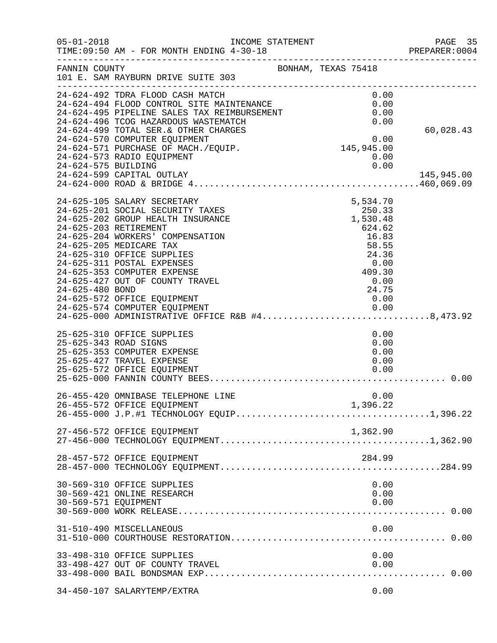| $05 - 01 - 2018$     | INCOME STATEMENT<br>TIME: 09:50 AM - FOR MONTH ENDING 4-30-18<br>-------------------------------------                                                                                                                                                                                                                                                                                                                                                                                |  |                                                                                                                | PAGE 35<br>PREPARER: 0004 |
|----------------------|---------------------------------------------------------------------------------------------------------------------------------------------------------------------------------------------------------------------------------------------------------------------------------------------------------------------------------------------------------------------------------------------------------------------------------------------------------------------------------------|--|----------------------------------------------------------------------------------------------------------------|---------------------------|
| FANNIN COUNTY        | 101 E. SAM RAYBURN DRIVE SUITE 303                                                                                                                                                                                                                                                                                                                                                                                                                                                    |  | BONHAM, TEXAS 75418                                                                                            |                           |
|                      | 24-624-492 TDRA FLOOD CASH MATCH<br>24-624-494 FLOOD CONTROL SITE MAINTENANCE<br>24-624-495 PIPELINE SALES TAX REIMBURSEMENT<br>24-624-496 TCOG HAZARDOUS WASTEMATCH                                                                                                                                                                                                                                                                                                                  |  | 0.00<br>0.00<br>0.00<br>0.00                                                                                   |                           |
|                      | 24-624-499 TOTAL SER. & OTHER CHARGES<br>24-624-570 COMPUTER EQUIPMENT<br>24-624-571 PURCHASE OF MACH./EQUIP.<br>24-624-573 RADIO EQUIPMENT                                                                                                                                                                                                                                                                                                                                           |  | $0.00$<br>145,945.00<br>0.00                                                                                   | 60,028.43                 |
| 24-624-575 BUILDING  | 24-624-599 CAPITAL OUTLAY                                                                                                                                                                                                                                                                                                                                                                                                                                                             |  | 0.00                                                                                                           | 145,945.00                |
| 24-625-480 BOND      | 24-625-105 SALARY SECRETARY<br>24-625-201 SOCIAL SECURITY TAXES<br>24-625-202 GROUP HEALTH INSURANCE<br>24-625-203 RETIREMENT<br>24-625-204 WORKERS' COMPENSATION<br>24-625-205 MEDICARE TAX<br>24-625-310 OFFICE SUPPLIES<br>24-625-311 POSTAL EXPENSES<br>24-625-353 COMPUTER EXPENSE<br>24-625-427 OUT OF COUNTY TRAVEL<br>24-625-572 OFFICE EQUIPMENT<br>$24-625-574$ COMPUTER EQUIPMENT<br>24-625-574 COMPUTER EQUIPMENT 0.00<br>24-625-000 ADMINISTRATIVE OFFICE R&B #48,473.92 |  | 5,534.70<br>250.33<br>1,530.48<br>624.62<br>16.83<br>58.55<br>24.36<br>0.00<br>409.30<br>0.00<br>24.75<br>0.00 |                           |
|                      | 25-625-310 OFFICE SUPPLIES<br>25-625-343 ROAD SIGNS<br>25-625-353 COMPUTER EXPENSE<br>25-625-427 TRAVEL EXPENSE<br>25-625-572 OFFICE EQUIPMENT                                                                                                                                                                                                                                                                                                                                        |  | 0.00<br>0.00<br>0.00<br>0.00<br>0.00                                                                           |                           |
|                      | 26-455-420 OMNIBASE TELEPHONE LINE<br>26-455-572 OFFICE EQUIPMENT                                                                                                                                                                                                                                                                                                                                                                                                                     |  | 0.00<br>1,396.22                                                                                               |                           |
|                      | 27-456-572 OFFICE EQUIPMENT                                                                                                                                                                                                                                                                                                                                                                                                                                                           |  | 1,362.90                                                                                                       |                           |
|                      | 28-457-572 OFFICE EQUIPMENT                                                                                                                                                                                                                                                                                                                                                                                                                                                           |  | 284.99                                                                                                         |                           |
| 30-569-571 EQUIPMENT | 30-569-310 OFFICE SUPPLIES<br>30-569-421 ONLINE RESEARCH                                                                                                                                                                                                                                                                                                                                                                                                                              |  | 0.00<br>0.00<br>0.00                                                                                           |                           |
|                      | 31-510-490 MISCELLANEOUS                                                                                                                                                                                                                                                                                                                                                                                                                                                              |  | 0.00                                                                                                           |                           |
|                      | 33-498-310 OFFICE SUPPLIES<br>33-498-427 OUT OF COUNTY TRAVEL                                                                                                                                                                                                                                                                                                                                                                                                                         |  | 0.00<br>0.00                                                                                                   |                           |
|                      | 34-450-107 SALARYTEMP/EXTRA                                                                                                                                                                                                                                                                                                                                                                                                                                                           |  | 0.00                                                                                                           |                           |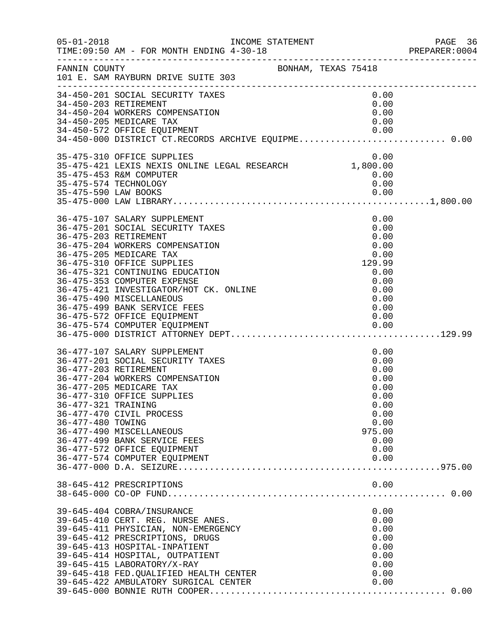| $05 - 01 - 2018$                                                  | INCOME STATEMENT<br>TIME: 09:50 AM - FOR MONTH ENDING 4-30-18                                                                                                                                                                                                                                                                                                                                |                     | PAGE 36<br>PREPARER:0004                                                                     |
|-------------------------------------------------------------------|----------------------------------------------------------------------------------------------------------------------------------------------------------------------------------------------------------------------------------------------------------------------------------------------------------------------------------------------------------------------------------------------|---------------------|----------------------------------------------------------------------------------------------|
| FANNIN COUNTY                                                     | 101 E. SAM RAYBURN DRIVE SUITE 303                                                                                                                                                                                                                                                                                                                                                           | BONHAM, TEXAS 75418 |                                                                                              |
|                                                                   | 34-450-201 SOCIAL SECURITY TAXES<br>34-450-203 RETIREMENT<br>34-450-204 WORKERS COMPENSATION<br>34-450-205 MEDICARE TAX                                                                                                                                                                                                                                                                      |                     | 0.00<br>0.00<br>0.00<br>0.00                                                                 |
|                                                                   | 34-450-572 OFFICE EQUIPMENT<br>34-450-000 DISTRICT CT.RECORDS ARCHIVE EQUIPME0.00                                                                                                                                                                                                                                                                                                            |                     |                                                                                              |
| 35-475-574 TECHNOLOGY<br>35-475-590 LAW BOOKS                     | 35-475-310 OFFICE SUPPLIES<br>35-475-421 LEXIS NEXIS ONLINE LEGAL RESEARCH 1,800.00<br>35-475-453 R&M COMPUTER                                                                                                                                                                                                                                                                               |                     | 0.00<br>0.00<br>0.00                                                                         |
|                                                                   | 36-475-107 SALARY SUPPLEMENT<br>36-475-201 SOCIAL SECURITY TAXES<br>36-475-203 RETIREMENT<br>36-475-204 WORKERS COMPENSATION<br>36-475-205 MEDICARE TAX<br>36-475-310 OFFICE SUPPLIES<br>36-475-321 CONTINUING EDUCATION<br>36-475-353 COMPUTER EXPENSE<br>36-475-421 INVESTIGATOR/HOT CK. ONLINE<br>36-475-490 MISCELLANEOUS<br>36-475-499 BANK SERVICE FEES<br>36-475-572 OFFICE EQUIPMENT | 129.99              | 0.00<br>0.00<br>0.00<br>0.00<br>0.00<br>0.00<br>0.00<br>0.00<br>0.00<br>0.00<br>0.00         |
| 36-477-203 RETIREMENT<br>36-477-321 TRAINING<br>36-477-480 TOWING | 36-477-107 SALARY SUPPLEMENT<br>36-477-201 SOCIAL SECURITY TAXES<br>36-477-204 WORKERS COMPENSATION<br>36-477-205 MEDICARE TAX<br>36-477-310 OFFICE SUPPLIES<br>36-477-470 CIVIL PROCESS<br>36-477-490 MISCELLANEOUS<br>36-477-499 BANK SERVICE FEES<br>36-477-572 OFFICE EQUIPMENT<br>36-477-574 COMPUTER EQUIPMENT                                                                         | 975.00              | 0.00<br>0.00<br>0.00<br>0.00<br>0.00<br>0.00<br>0.00<br>0.00<br>0.00<br>0.00<br>0.00<br>0.00 |
|                                                                   | 38-645-412 PRESCRIPTIONS                                                                                                                                                                                                                                                                                                                                                                     |                     | 0.00                                                                                         |
|                                                                   | 39-645-404 COBRA/INSURANCE<br>39-645-410 CERT. REG. NURSE ANES.<br>39-645-411 PHYSICIAN, NON-EMERGENCY<br>39-645-412 PRESCRIPTIONS, DRUGS<br>39-645-413 HOSPITAL-INPATIENT<br>39-645-414 HOSPITAL, OUTPATIENT<br>39-645-415 LABORATORY/X-RAY<br>39-645-418 FED. QUALIFIED HEALTH CENTER<br>39-645-422 AMBULATORY SURGICAL CENTER                                                             |                     | 0.00<br>0.00<br>0.00<br>0.00<br>0.00<br>0.00<br>0.00<br>0.00<br>0.00                         |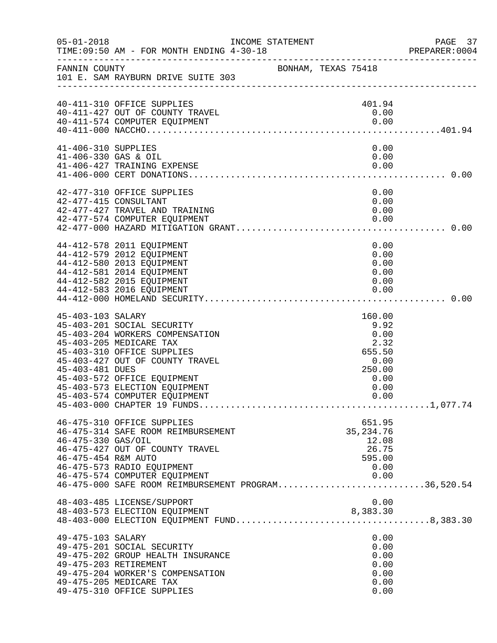| $05 - 01 - 2018$                            | INCOME STATEMENT<br>TIME: 09:50 AM - FOR MONTH ENDING 4-30-18                                                                                                                                                                                              |                     |  |                                                                                    | PAGE 37<br>PREPARER: 0004 |
|---------------------------------------------|------------------------------------------------------------------------------------------------------------------------------------------------------------------------------------------------------------------------------------------------------------|---------------------|--|------------------------------------------------------------------------------------|---------------------------|
| FANNIN COUNTY                               | 101 E. SAM RAYBURN DRIVE SUITE 303                                                                                                                                                                                                                         | BONHAM, TEXAS 75418 |  |                                                                                    |                           |
|                                             | 40-411-310 OFFICE SUPPLIES<br>40-411-427 OUT OF COUNTY TRAVEL<br>40-411-574 COMPUTER EQUIPMENT                                                                                                                                                             |                     |  | 401.94<br>0.00                                                                     |                           |
| 41-406-310 SUPPLIES<br>41-406-330 GAS & OIL | 41-406-427 TRAINING EXPENSE                                                                                                                                                                                                                                |                     |  | 0.00<br>0.00<br>0.00                                                               |                           |
|                                             | 42-477-310 OFFICE SUPPLIES<br>42-477-415 CONSULTANT<br>42-477-427 TRAVEL AND TRAINING                                                                                                                                                                      |                     |  | 0.00<br>0.00<br>0.00                                                               |                           |
|                                             | 44-412-578 2011 EQUIPMENT<br>44-412-579 2012 EQUIPMENT<br>44-412-580 2013 EQUIPMENT<br>44-412-581 2014 EQUIPMENT<br>44-412-582 2015 EQUIPMENT<br>44-412-583 2016 EQUIPMENT                                                                                 |                     |  | 0.00<br>0.00<br>0.00<br>0.00<br>0.00                                               |                           |
| 45-403-103 SALARY<br>45-403-481 DUES        | 45-403-201 SOCIAL SECURITY<br>45-403-204 WORKERS COMPENSATION<br>45-403-205 MEDICARE TAX<br>45-403-310 OFFICE SUPPLIES<br>45-403-427 OUT OF COUNTY TRAVEL<br>45-403-572 OFFICE EQUIPMENT<br>45-403-573 ELECTION EQUIPMENT<br>45-403-574 COMPUTER EQUIPMENT |                     |  | 160.00<br>9.92<br>0.00<br>2.32<br>655.50<br>0.00<br>250.00<br>0.00<br>0.00<br>0.00 |                           |
| 46-475-330 GAS/OIL<br>46-475-454 R&M AUTO   | 46-475-310 OFFICE SUPPLIES<br>46-475-314 SAFE ROOM REIMBURSEMENT<br>46-475-427 OUT OF COUNTY TRAVEL<br>46-475-573 RADIO EQUIPMENT<br>46-475-574 COMPUTER EQUIPMENT<br>46-475-000 SAFE ROOM REIMBURSEMENT PROGRAM36,520.54                                  |                     |  | 651.95<br>35, 234. 76<br>12.08<br>26.75<br>595.00<br>0.00<br>0.00                  |                           |
|                                             | 48-403-485 LICENSE/SUPPORT<br>48-403-573 ELECTION EQUIPMENT                                                                                                                                                                                                |                     |  | 0.00<br>8,383.30                                                                   |                           |
| 49-475-103 SALARY                           | 49-475-201 SOCIAL SECURITY<br>49-475-202 GROUP HEALTH INSURANCE<br>49-475-203 RETIREMENT<br>49-475-204 WORKER'S COMPENSATION<br>49-475-205 MEDICARE TAX<br>49-475-310 OFFICE SUPPLIES                                                                      |                     |  | 0.00<br>0.00<br>0.00<br>0.00<br>0.00<br>0.00<br>0.00                               |                           |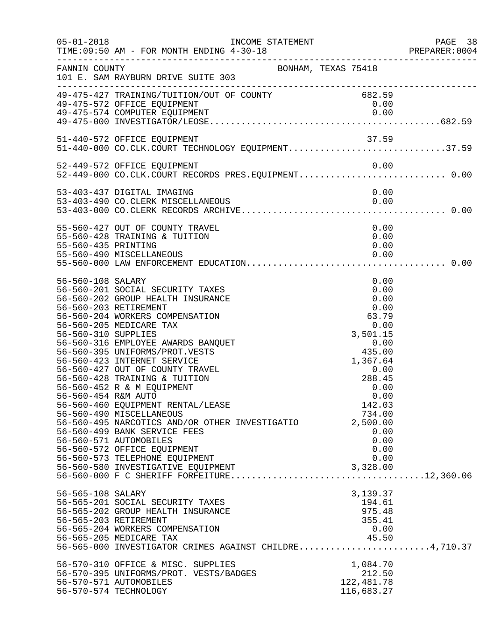| $05 - 01 - 2018$                                                | INCOME STATEMENT<br>TIME: 09:50 AM - FOR MONTH ENDING 4-30-18                                                                                                                                                                                                                                                                                                                                                                                                                                                                                                                                                                                             |                     |                                                                                                                                                                                                       | PAGE 38<br>PREPARER: 0004 |
|-----------------------------------------------------------------|-----------------------------------------------------------------------------------------------------------------------------------------------------------------------------------------------------------------------------------------------------------------------------------------------------------------------------------------------------------------------------------------------------------------------------------------------------------------------------------------------------------------------------------------------------------------------------------------------------------------------------------------------------------|---------------------|-------------------------------------------------------------------------------------------------------------------------------------------------------------------------------------------------------|---------------------------|
| FANNIN COUNTY                                                   | 101 E. SAM RAYBURN DRIVE SUITE 303                                                                                                                                                                                                                                                                                                                                                                                                                                                                                                                                                                                                                        | BONHAM, TEXAS 75418 |                                                                                                                                                                                                       |                           |
|                                                                 | 49-475-427 TRAINING/TUITION/OUT OF COUNTY 682.59<br>49-475-572 OFFICE EQUIPMENT                                                                                                                                                                                                                                                                                                                                                                                                                                                                                                                                                                           |                     | 0.00                                                                                                                                                                                                  |                           |
|                                                                 | 51-440-572 OFFICE EQUIPMENT<br>51-440-572 OFFICE EQUIPMENT<br>51-440-000 CO.CLK.COURT TECHNOLOGY EQUIPMENT37.59                                                                                                                                                                                                                                                                                                                                                                                                                                                                                                                                           |                     | 37.59                                                                                                                                                                                                 |                           |
|                                                                 | 52-449-572 OFFICE EQUIPMENT<br>52-449-000 CO.CLK.COURT RECORDS PRES.EQUIPMENT 0.00                                                                                                                                                                                                                                                                                                                                                                                                                                                                                                                                                                        |                     | 0.00                                                                                                                                                                                                  |                           |
|                                                                 | 53-403-437 DIGITAL IMAGING<br>53-403-490 CO. CLERK MISCELLANEOUS                                                                                                                                                                                                                                                                                                                                                                                                                                                                                                                                                                                          |                     | 0.00<br>0.00                                                                                                                                                                                          |                           |
| 55-560-435 PRINTING                                             | 55-560-427 OUT OF COUNTY TRAVEL<br>55-560-428 TRAINING & TUITION                                                                                                                                                                                                                                                                                                                                                                                                                                                                                                                                                                                          |                     | 0.00<br>0.00<br>0.00                                                                                                                                                                                  |                           |
| 56-560-108 SALARY<br>56-560-310 SUPPLIES<br>56-560-454 R&M AUTO | 56-560-201 SOCIAL SECURITY TAXES<br>56-560-202 GROUP HEALTH INSURANCE<br>56-560-203 RETIREMENT<br>56-560-204 WORKERS COMPENSATION<br>56-560-205 MEDICARE TAX<br>56-560-316 EMPLOYEE AWARDS BANQUET<br>56-560-395 UNIFORMS/PROT.VESTS<br>56-560-423 INTERNET SERVICE<br>56-560-427 OUT OF COUNTY TRAVEL<br>56-560-428 TRAINING & TUITION<br>56-560-452 R & M EQUIPMENT<br>56-560-460 EQUIPMENT RENTAL/LEASE<br>56-560-490 MISCELLANEOUS<br>56-560-495 NARCOTICS AND/OR OTHER INVESTIGATIO<br>56-560-499 BANK SERVICE FEES<br>56-560-571 AUTOMOBILES<br>56-560-572 OFFICE EQUIPMENT<br>56-560-573 TELEPHONE EQUIPMENT<br>56-560-580 INVESTIGATIVE EQUIPMENT |                     | 0.00<br>0.00<br>0.00<br>0.00<br>63.79<br>0.00<br>3,501.15<br>0.00<br>435.00<br>1,367.64<br>0.00<br>288.45<br>0.00<br>0.00<br>142.03<br>734.00<br>2,500.00<br>0.00<br>0.00<br>0.00<br>0.00<br>3,328.00 |                           |
| 56-565-108 SALARY                                               | 56-565-201 SOCIAL SECURITY TAXES<br>56-565-202 GROUP HEALTH INSURANCE<br>56-565-203 RETIREMENT<br>56-565-204 WORKERS COMPENSATION<br>56-565-205 MEDICARE TAX<br>56-565-000 INVESTIGATOR CRIMES AGAINST CHILDRE4,710.37                                                                                                                                                                                                                                                                                                                                                                                                                                    |                     | 3,139.37<br>194.61<br>975.48<br>355.41<br>0.00<br>45.50                                                                                                                                               |                           |
|                                                                 | 56-570-310 OFFICE & MISC. SUPPLIES<br>56-570-395 UNIFORMS/PROT. VESTS/BADGES<br>56-570-571 AUTOMOBILES<br>56-570-574 TECHNOLOGY                                                                                                                                                                                                                                                                                                                                                                                                                                                                                                                           |                     | 1,084.70<br>212.50<br>122,481.78<br>116,683.27                                                                                                                                                        |                           |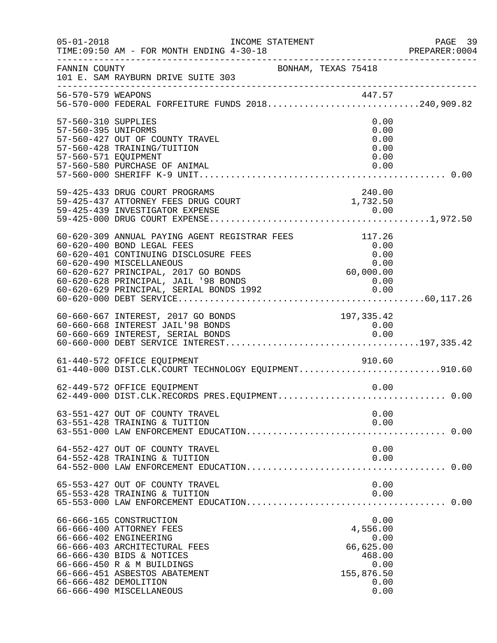| $05 - 01 - 2018$                                                   | INCOME STATEMENT<br>TIME: 09:50 AM - FOR MONTH ENDING 4-30-18                                                                                                                                                                                                              |                                                                                       | PAGE 39<br>PREPARER: 0004 |
|--------------------------------------------------------------------|----------------------------------------------------------------------------------------------------------------------------------------------------------------------------------------------------------------------------------------------------------------------------|---------------------------------------------------------------------------------------|---------------------------|
| FANNIN COUNTY                                                      | 101 E. SAM RAYBURN DRIVE SUITE 303<br>.com/news/2010/01/2010/01/2010/01/2010/01/2010/01/2010/01/2010/01/2010/01/2010                                                                                                                                                       | BONHAM, TEXAS 75418                                                                   |                           |
|                                                                    | 447.57<br>56-570-000 FEDERAL FORFEITURE FUNDS 2018240,909.82                                                                                                                                                                                                               |                                                                                       |                           |
| 57-560-310 SUPPLIES<br>57-560-395 UNIFORMS<br>57-560-571 EQUIPMENT | 57-560-427 OUT OF COUNTY TRAVEL<br>57-560-428 TRAINING/TUITION<br>57-560-580 PURCHASE OF ANIMAL                                                                                                                                                                            | 0.00<br>0.00<br>0.00<br>0.00<br>0.00<br>0.00                                          |                           |
|                                                                    | 59-425-433 DRUG COURT PROGRAMS<br>59-425-437 ATTORNEY FEES DRUG COURT 1,732.50                                                                                                                                                                                             | 240.00                                                                                |                           |
|                                                                    | 60-620-309 ANNUAL PAYING AGENT REGISTRAR FEES<br>60-620-400 BOND LEGAL FEES<br>60-620-401 CONTINUING DISCLOSURE FEES<br>60-620-490 MISCELLANEOUS<br>60-620-627 PRINCIPAL, 2017 GO BONDS<br>60-620-628 PRINCIPAL, JAIL '98 BONDS<br>60-620-629 PRINCIPAL, SERIAL BONDS 1992 | 117.26<br>0.00<br>0.00<br>$0.00$<br>0.00, 60, 60<br>$0.00$<br>0.00                    |                           |
|                                                                    | 60-660-667 INTEREST, 2017 GO BONDS<br>60-660-668 INTEREST JAIL'98 BONDS                                                                                                                                                                                                    | 197, 335.42<br>0.00                                                                   |                           |
|                                                                    | 61-440-572 OFFICE EQUIPMENT<br>61-440-000 DIST.CLK.COURT TECHNOLOGY EQUIPMENT910.60                                                                                                                                                                                        | 910.60                                                                                |                           |
|                                                                    | 62-449-572 OFFICE EQUIPMENT                                                                                                                                                                                                                                                | 0.00                                                                                  |                           |
|                                                                    | 63-551-427 OUT OF COUNTY TRAVEL<br>63-551-428 TRAINING & TUITION                                                                                                                                                                                                           | 0.00<br>0.00                                                                          |                           |
|                                                                    | 64-552-427 OUT OF COUNTY TRAVEL<br>64-552-428 TRAINING & TUITION                                                                                                                                                                                                           | 0.00<br>0.00                                                                          |                           |
|                                                                    | 65-553-427 OUT OF COUNTY TRAVEL<br>65-553-428 TRAINING & TUITION                                                                                                                                                                                                           | 0.00<br>0.00                                                                          |                           |
|                                                                    | 66-666-165 CONSTRUCTION<br>66-666-400 ATTORNEY FEES<br>66-666-402 ENGINEERING<br>66-666-403 ARCHITECTURAL FEES<br>66-666-430 BIDS & NOTICES<br>66-666-450 R & M BUILDINGS<br>66-666-451 ASBESTOS ABATEMENT<br>66-666-482 DEMOLITION<br>66-666-490 MISCELLANEOUS            | 0.00<br>4,556.00<br>0.00<br>66,625.00<br>468.00<br>0.00<br>155,876.50<br>0.00<br>0.00 |                           |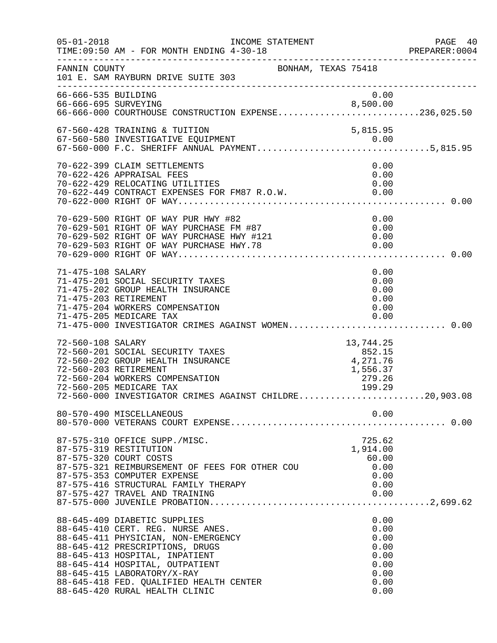| $05 - 01 - 2018$    | INCOME STATEMENT<br>TIME: 09:50 AM - FOR MONTH ENDING 4-30-18                                                                                                                                                                                                                                                                |                                                                      | PAGE 40<br>PREPARER:0004 |
|---------------------|------------------------------------------------------------------------------------------------------------------------------------------------------------------------------------------------------------------------------------------------------------------------------------------------------------------------------|----------------------------------------------------------------------|--------------------------|
| FANNIN COUNTY       | BONHAM, TEXAS 75418<br>101 E. SAM RAYBURN DRIVE SUITE 303                                                                                                                                                                                                                                                                    |                                                                      |                          |
| 66-666-535 BUILDING | 66-666-695 SURVEYING 8,500.00<br>66-666-000 COURTHOUSE CONSTRUCTION EXPENSE236,025.50                                                                                                                                                                                                                                        | 0.00                                                                 |                          |
|                     | 67-560-428 TRAINING & TUITION                                                                                                                                                                                                                                                                                                | 5,815.95                                                             |                          |
|                     | 70-622-399 CLAIM SETTLEMENTS<br>70-622-426 APPRAISAL FEES<br>70-622-429 RELOCATING UTILITIES                                                                                                                                                                                                                                 | 0.00<br>0.00<br>0.00                                                 |                          |
|                     | 70-629-502 RIGHT OF WAY PURCHASE FM #87<br>70-629-502 RIGHT OF WAY PURCHASE HWY #121<br>70-629-503 RIGHT OF WAY PURCHASE HWY.78<br>70-629-000 RIGHT OF WAY                                                                                                                                                                   | 0.00<br>0.00<br>0.00<br>0.00                                         |                          |
| 71-475-108 SALARY   | 71-475-201 SOCIAL SECURITY TAXES<br>71-475-202 GROUP HEALTH INSURANCE<br>71-475-203 RETIREMENT<br>71-475-204 WORKERS COMPENSATION<br>71-475-205 MEDICARE TAX<br>71-475-000 INVESTIGATOR CRIMES AGAINST WOMEN 0.00                                                                                                            | 0.00<br>0.00<br>0.00<br>0.00<br>0.00<br>0.00                         |                          |
| 72-560-108 SALARY   | 72-560-201 SOCIAL SECURITY TAXES<br>72-560-202 GROUP HEALTH INSURANCE<br>72-560-203 RETIREMENT<br>72-560-204 WORKERS COMPENSATION<br>72-560-205 MEDICARE TAX<br>72-560-000 INVESTIGATOR CRIMES AGAINST CHILDRE20,903.08                                                                                                      | 13,744.25<br>852.15<br>4,271.76<br>1,556.37<br>$-7,300.37$<br>279.26 |                          |
|                     | 80-570-490 MISCELLANEOUS                                                                                                                                                                                                                                                                                                     | 0.00                                                                 |                          |
|                     | 87-575-310 OFFICE SUPP./MISC.<br>87-575-319 RESTITUTION<br>87-575-320 COURT COSTS<br>87-575-321 REIMBURSEMENT OF FEES FOR OTHER COU<br>87-575-353 COMPUTER EXPENSE<br>87-575-416 STRUCTURAL FAMILY THERAPY<br>87-575-427 TRAVEL AND TRAINING                                                                                 | 725.62<br>1,914.00<br>60.00<br>0.00<br>0.00<br>0.00<br>0.00          |                          |
|                     | 88-645-409 DIABETIC SUPPLIES<br>88-645-410 CERT. REG. NURSE ANES.<br>88-645-411 PHYSICIAN, NON-EMERGENCY<br>88-645-412 PRESCRIPTIONS, DRUGS<br>88-645-413 HOSPITAL, INPATIENT<br>88-645-414 HOSPITAL, OUTPATIENT<br>88-645-415 LABORATORY/X-RAY<br>88-645-418 FED. QUALIFIED HEALTH CENTER<br>88-645-420 RURAL HEALTH CLINIC | 0.00<br>0.00<br>0.00<br>0.00<br>0.00<br>0.00<br>0.00<br>0.00<br>0.00 |                          |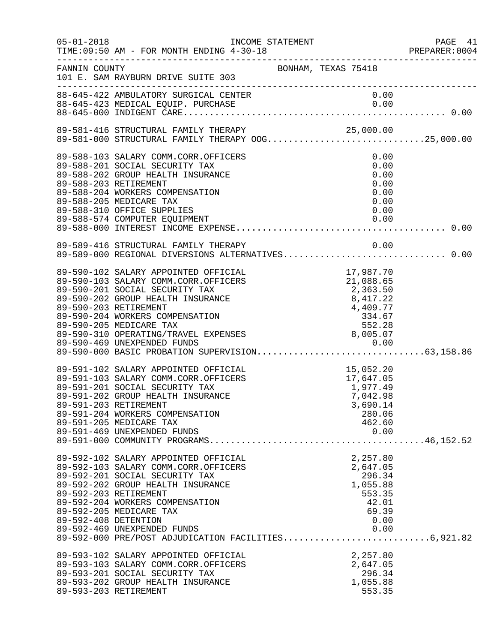| $05 - 01 - 2018$                              | INCOME STATEMENT<br>TIME: 09:50 AM - FOR MONTH ENDING 4-30-18                                                                                                                                                                                                                                           |                                                                                            | PAGE 41<br>PREPARER:0004 |
|-----------------------------------------------|---------------------------------------------------------------------------------------------------------------------------------------------------------------------------------------------------------------------------------------------------------------------------------------------------------|--------------------------------------------------------------------------------------------|--------------------------|
| FANNIN COUNTY                                 | BONHAM, TEXAS 75418<br>101 E. SAM RAYBURN DRIVE SUITE 303                                                                                                                                                                                                                                               |                                                                                            |                          |
|                                               |                                                                                                                                                                                                                                                                                                         |                                                                                            |                          |
|                                               | 89-581-416 STRUCTURAL FAMILY THERAPY 00G25,000.00<br>89-581-000 STRUCTURAL FAMILY THERAPY 00G25,000.00                                                                                                                                                                                                  |                                                                                            |                          |
| 89-588-203 RETIREMENT                         | 89-588-103 SALARY COMM.CORR.OFFICERS<br>89-588-201 SOCIAL SECURITY TAX<br>89-588-202 GROUP HEALTH INSURANCE<br>89-588-204 WORKERS COMPENSATION<br>89-588-205 MEDICARE TAX<br>89-588-310 OFFICE SUPPLIES                                                                                                 | 0.00<br>0.00<br>0.00<br>0.00<br>0.00<br>0.00<br>0.00                                       |                          |
|                                               | 89-589-416 STRUCTURAL FAMILY THERAPY<br>89-589-416 STRUCTURAL FAMILY THERAPY             0.00<br>89-589-000 REGIONAL DIVERSIONS ALTERNATIVES 0.00                                                                                                                                                       | 0.00                                                                                       |                          |
| 89-590-203 RETIREMENT                         | 89-590-102 SALARY APPOINTED OFFICIAL<br>89-590-103 SALARY COMM.CORR.OFFICERS<br>89-590-201 SOCIAL SECURITY TAX<br>89-590-202 GROUP HEALTH INSURANCE<br>89-590-204 WORKERS COMPENSATION<br>89-590-205 MEDICARE TAX<br>89-590-310 OPERATING/TRAVEL EXPENSES                                               | 17,987.70<br>21,088.65<br>2,363.50<br>8,417.22<br>4,409.77<br>$334.67$ $552.28$ $8,005.07$ |                          |
| 89-591-203 RETIREMENT                         | 89-591-102 SALARY APPOINTED OFFICIAL<br>89-591-103 SALARY COMM.CORR.OFFICERS<br>89-591-201 SOCIAL SECURITY TAX<br>89-591-202 GROUP HEALTH INSURANCE<br>89-591-204 WORKERS COMPENSATION<br>89-591-205 MEDICARE TAX<br>89-591-469 UNEXPENDED FUNDS                                                        | 15,052.20<br>17,647.05<br>1,977.49<br>7.042.98<br>3,690.14<br>280.06<br>462.60<br>0.00     |                          |
| 89-592-203 RETIREMENT<br>89-592-408 DETENTION | 89-592-102 SALARY APPOINTED OFFICIAL<br>89-592-103 SALARY COMM.CORR.OFFICERS<br>89-592-201 SOCIAL SECURITY TAX<br>89-592-202 GROUP HEALTH INSURANCE<br>89-592-204 WORKERS COMPENSATION<br>89-592-205 MEDICARE TAX<br>89-592-469 UNEXPENDED FUNDS<br>89-592-000 PRE/POST ADJUDICATION FACILITIES6,921.82 | 2,257.80<br>2,647.05<br>296.34<br>1,055.88<br>553.35<br>42.01<br>69.39<br>0.00<br>0.00     |                          |
| 89-593-203 RETIREMENT                         | 89-593-102 SALARY APPOINTED OFFICIAL<br>89-593-103 SALARY COMM.CORR.OFFICERS<br>89-593-201 SOCIAL SECURITY TAX<br>89-593-202 GROUP HEALTH INSURANCE                                                                                                                                                     | 2,257.80<br>2,647.05<br>296.34<br>1,055.88<br>553.35                                       |                          |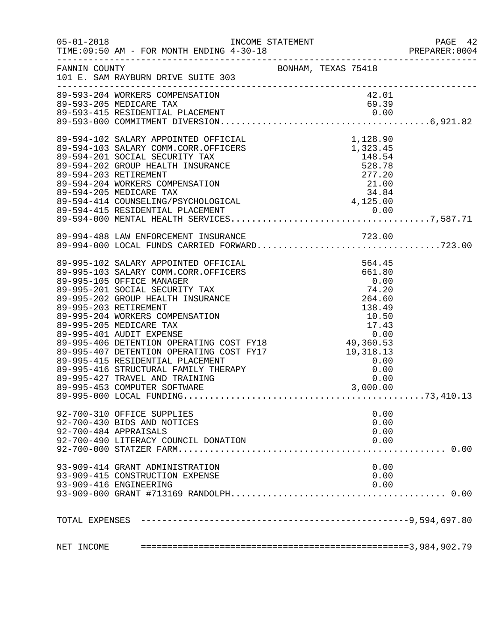| $05 - 01 - 2018$ | TIME: 09:50 AM - FOR MONTH ENDING 4-30-18                                                      |                     |          |       |      | ∠≄ PAGE<br>PREPARER:0004 |
|------------------|------------------------------------------------------------------------------------------------|---------------------|----------|-------|------|--------------------------|
| FANNIN COUNTY    | 101 E. SAM RAYBURN DRIVE SUITE 303                                                             | BONHAM, TEXAS 75418 |          |       |      |                          |
|                  | 89-593-204 WORKERS COMPENSATION<br>89-593-205 MEDICARE TAX<br>89-593-415 RESIDENTIAL PLACEMENT |                     |          | 42.01 |      |                          |
|                  |                                                                                                |                     |          | 69.39 |      |                          |
|                  |                                                                                                |                     |          |       |      |                          |
|                  |                                                                                                |                     |          |       |      |                          |
|                  |                                                                                                |                     |          |       |      |                          |
|                  |                                                                                                |                     |          |       |      |                          |
|                  |                                                                                                |                     |          |       |      |                          |
|                  |                                                                                                |                     |          |       |      |                          |
|                  |                                                                                                |                     |          |       |      |                          |
|                  |                                                                                                |                     |          |       |      |                          |
|                  |                                                                                                |                     |          |       |      |                          |
|                  |                                                                                                |                     |          |       |      |                          |
|                  |                                                                                                |                     |          |       |      |                          |
|                  |                                                                                                |                     |          |       |      |                          |
|                  | 89-994-488 LAW ENFORCEMENT INSURANCE                                                           |                     |          |       |      |                          |
|                  |                                                                                                |                     |          |       |      |                          |
|                  |                                                                                                |                     |          |       |      |                          |
|                  |                                                                                                |                     |          |       |      |                          |
|                  |                                                                                                |                     |          |       |      |                          |
|                  |                                                                                                |                     |          |       |      |                          |
|                  |                                                                                                |                     |          |       |      |                          |
|                  |                                                                                                |                     |          |       |      |                          |
|                  |                                                                                                |                     |          |       |      |                          |
|                  |                                                                                                |                     |          |       |      |                          |
|                  |                                                                                                |                     |          |       |      |                          |
|                  |                                                                                                |                     |          |       |      |                          |
|                  |                                                                                                |                     |          |       |      |                          |
|                  |                                                                                                |                     |          |       |      |                          |
|                  |                                                                                                |                     |          |       |      |                          |
|                  |                                                                                                |                     | 3,000.00 |       |      |                          |
|                  | 89-995-453 COMPUTER SOFTWARE                                                                   |                     |          |       |      |                          |
|                  |                                                                                                |                     |          |       |      |                          |
|                  | 92-700-310 OFFICE SUPPLIES                                                                     |                     |          |       | 0.00 |                          |
|                  | 92-700-430 BIDS AND NOTICES                                                                    |                     |          |       | 0.00 |                          |
|                  | 92-700-484 APPRAISALS                                                                          |                     |          |       | 0.00 |                          |
|                  | 92-700-490 LITERACY COUNCIL DONATION                                                           |                     |          |       | 0.00 |                          |
|                  |                                                                                                |                     |          |       |      |                          |
|                  | 93-909-414 GRANT ADMINISTRATION                                                                |                     |          |       | 0.00 |                          |
|                  | 93-909-415 CONSTRUCTION EXPENSE                                                                |                     |          |       | 0.00 |                          |
|                  | 93-909-416 ENGINEERING                                                                         |                     |          |       | 0.00 |                          |
|                  |                                                                                                |                     |          |       |      |                          |
|                  |                                                                                                |                     |          |       |      |                          |
| TOTAL EXPENSES   |                                                                                                |                     |          |       |      |                          |
|                  |                                                                                                |                     |          |       |      |                          |
| NET INCOME       |                                                                                                |                     |          |       |      |                          |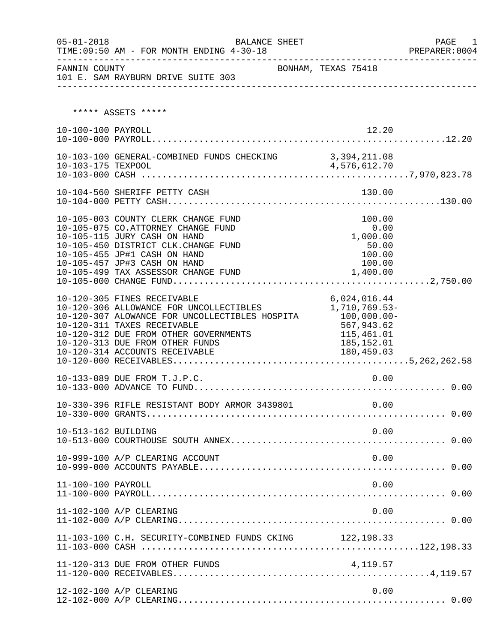| $05 - 01 - 2018$    | <b>BALANCE SHEET</b><br>TIME: 09:50 AM - FOR MONTH ENDING 4-30-18<br>-----------------------------                                                                                                                                                                    |                                                                                                         | PAGE 1<br>PREPARER: 0004<br>---------------------------------- |
|---------------------|-----------------------------------------------------------------------------------------------------------------------------------------------------------------------------------------------------------------------------------------------------------------------|---------------------------------------------------------------------------------------------------------|----------------------------------------------------------------|
| FANNIN COUNTY       | 101 E. SAM RAYBURN DRIVE SUITE 303                                                                                                                                                                                                                                    | BONHAM, TEXAS 75418                                                                                     |                                                                |
|                     | ***** ASSETS *****                                                                                                                                                                                                                                                    |                                                                                                         |                                                                |
| 10-100-100 PAYROLL  |                                                                                                                                                                                                                                                                       | 12.20                                                                                                   |                                                                |
|                     | 10-103-100 GENERAL-COMBINED FUNDS CHECKING 3,394,211.08                                                                                                                                                                                                               |                                                                                                         |                                                                |
|                     | 10-104-560 SHERIFF PETTY CASH                                                                                                                                                                                                                                         | 130.00                                                                                                  |                                                                |
|                     | 10-105-003 COUNTY CLERK CHANGE FUND<br>10-105-075 CO.ATTORNEY CHANGE FUND<br>10-105-115 JURY CASH ON HAND<br>10-105-450 DISTRICT CLK.CHANGE FUND<br>10-105-455 JP#1 CASH ON HAND<br>10-105-457 JP#3 CASH ON HAND<br>10-105-499 TAX ASSESSOR CHANGE FUND               | 100.00<br>0.00<br>1,000.00<br>50.00<br>100.00<br>100.00<br>1,400.00                                     |                                                                |
|                     | 10-120-305 FINES RECEIVABLE<br>10-120-306 ALLOWANCE FOR UNCOLLECTIBLES<br>10-120-307 ALOWANCE FOR UNCOLLECTIBLES HOSPITA<br>10-120-311 TAXES RECEIVABLE<br>10-120-312 DUE FROM OTHER GOVERNMENTS<br>10-120-313 DUE FROM OTHER FUNDS<br>10-120-314 ACCOUNTS RECEIVABLE | 6,024,016.44<br>1,710,769.53-<br>$100,000.00 -$<br>567,943.62<br>115,461.01<br>185,152.01<br>180,459.03 |                                                                |
|                     | 10-133-089 DUE FROM T.J.P.C.                                                                                                                                                                                                                                          | 0.00                                                                                                    |                                                                |
|                     | 10-330-396 RIFLE RESISTANT BODY ARMOR 3439801                                                                                                                                                                                                                         | 0.00                                                                                                    |                                                                |
| 10-513-162 BUILDING |                                                                                                                                                                                                                                                                       | 0.00                                                                                                    |                                                                |
|                     | 10-999-100 A/P CLEARING ACCOUNT                                                                                                                                                                                                                                       | 0.00                                                                                                    |                                                                |
| 11-100-100 PAYROLL  |                                                                                                                                                                                                                                                                       | 0.00                                                                                                    |                                                                |
|                     | 11-102-100 A/P CLEARING                                                                                                                                                                                                                                               | 0.00                                                                                                    |                                                                |
|                     | 11-103-100 C.H. SECURITY-COMBINED FUNDS CKING 122,198.33                                                                                                                                                                                                              |                                                                                                         |                                                                |
|                     | 11-120-313 DUE FROM OTHER FUNDS                                                                                                                                                                                                                                       | 4,119.57                                                                                                |                                                                |
|                     | 12-102-100 A/P CLEARING                                                                                                                                                                                                                                               | 0.00                                                                                                    |                                                                |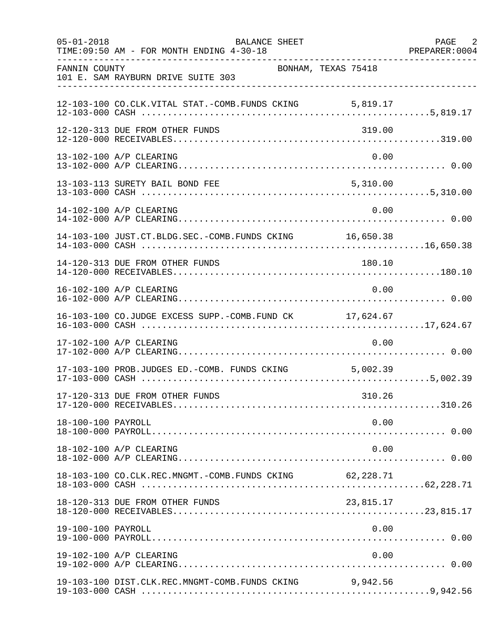| $05 - 01 - 2018$   | BALANCE SHEET<br>TIME: 09:50 AM - FOR MONTH ENDING 4-30-18 |                     | PAGE 2 |
|--------------------|------------------------------------------------------------|---------------------|--------|
| FANNIN COUNTY      | 101 E. SAM RAYBURN DRIVE SUITE 303                         | BONHAM, TEXAS 75418 |        |
|                    | 12-103-100 CO.CLK.VITAL STAT.-COMB.FUNDS CKING 5,819.17    |                     |        |
|                    | 12-120-313 DUE FROM OTHER FUNDS                            | 319.00              |        |
|                    | 13-102-100 A/P CLEARING                                    | 0.00                |        |
|                    | 13-103-113 SURETY BAIL BOND FEE                            | 5,310.00            |        |
|                    | 14-102-100 A/P CLEARING                                    | 0.00                |        |
|                    | 14-103-100 JUST.CT.BLDG.SEC.-COMB.FUNDS CKING 16,650.38    |                     |        |
|                    | 14-120-313 DUE FROM OTHER FUNDS                            | 180.10              |        |
|                    | 16-102-100 A/P CLEARING                                    | 0.00                |        |
|                    | 16-103-100 CO.JUDGE EXCESS SUPP.-COMB.FUND CK 17,624.67    |                     |        |
|                    | 17-102-100 A/P CLEARING                                    | 0.00                |        |
|                    | 17-103-100 PROB.JUDGES ED.-COMB. FUNDS CKING 5,002.39      |                     |        |
|                    | 17-120-313 DUE FROM OTHER FUNDS                            | 310.26              |        |
| 18-100-100 PAYROLL |                                                            | 0.00                |        |
|                    | 18-102-100 A/P CLEARING                                    | 0.00                |        |
|                    | 18-103-100 CO.CLK.REC.MNGMT.-COMB.FUNDS CKING 62,228.71    |                     |        |
|                    | 18-120-313 DUE FROM OTHER FUNDS                            | 23,815.17           |        |
| 19-100-100 PAYROLL |                                                            | 0.00                |        |
|                    | 19-102-100 A/P CLEARING                                    | 0.00                |        |
|                    | 19-103-100 DIST.CLK.REC.MNGMT-COMB.FUNDS CKING             | 9,942.56            |        |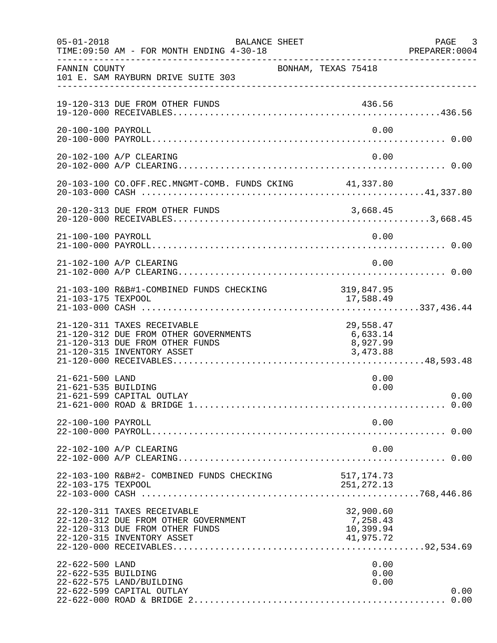| $05 - 01 - 2018$                       | <b>BALANCE SHEET</b><br>TIME: 09:50 AM - FOR MONTH ENDING 4-30-18                                                                     |                                                 | PAGE 3<br>PREPARER:0004 |
|----------------------------------------|---------------------------------------------------------------------------------------------------------------------------------------|-------------------------------------------------|-------------------------|
| FANNIN COUNTY                          | 101 E. SAM RAYBURN DRIVE SUITE 303                                                                                                    | BONHAM, TEXAS 75418                             |                         |
|                                        | 19-120-313 DUE FROM OTHER FUNDS                                                                                                       | 436.56                                          |                         |
| 20-100-100 PAYROLL                     |                                                                                                                                       | 0.00                                            |                         |
|                                        | 20-102-100 A/P CLEARING                                                                                                               | 0.00                                            |                         |
|                                        | 20-103-100 CO.OFF.REC.MNGMT-COMB. FUNDS CKING 41,337.80                                                                               |                                                 |                         |
|                                        | 20-120-313 DUE FROM OTHER FUNDS                                                                                                       |                                                 |                         |
| 21-100-100 PAYROLL                     |                                                                                                                                       | 0.00                                            |                         |
|                                        | 21-102-100 A/P CLEARING                                                                                                               | 0.00                                            |                         |
| 21-103-175 TEXPOOL                     | 21-103-100 R&B#1-COMBINED FUNDS CHECKING                                                                                              | 319,847.95<br>17,588.49                         |                         |
|                                        | 21-120-311 TAXES RECEIVABLE<br>21-120-312 DUE FROM OTHER GOVERNMENTS<br>21-120-313 DUE FROM OTHER FUNDS<br>21-120-315 INVENTORY ASSET | 29,558.47<br>6,633.14<br>8,927.99<br>3,473.88   |                         |
| 21-621-500 LAND<br>21-621-535 BUILDING | 21-621-599 CAPITAL OUTLAY                                                                                                             | 0.00<br>0.00                                    | 0.00                    |
| 22-100-100 PAYROLL                     |                                                                                                                                       | 0.00                                            |                         |
|                                        | 22-102-100 A/P CLEARING                                                                                                               | 0.00                                            |                         |
| 22-103-175 TEXPOOL                     | 22-103-100 R&B#2- COMBINED FUNDS CHECKING                                                                                             | 517,174.73<br>251, 272.13                       |                         |
|                                        | 22-120-311 TAXES RECEIVABLE<br>22-120-312 DUE FROM OTHER GOVERNMENT<br>22-120-313 DUE FROM OTHER FUNDS<br>22-120-315 INVENTORY ASSET  | 32,900.60<br>7,258.43<br>10,399.94<br>41,975.72 |                         |
| 22-622-500 LAND<br>22-622-535 BUILDING | 22-622-575 LAND/BUILDING<br>22-622-599 CAPITAL OUTLAY                                                                                 | 0.00<br>0.00<br>0.00                            | 0.00<br>0.00            |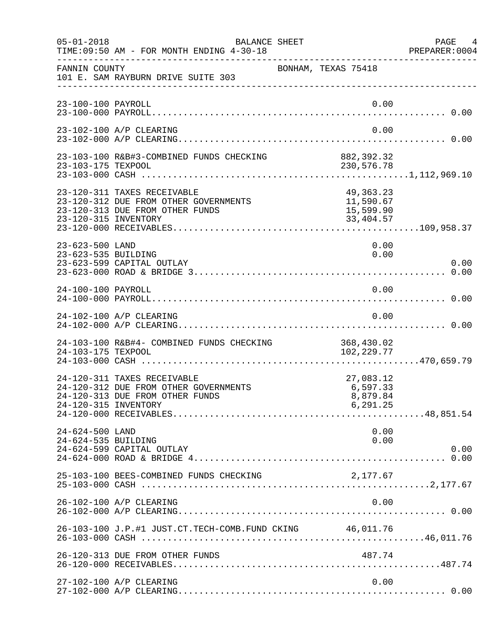| $05 - 01 - 2018$                       | BALANCE SHEET<br>TIME: 09:50 AM - FOR MONTH ENDING 4-30-18                                              |                                                    | PAGE<br>4<br>PREPARER: 0004 |
|----------------------------------------|---------------------------------------------------------------------------------------------------------|----------------------------------------------------|-----------------------------|
| FANNIN COUNTY                          | 101 E. SAM RAYBURN DRIVE SUITE 303                                                                      | BONHAM, TEXAS 75418                                |                             |
| 23-100-100 PAYROLL                     |                                                                                                         | 0.00                                               |                             |
|                                        | 23-102-100 A/P CLEARING                                                                                 | 0.00                                               |                             |
| 23-103-175 TEXPOOL                     | 23-103-100 R&B#3-COMBINED FUNDS CHECKING                                                                | 882, 392.32<br>230,576.78                          |                             |
| 23-120-315 INVENTORY                   | 23-120-311 TAXES RECEIVABLE<br>23-120-312 DUE FROM OTHER GOVERNMENTS<br>23-120-313 DUE FROM OTHER FUNDS | 49, 363. 23<br>11,590.67<br>15,599.90<br>33,404.57 |                             |
| 23-623-500 LAND<br>23-623-535 BUILDING | 23-623-599 CAPITAL OUTLAY                                                                               | 0.00<br>0.00                                       | 0.00                        |
| 24-100-100 PAYROLL                     |                                                                                                         | 0.00                                               |                             |
|                                        | 24-102-100 A/P CLEARING                                                                                 | 0.00                                               |                             |
| 24-103-175 TEXPOOL                     | 24-103-100 R&B#4- COMBINED FUNDS CHECKING                                                               | 368,430.02<br>102,229.77                           |                             |
| 24-120-315 INVENTORY                   | 24-120-311 TAXES RECEIVABLE<br>24-120-312 DUE FROM OTHER GOVERNMENTS<br>24-120-313 DUE FROM OTHER FUNDS | 27,083.12<br>6,597.33<br>8,879.84<br>6,291.25      |                             |
| 24-624-500 LAND<br>24-624-535 BUILDING | 24-624-599 CAPITAL OUTLAY                                                                               | 0.00<br>0.00                                       | 0.00                        |
|                                        | 25-103-100 BEES-COMBINED FUNDS CHECKING                                                                 | 2,177.67                                           |                             |
|                                        | 26-102-100 A/P CLEARING                                                                                 | 0.00                                               |                             |
|                                        | 26-103-100 J.P.#1 JUST.CT.TECH-COMB.FUND CKING 46,011.76                                                |                                                    |                             |
|                                        | 26-120-313 DUE FROM OTHER FUNDS                                                                         | 487.74                                             |                             |
|                                        | 27-102-100 A/P CLEARING                                                                                 | 0.00                                               |                             |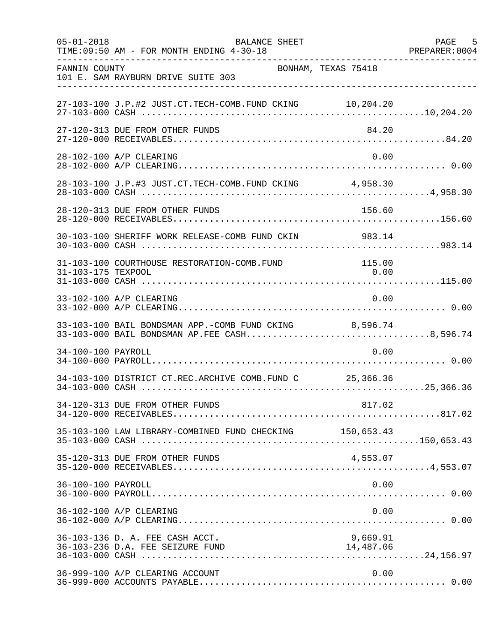| $05 - 01 - 2018$   | <b>BALANCE SHEET</b><br>TIME: 09:50 AM - FOR MONTH ENDING 4-30-18                                      |                       | 5<br>PAGE<br>PREPARER: 0004 |
|--------------------|--------------------------------------------------------------------------------------------------------|-----------------------|-----------------------------|
| FANNIN COUNTY      | BONHAM, TEXAS 75418<br>101 E. SAM RAYBURN DRIVE SUITE 303                                              |                       |                             |
|                    | 27-103-100 J.P.#2 JUST.CT.TECH-COMB.FUND CKING 10,204.20                                               |                       |                             |
|                    | 27-120-313 DUE FROM OTHER FUNDS                                                                        | 84.20                 |                             |
|                    | 28-102-100 A/P CLEARING                                                                                | 0.00                  |                             |
|                    | 28-103-100 J.P.#3 JUST.CT.TECH-COMB.FUND CKING 4,958.30                                                |                       |                             |
|                    | 28-120-313 DUE FROM OTHER FUNDS                                                                        | 156.60                |                             |
|                    | 30-103-100 SHERIFF WORK RELEASE-COMB FUND CKIN                                                         | 983.14                |                             |
| 31-103-175 TEXPOOL | 31-103-100 COURTHOUSE RESTORATION-COMB.FUND                                                            | 115.00<br>0.00        |                             |
|                    | 33-102-100 A/P CLEARING                                                                                | 0.00                  |                             |
|                    | 33-103-100 BAIL BONDSMAN APP.-COMB FUND CKING 8,596.74<br>33-103-000 BAIL BONDSMAN AP.FEE CASH8,596.74 |                       |                             |
| 34-100-100 PAYROLL |                                                                                                        | 0.00                  |                             |
|                    | 34-103-100 DISTRICT CT.REC.ARCHIVE COMB.FUND C 25,366.36                                               |                       |                             |
|                    | 34-120-313 DUE FROM OTHER FUNDS                                                                        |                       |                             |
|                    | 35-103-100 LAW LIBRARY-COMBINED FUND CHECKING 150,653.43                                               |                       |                             |
|                    | 35-120-313 DUE FROM OTHER FUNDS                                                                        | 4,553.07              |                             |
| 36-100-100 PAYROLL |                                                                                                        | 0.00                  |                             |
|                    | 36-102-100 A/P CLEARING                                                                                | 0.00                  |                             |
|                    | 36-103-136 D. A. FEE CASH ACCT.<br>36-103-236 D.A. FEE SEIZURE FUND                                    | 9,669.91<br>14,487.06 |                             |
|                    | 36-999-100 A/P CLEARING ACCOUNT                                                                        | 0.00                  |                             |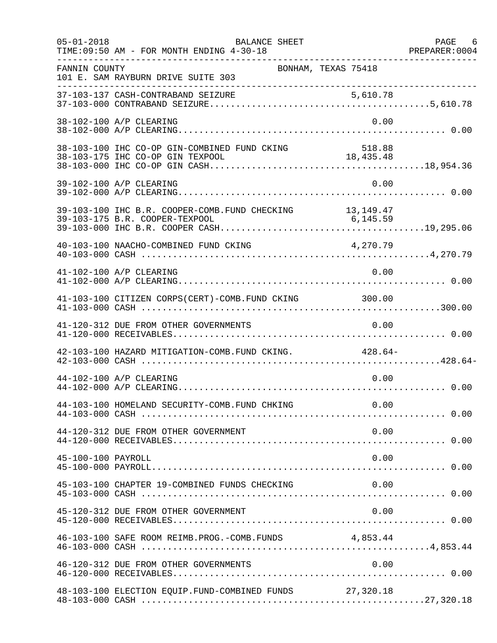| $05 - 01 - 2018$   | <b>BALANCE SHEET</b><br>TIME: 09:50 AM - FOR MONTH ENDING 4-30-18                           |                     | PAGE 6 |
|--------------------|---------------------------------------------------------------------------------------------|---------------------|--------|
| FANNIN COUNTY      | 101 E. SAM RAYBURN DRIVE SUITE 303                                                          | BONHAM, TEXAS 75418 |        |
|                    |                                                                                             |                     |        |
|                    | 38-102-100 A/P CLEARING                                                                     | 0.00                |        |
|                    | 38-103-100 IHC CO-OP GIN-COMBINED FUND CKING                                                | 518.88              |        |
|                    | 39-102-100 A/P CLEARING                                                                     | 0.00                |        |
|                    | 39-103-100 IHC B.R. COOPER-COMB. FUND CHECKING 13, 149.47<br>39-103-175 B.R. COOPER-TEXPOOL | 6, 145.59           |        |
|                    | 40-103-100 NAACHO-COMBINED FUND CKING                                                       | 4,270.79            |        |
|                    | 41-102-100 A/P CLEARING                                                                     | 0.00                |        |
|                    | 41-103-100 CITIZEN CORPS(CERT)-COMB. FUND CKING 300.00                                      |                     |        |
|                    | 41-120-312 DUE FROM OTHER GOVERNMENTS                                                       | 0.00                |        |
|                    | 42-103-100 HAZARD MITIGATION-COMB. FUND CKING. 428.64-                                      |                     |        |
|                    | 44-102-100 A/P CLEARING                                                                     | 0.00                |        |
|                    | 44-103-100 HOMELAND SECURITY-COMB.FUND CHKING 0.00                                          |                     |        |
|                    | 44-120-312 DUE FROM OTHER GOVERNMENT                                                        | 0.00                |        |
| 45-100-100 PAYROLL |                                                                                             | 0.00                |        |
|                    | 45-103-100 CHAPTER 19-COMBINED FUNDS CHECKING                                               | 0.00                |        |
|                    | 45-120-312 DUE FROM OTHER GOVERNMENT                                                        | 0.00                |        |
|                    | 46-103-100 SAFE ROOM REIMB. PROG. - COMB. FUNDS 4,853.44                                    |                     |        |
|                    | 46-120-312 DUE FROM OTHER GOVERNMENTS                                                       | 0.00                |        |
|                    | 48-103-100 ELECTION EQUIP.FUND-COMBINED FUNDS 27,320.18                                     |                     |        |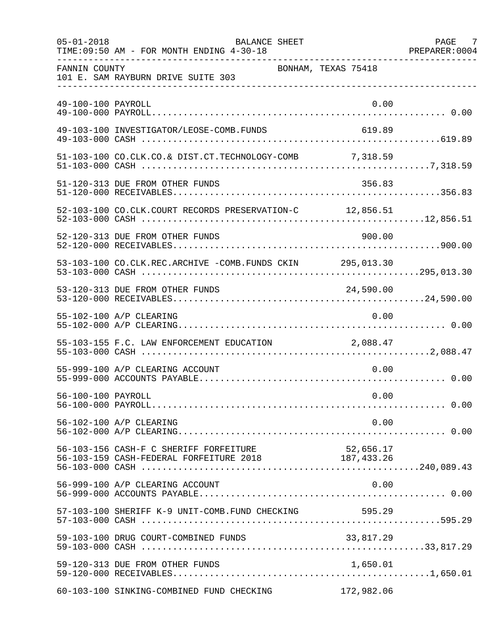| $05 - 01 - 2018$   | <b>BALANCE SHEET</b><br>TIME: 09:50 AM - FOR MONTH ENDING 4-30-18                         |                     | PAGE 7<br>PREPARER: 0004 |
|--------------------|-------------------------------------------------------------------------------------------|---------------------|--------------------------|
| FANNIN COUNTY      | 101 E. SAM RAYBURN DRIVE SUITE 303                                                        | BONHAM, TEXAS 75418 |                          |
| 49-100-100 PAYROLL |                                                                                           | 0.00                |                          |
|                    | 49-103-100 INVESTIGATOR/LEOSE-COMB.FUNDS                                                  | 619.89              |                          |
|                    | 51-103-100 CO.CLK.CO.& DIST.CT.TECHNOLOGY-COMB 7,318.59                                   |                     |                          |
|                    | 51-120-313 DUE FROM OTHER FUNDS                                                           | 356.83              |                          |
|                    | 52-103-100 CO.CLK.COURT RECORDS PRESERVATION-C 12,856.51                                  |                     |                          |
|                    | 52-120-313 DUE FROM OTHER FUNDS                                                           | 900.00              |                          |
|                    | 53-103-100 CO.CLK.REC.ARCHIVE -COMB.FUNDS CKIN 295,013.30                                 |                     |                          |
|                    | 53-120-313 DUE FROM OTHER FUNDS                                                           | 24,590.00           |                          |
|                    | 55-102-100 A/P CLEARING                                                                   | 0.00                |                          |
|                    | 55-103-155 F.C. LAW ENFORCEMENT EDUCATION 2,088.47                                        |                     |                          |
|                    | 55-999-100 A/P CLEARING ACCOUNT                                                           | 0.00                |                          |
| 56-100-100 PAYROLL |                                                                                           | 0.00                |                          |
|                    | 56-102-100 A/P CLEARING                                                                   | 0.00                |                          |
|                    | 56-103-156 CASH-F C SHERIFF FORFEITURE 56-103-159 CASH-FEDERAL FORFEITURE 2018 187,433.26 |                     |                          |
|                    | 56-999-100 A/P CLEARING ACCOUNT                                                           | 0.00                |                          |
|                    | 57-103-100 SHERIFF K-9 UNIT-COMB.FUND CHECKING                                            | 595.29              |                          |
|                    | 59-103-100 DRUG COURT-COMBINED FUNDS                                                      |                     |                          |
|                    | 59-120-313 DUE FROM OTHER FUNDS                                                           | 1,650.01            |                          |
|                    | 60-103-100 SINKING-COMBINED FUND CHECKING                                                 | 172,982.06          |                          |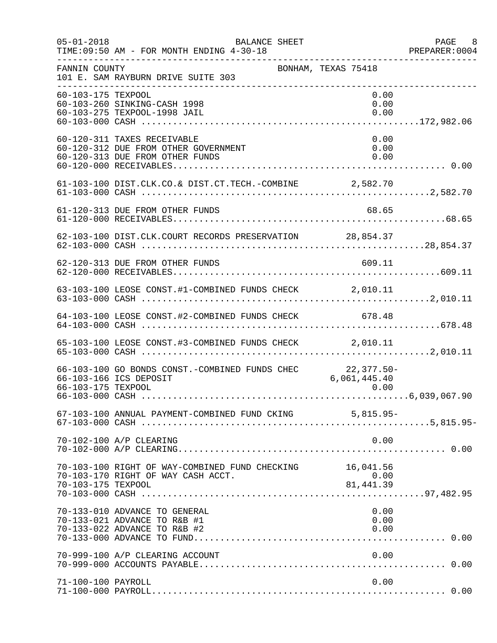| $05 - 01 - 2018$   | BALANCE SHEET<br>TIME: 09:50 AM - FOR MONTH ENDING 4-30-18                                             |                                | PAGE 8<br>PREPARER: 0004 |
|--------------------|--------------------------------------------------------------------------------------------------------|--------------------------------|--------------------------|
| FANNIN COUNTY      | 101 E. SAM RAYBURN DRIVE SUITE 303                                                                     | BONHAM, TEXAS 75418            |                          |
| 60-103-175 TEXPOOL | 60-103-260 SINKING-CASH 1998<br>60-103-275 TEXPOOL-1998 JAIL                                           | 0.00<br>0.00<br>0.00           |                          |
|                    | 60-120-311 TAXES RECEIVABLE<br>60-120-312 DUE FROM OTHER GOVERNMENT<br>60-120-313 DUE FROM OTHER FUNDS | 0.00<br>0.00<br>0.00           |                          |
|                    | 61-103-100 DIST.CLK.CO.& DIST.CT.TECH.-COMBINE 2,582.70                                                |                                |                          |
|                    | 61-120-313 DUE FROM OTHER FUNDS                                                                        | 68.65                          |                          |
|                    | 62-103-100 DIST.CLK.COURT RECORDS PRESERVATION 28,854.37                                               |                                |                          |
|                    | 62-120-313 DUE FROM OTHER FUNDS                                                                        | 609.11                         |                          |
|                    | 63-103-100 LEOSE CONST.#1-COMBINED FUNDS CHECK 2,010.11                                                |                                |                          |
|                    | 64-103-100 LEOSE CONST.#2-COMBINED FUNDS CHECK 678.48                                                  |                                |                          |
|                    | 65-103-100 LEOSE CONST.#3-COMBINED FUNDS CHECK 2,010.11                                                |                                |                          |
| 66-103-175 TEXPOOL | 66-103-100 GO BONDS CONST.-COMBINED FUNDS CHEC 22,377.50-<br>66-103-166 ICS DEPOSIT                    | 6,061,445.40<br>0.00           |                          |
|                    |                                                                                                        |                                |                          |
|                    | 70-102-100 A/P CLEARING                                                                                | 0.00                           |                          |
| 70-103-175 TEXPOOL | 70-103-100 RIGHT OF WAY-COMBINED FUND CHECKING<br>70-103-170 RIGHT OF WAY CASH ACCT.                   | 16,041.56<br>0.00<br>81,441.39 |                          |
|                    | 70-133-010 ADVANCE TO GENERAL<br>70-133-021 ADVANCE TO R&B #1<br>70-133-022 ADVANCE TO R&B #2          | 0.00<br>0.00<br>0.00           |                          |
|                    | 70-999-100 A/P CLEARING ACCOUNT                                                                        | 0.00                           |                          |
| 71-100-100 PAYROLL |                                                                                                        | 0.00                           |                          |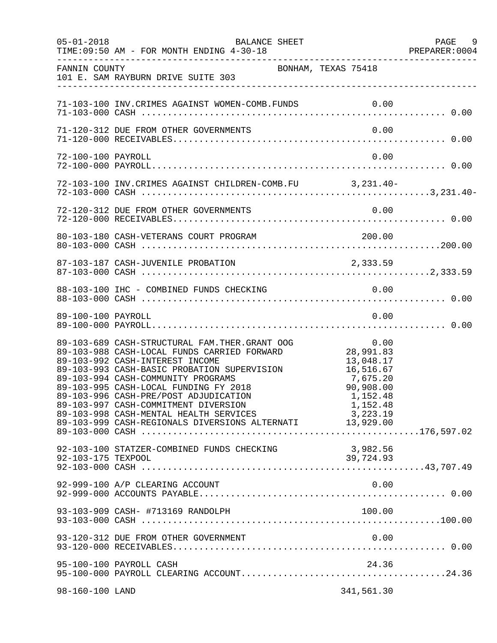| $05 - 01 - 2018$   | BALANCE SHEET<br>TIME: 09:50 AM - FOR MONTH ENDING 4-30-18                                                                                                                                                                                                                                                                                                                                                                                                                                                                              |                                                                        | PAGE 9<br>PREPARER: 0004 |
|--------------------|-----------------------------------------------------------------------------------------------------------------------------------------------------------------------------------------------------------------------------------------------------------------------------------------------------------------------------------------------------------------------------------------------------------------------------------------------------------------------------------------------------------------------------------------|------------------------------------------------------------------------|--------------------------|
| FANNIN COUNTY      | BONHAM, TEXAS 75418<br>101 E. SAM RAYBURN DRIVE SUITE 303                                                                                                                                                                                                                                                                                                                                                                                                                                                                               |                                                                        |                          |
|                    | 71-103-100 INV. CRIMES AGAINST WOMEN-COMB. FUNDS 0.00                                                                                                                                                                                                                                                                                                                                                                                                                                                                                   |                                                                        |                          |
|                    | 71-120-312 DUE FROM OTHER GOVERNMENTS                                                                                                                                                                                                                                                                                                                                                                                                                                                                                                   | 0.00                                                                   |                          |
| 72-100-100 PAYROLL |                                                                                                                                                                                                                                                                                                                                                                                                                                                                                                                                         | 0.00                                                                   |                          |
|                    | 72-103-100 INV. CRIMES AGAINST CHILDREN-COMB. FU 3, 231.40-                                                                                                                                                                                                                                                                                                                                                                                                                                                                             |                                                                        |                          |
|                    |                                                                                                                                                                                                                                                                                                                                                                                                                                                                                                                                         |                                                                        |                          |
|                    |                                                                                                                                                                                                                                                                                                                                                                                                                                                                                                                                         | 200.00                                                                 |                          |
|                    |                                                                                                                                                                                                                                                                                                                                                                                                                                                                                                                                         |                                                                        |                          |
|                    |                                                                                                                                                                                                                                                                                                                                                                                                                                                                                                                                         |                                                                        |                          |
| 89-100-100 PAYROLL |                                                                                                                                                                                                                                                                                                                                                                                                                                                                                                                                         | 0.00                                                                   |                          |
|                    | 0.00    0<br>89-103-689    CASH-STRUCTURAL FAM.THER.GRANT OOG    00<br>89-103-988    CASH-LOCAL FUNDS CARRIED FORWARD    28,991.83<br>89-103-992 CASH-INTEREST INCOME<br>89-103-992 CASH-INTEREST INCOME<br>89-103-993 CASH-BASIC PROBATION SUPERVISION 16,516.67<br>89-103-994 CASH-COMMUNITY PROGRAMS<br>89-103-995 CASH-LOCAL FUNDING FY 2018<br>89-103-996 CASH-PRE/POST ADJUDICATION<br>89-103-997 CASH-COMMITMENT DIVERSION<br>89-103-998 CASH-MENTAL HEALTH SERVICES<br>89-103-999 CASH-REGIONALS DIVERSIONS ALTERNATI 13,929.00 | 13,048.17<br>7,675.20<br>90,908.00<br>1,152.48<br>1,152.48<br>3,223.19 |                          |
| 92-103-175 TEXPOOL | 92-103-100 STATZER-COMBINED FUNDS CHECKING                                                                                                                                                                                                                                                                                                                                                                                                                                                                                              | 3,982.56<br>39,724.93                                                  |                          |
|                    | 92-999-100 A/P CLEARING ACCOUNT                                                                                                                                                                                                                                                                                                                                                                                                                                                                                                         | 0.00                                                                   |                          |
|                    | 93-103-909 CASH- #713169 RANDOLPH                                                                                                                                                                                                                                                                                                                                                                                                                                                                                                       | 100.00                                                                 |                          |
|                    | 93-120-312 DUE FROM OTHER GOVERNMENT                                                                                                                                                                                                                                                                                                                                                                                                                                                                                                    | 0.00                                                                   |                          |
|                    | 95-100-100 PAYROLL CASH                                                                                                                                                                                                                                                                                                                                                                                                                                                                                                                 | 24.36                                                                  |                          |
| 98-160-100 LAND    |                                                                                                                                                                                                                                                                                                                                                                                                                                                                                                                                         | 341,561.30                                                             |                          |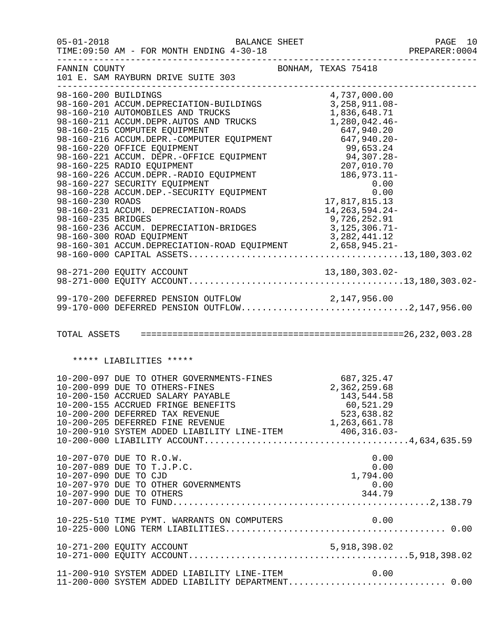| $05 - 01 - 2018$                           | TIME: 09:50 AM - FOR MONTH ENDING 4-30-18                                                                                                                                                                                                                                                                                                                                                                                                                                                                                                                                                                                                                                  | <b>BALANCE SHEET</b> |                                                                                                                       | PAGE 10<br>PREPARER: 0004 |
|--------------------------------------------|----------------------------------------------------------------------------------------------------------------------------------------------------------------------------------------------------------------------------------------------------------------------------------------------------------------------------------------------------------------------------------------------------------------------------------------------------------------------------------------------------------------------------------------------------------------------------------------------------------------------------------------------------------------------------|----------------------|-----------------------------------------------------------------------------------------------------------------------|---------------------------|
|                                            | FANNIN COUNTY<br>101 E. SAM RAYBURN DRIVE SUITE 303                                                                                                                                                                                                                                                                                                                                                                                                                                                                                                                                                                                                                        |                      | BONHAM, TEXAS 75418                                                                                                   |                           |
| 98-160-200 BUILDINGS<br>98-160-235 BRIDGES | 98-160-201 ACCUM.DEPRECIATION-BUILDINGS<br>98-160-210 AUTOMOBILES AND TRUCKS<br>98-160-211 ACCUM.DEPR.AUTOS AND TRUCKS 1,280,042.46-<br>20-100-215 COMPUTER EQUIPMENT<br>98-160-216 ACCUM.DEPR.-COMPUTER EQUIPMENT<br>98-160-220 OFFICE EQUIPMENT<br>99,653.24<br>98-160-221 ACCUM.DEPR.-OFFICE EQUIPMENT<br>99,653.24<br>98-160-225 RADIO EQUIPMENT<br>98-160-226 ACCUM.DEPR.-RADIO<br>98-160-227 SECURITY EQUIPMENT<br>98-160-228 ACCUM.DEP.-SECURITY EQUIPMENT 0.00<br>98-160-230 ROADS 17,817,815.13<br>98-160-231 ACCUM. DEPRECIATION-ROADS<br>98-100-233 BRIDGED<br>98-160-236 ACCUM. DEPRECIATION-BRIDGES<br>99-160-300 ROAD EOUIDMENT<br>98-160-300 ROAD EQUIPMENT |                      | 4,737,000.00<br>3, 258, 911.08-<br>1,836,648.71<br>14,263,594.24-<br>9,726,252.91<br>3,125,306.71-<br>3, 282, 441. 12 |                           |
|                                            |                                                                                                                                                                                                                                                                                                                                                                                                                                                                                                                                                                                                                                                                            |                      |                                                                                                                       |                           |
|                                            | 99-170-200 DEFERRED PENSION OUTFLOW 2,147,956.00<br>99-170-000 DEFERRED PENSION OUTFLOW2,147,956.00                                                                                                                                                                                                                                                                                                                                                                                                                                                                                                                                                                        |                      |                                                                                                                       |                           |
|                                            |                                                                                                                                                                                                                                                                                                                                                                                                                                                                                                                                                                                                                                                                            |                      |                                                                                                                       |                           |
|                                            | ***** LIABILITIES *****                                                                                                                                                                                                                                                                                                                                                                                                                                                                                                                                                                                                                                                    |                      |                                                                                                                       |                           |
|                                            | 10-200-097 DUE TO OTHER GOVERNMENTS-FINES 687,325.47<br>10-200-099 DUE TO OTHERS-FINES 2,362,259.68<br>10-200-150 ACCRUED SALARY PAYABLE 143,544.58<br>10-200-155 ACCRUED FRINGE BENEFITS<br>10-200-200 DEFERRED TAX REVENUE<br>10-200-205 DEFERRED FINE REVENUE                                                                                                                                                                                                                                                                                                                                                                                                           |                      | 60,521.29<br>523,638.82<br>1,263,661.78                                                                               |                           |
| 10-207-090 DUE TO CJD                      | 10-207-070 DUE TO R.O.W.<br>10-207-089 DUE TO T.J.P.C.<br>10-207-970 DUE TO OTHER GOVERNMENTS<br>10-207-990 DUE TO OTHERS                                                                                                                                                                                                                                                                                                                                                                                                                                                                                                                                                  |                      | 0.00<br>0.00<br>1,794.00<br>0.00<br>344.79                                                                            |                           |
|                                            | 10-225-510 TIME PYMT. WARRANTS ON COMPUTERS                                                                                                                                                                                                                                                                                                                                                                                                                                                                                                                                                                                                                                |                      | 0.00                                                                                                                  |                           |
|                                            |                                                                                                                                                                                                                                                                                                                                                                                                                                                                                                                                                                                                                                                                            |                      |                                                                                                                       |                           |
|                                            | 11-200-910 SYSTEM ADDED LIABILITY LINE-ITEM<br>11-200-000 SYSTEM ADDED LIABILITY DEPARTMENT 0.00                                                                                                                                                                                                                                                                                                                                                                                                                                                                                                                                                                           |                      | 0.00                                                                                                                  |                           |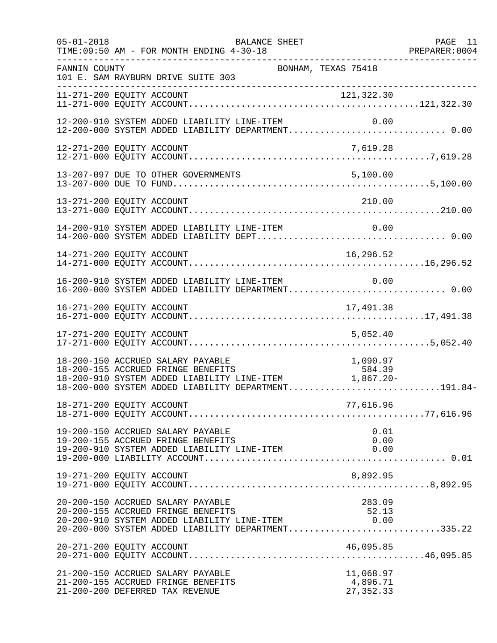| $05 - 01 - 2018$ | BALANCE SHEET<br>TIME: 09:50 AM - FOR MONTH ENDING 4-30-18<br>-----------------------------------                                                                                                                                            | PREPARER: 0004                      | PAGE 11 |
|------------------|----------------------------------------------------------------------------------------------------------------------------------------------------------------------------------------------------------------------------------------------|-------------------------------------|---------|
| FANNIN COUNTY    | BONHAM, TEXAS 75418<br>101 E. SAM RAYBURN DRIVE SUITE 303<br>________________________                                                                                                                                                        |                                     |         |
|                  |                                                                                                                                                                                                                                              |                                     |         |
|                  | 12-200-910 SYSTEM ADDED LIABILITY LINE-ITEM<br>12-200-910 SYSTEM ADDED LIABILITY LINE-ITEM 0.00<br>12-200-000 SYSTEM ADDED LIABILITY DEPARTMENT 0.00                                                                                         | 0.00                                |         |
|                  |                                                                                                                                                                                                                                              |                                     |         |
|                  | 13-207-097 DUE TO OTHER GOVERNMENTS                                                                                                                                                                                                          | 5,100.00                            |         |
|                  | 13-271-200 EQUITY ACCOUNT                                                                                                                                                                                                                    | 210.00                              |         |
|                  | 14-200-910 SYSTEM ADDED LIABILITY LINE-ITEM                                                                                                                                                                                                  |                                     |         |
|                  | 14-271-200 EQUITY ACCOUNT                                                                                                                                                                                                                    | 16,296.52                           |         |
|                  | 16-200-910 SYSTEM ADDED LIABILITY LINE-ITEM<br>16-200-000 SYSTEM ADDED LIABILITY DEPARTMENT 0.00                                                                                                                                             | 0.00                                |         |
|                  |                                                                                                                                                                                                                                              |                                     |         |
|                  | 17-271-200 EQUITY ACCOUNT<br>5,052.40                                                                                                                                                                                                        |                                     |         |
|                  | 18-200-150 ACCRUED SALARY PAYABLE<br>1,090.97 18-200-150 ACCRUED SALARY PAYABLE<br>18-200-155 ACCRUED FRINGE BENEFITS 584.39<br>18-200-910 SYSTEM ADDED LIABILITY LINE-ITEM 1,867.20-<br>18-200-000 SYSTEM ADDED LIABILITY DEPARTMENT191.84- | 1,090.97                            |         |
|                  | 18-271-200 EQUITY ACCOUNT                                                                                                                                                                                                                    | 77,616.96                           |         |
|                  | 19-200-150 ACCRUED SALARY PAYABLE<br>19-200-155 ACCRUED FRINGE BENEFITS<br>19-200-133 ACCROSS FRIRES SERIETY LINE-ITEM<br>19-200-910 SYSTEM ADDED LIABILITY LINE-ITEM                                                                        | 0.01<br>0.00<br>0.00                |         |
|                  | 19-271-200 EQUITY ACCOUNT                                                                                                                                                                                                                    | 8,892.95                            |         |
|                  | 20-200-150 ACCRUED SALARY PAYABLE<br>20-200-155 ACCRUED FRINGE BENEFITS<br>20-200-155 ACCROED FRINGE BENEFITS<br>20-200-910 SYSTEM ADDED LIABILITY LINE-ITEM 6.00<br>20-200-000 SYSTEM ADDED LIABILITY DEPARTMENT335.22                      | 283.09<br>52.13                     |         |
|                  | 20-271-200 EQUITY ACCOUNT                                                                                                                                                                                                                    | 46,095.85                           |         |
|                  | 21-200-150 ACCRUED SALARY PAYABLE<br>21-200-155 ACCRUED FRINGE BENEFITS<br>21-200-200 DEFERRED TAX REVENUE                                                                                                                                   | 11,068.97<br>4,896.71<br>27, 352.33 |         |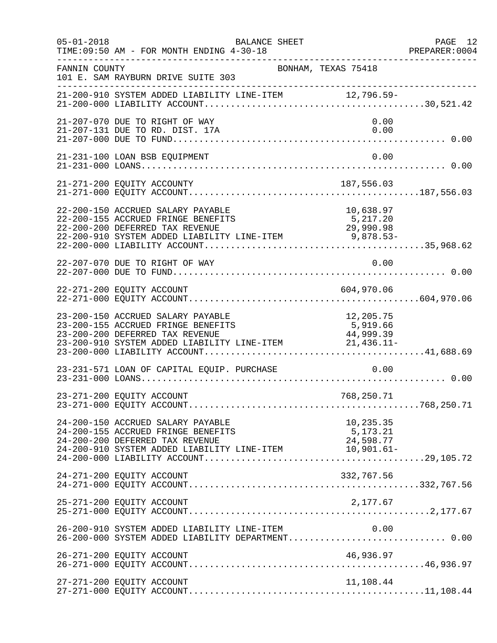| $05 - 01 - 2018$ | BALANCE SHEET<br>TIME: 09:50 AM - FOR MONTH ENDING 4-30-18                                                                                                                                             |                                    | PAGE 12<br>PREPARER:0004 |
|------------------|--------------------------------------------------------------------------------------------------------------------------------------------------------------------------------------------------------|------------------------------------|--------------------------|
| FANNIN COUNTY    | BONHAM, TEXAS 75418<br>101 E. SAM RAYBURN DRIVE SUITE 303                                                                                                                                              |                                    |                          |
|                  | 21-200-910 SYSTEM ADDED LIABILITY LINE-ITEM 12,796.59-                                                                                                                                                 |                                    |                          |
|                  | 21-207-070 DUE TO RIGHT OF WAY<br>21-207-131 DUE TO RD. DIST. 17A                                                                                                                                      | 0.00<br>0.00                       |                          |
|                  | 21-231-100 LOAN BSB EQUIPMENT                                                                                                                                                                          | 0.00                               |                          |
|                  | 21-271-200 EQUITY ACCOUNTY                                                                                                                                                                             | 187,556.03                         |                          |
|                  | 22-200-150 ACCRUED SALARY PAYABLE<br>22-200-155 ACCRUED FRINGE BENEFITS<br>22-200-200 DEFERRED TAX REVENUE<br>22-200-200 DEFERRED TAX REVENUE<br>22-200-910 SYSTEM ADDED LIABILITY LINE-ITEM 9,878.53- | 10,638.97<br>5,217.20<br>29,990.98 |                          |
|                  | 22-207-070 DUE TO RIGHT OF WAY                                                                                                                                                                         | 0.00                               |                          |
|                  | 22-271-200 EQUITY ACCOUNT                                                                                                                                                                              | 604,970.06                         |                          |
|                  | 23-200-150 ACCRUED SALARY PAYABLE<br>23-200-155 ACCRUED FRINGE BENEFITS<br>23-200-200 DEFERRED TAX REVENUE<br>23-200-910 SYSTEM ADDED LIABILITY LINE-ITEM 21,436.11-                                   | 12,205.75<br>5,919.66<br>44,999.39 |                          |
|                  | 23-231-571 LOAN OF CAPITAL EQUIP. PURCHASE                                                                                                                                                             | 0.00                               |                          |
|                  | 23-271-200 EQUITY ACCOUNT                                                                                                                                                                              | 768,250.71                         |                          |
|                  | 24-200-150 ACCRUED SALARY PAYABLE<br>24-200-155 ACCRUED FRINGE BENEFITS<br>24-200-200 DEFERRED TAX REVENUE<br>24-200-200 DELENGED THE REVENUE LINE-ITEM 10,901.61-                                     | 10,235.35<br>5,173.21<br>24,598.77 |                          |
|                  | 24-271-200 EQUITY ACCOUNT                                                                                                                                                                              | 332,767.56                         |                          |
|                  | 25-271-200 EQUITY ACCOUNT                                                                                                                                                                              | 2,177.67                           |                          |
|                  | 26-200-910 SYSTEM ADDED LIABILITY LINE-ITEM $0.00$<br>26-200-000 SYSTEM ADDED LIABILITY DEPARTMENT0.00                                                                                                 |                                    |                          |
|                  | 26-271-200 EQUITY ACCOUNT                                                                                                                                                                              | 46,936.97                          |                          |
|                  | 27-271-200 EQUITY ACCOUNT                                                                                                                                                                              | 11,108.44                          |                          |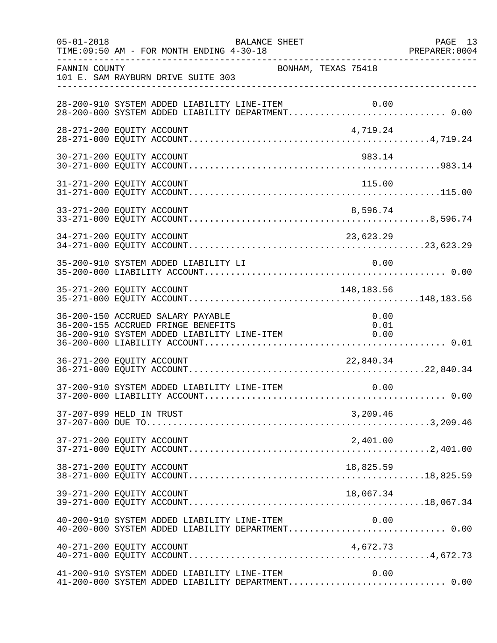| $05 - 01 - 2018$ | BALANCE SHEET<br>TIME: 09:50 AM - FOR MONTH ENDING 4-30-18                                                                                                                                    | PAGE 13<br>PREPARER: 0004 |
|------------------|-----------------------------------------------------------------------------------------------------------------------------------------------------------------------------------------------|---------------------------|
| FANNIN COUNTY    | BONHAM, TEXAS 75418<br>101 E. SAM RAYBURN DRIVE SUITE 303                                                                                                                                     |                           |
|                  | 28-200-910 SYSTEM ADDED LIABILITY LINE-ITEM 0.00<br>28-200-000 SYSTEM ADDED LIABILITY DEPARTMENT 0.00                                                                                         |                           |
|                  | 28-271-200 EQUITY ACCOUNT<br>4,719.24                                                                                                                                                         |                           |
|                  | 30-271-200 EQUITY ACCOUNT<br>983.14                                                                                                                                                           |                           |
|                  | 115.00<br>31-271-200 EQUITY ACCOUNT                                                                                                                                                           |                           |
|                  | 33-271-200 EQUITY ACCOUNT<br>8,596.74                                                                                                                                                         |                           |
|                  |                                                                                                                                                                                               |                           |
|                  | 35-200-910 SYSTEM ADDED LIABILITY LI<br>0.00                                                                                                                                                  |                           |
|                  | 148,183.56<br>35-271-200 EQUITY ACCOUNT                                                                                                                                                       |                           |
|                  | 36-200-150 ACCRUED SALARY PAYABLE<br>0.00<br>36-200-155 ACCRUED FRINGE BENEFITS<br>0.01<br>36-200-910 SYSTEM ADDED LIABILITY LINE-ITEM<br>36-200-910 SYSTEM ADDED LIABILITY LINE-ITEM<br>0.00 |                           |
|                  | 36-271-200 EQUITY ACCOUNT<br>22,840.34                                                                                                                                                        |                           |
|                  | 0.00<br>37-200-910 SYSTEM ADDED LIABILITY LINE-ITEM                                                                                                                                           |                           |
|                  | 37-207-099 HELD IN TRUST<br>3,209.46                                                                                                                                                          |                           |
|                  | 37-271-200 EQUITY ACCOUNT<br>2,401.00                                                                                                                                                         |                           |
|                  | 38-271-200 EQUITY ACCOUNT<br>18,825.59                                                                                                                                                        |                           |
|                  | 39-271-200 EQUITY ACCOUNT<br>18,067.34                                                                                                                                                        |                           |
|                  | 40-200-910 SYSTEM ADDED LIABILITY LINE-ITEM<br>0.00<br>40-200-000 SYSTEM ADDED LIABILITY DEPARTMENT 0.00                                                                                      |                           |
|                  | 40-271-200 EQUITY ACCOUNT<br>4,672.73                                                                                                                                                         |                           |
|                  | 41-200-910 SYSTEM ADDED LIABILITY LINE-ITEM<br>0.00<br>41-200-000 SYSTEM ADDED LIABILITY DEPARTMENT 0.00                                                                                      |                           |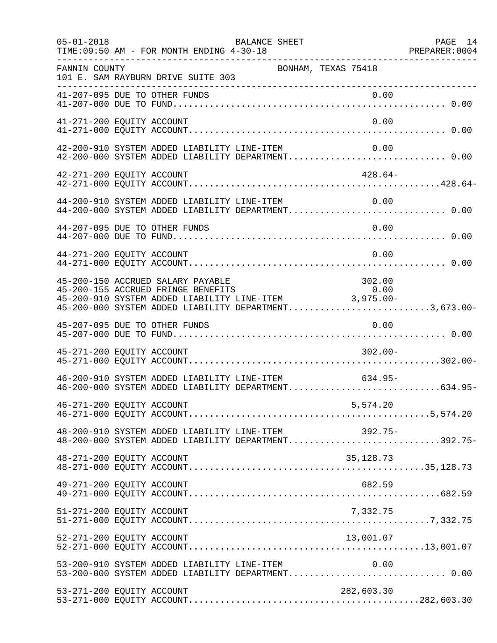| $05 - 01 - 2018$                                    | BALANCE SHEET<br>TIME: 09:50 AM - FOR MONTH ENDING 4-30-18                                                                                                                                                                          |                     | PAGE 14 |
|-----------------------------------------------------|-------------------------------------------------------------------------------------------------------------------------------------------------------------------------------------------------------------------------------------|---------------------|---------|
| FANNIN COUNTY<br>__________________________________ | 101 E. SAM RAYBURN DRIVE SUITE 303                                                                                                                                                                                                  | BONHAM, TEXAS 75418 |         |
| 41-207-095 DUE TO OTHER FUNDS                       |                                                                                                                                                                                                                                     |                     |         |
| 41-271-200 EQUITY ACCOUNT                           |                                                                                                                                                                                                                                     | 0.00                |         |
|                                                     | 42-200-910 SYSTEM ADDED LIABILITY LINE-ITEM<br>42-200-000 SYSTEM ADDED LIABILITY DEPARTMENT 0.00                                                                                                                                    | 0.00                |         |
| 42-271-200 EQUITY ACCOUNT                           |                                                                                                                                                                                                                                     | $428.64-$           |         |
|                                                     | 44-200-910 SYSTEM ADDED LIABILITY LINE-ITEM 0.00<br>44-200-000 SYSTEM ADDED LIABILITY DEPARTMENT 0.00                                                                                                                               |                     |         |
| 44-207-095 DUE TO OTHER FUNDS                       |                                                                                                                                                                                                                                     | 0.00                |         |
| 44-271-200 EQUITY ACCOUNT                           |                                                                                                                                                                                                                                     | 0.00                |         |
|                                                     | 45-200-150 ACCRUED SALARY PAYABLE<br>45-200 150 ACCRUBE BALANT THIRDER<br>45-200-155 ACCRUED FRINGE BENEFITS 0.00<br>45-200-910 SYSTEM ADDED LIABILITY LINE-ITEM 3,975.00-<br>45-200-000 SYSTEM ADDED LIABILITY DEPARTMENT3,673.00- | 302.00              |         |
| 45-207-095 DUE TO OTHER FUNDS                       |                                                                                                                                                                                                                                     | 0.00                |         |
| 45-271-200 EQUITY ACCOUNT                           |                                                                                                                                                                                                                                     | $302.00 -$          |         |
|                                                     | 46-200-910 SYSTEM ADDED LIABILITY LINE-ITEM<br>46-200-000 SYSTEM ADDED LIABILITY DEPARTMENT634.95-                                                                                                                                  | 634.95-             |         |
| 46-271-200 EQUITY ACCOUNT                           |                                                                                                                                                                                                                                     | 5,574.20            |         |
|                                                     | 48-200-910 SYSTEM ADDED LIABILITY LINE-ITEM 392.75-<br>48-200-000 SYSTEM ADDED LIABILITY DEPARTMENT392.75-                                                                                                                          |                     |         |
| 48-271-200 EQUITY ACCOUNT                           |                                                                                                                                                                                                                                     | 35, 128. 73         |         |
| 49-271-200 EQUITY ACCOUNT                           |                                                                                                                                                                                                                                     | 682.59              |         |
| 51-271-200 EQUITY ACCOUNT                           |                                                                                                                                                                                                                                     | 7,332.75            |         |
| 52-271-200 EQUITY ACCOUNT                           |                                                                                                                                                                                                                                     | 13,001.07           |         |
|                                                     | 53-200-910 SYSTEM ADDED LIABILITY LINE-ITEM<br>53-200-000 SYSTEM ADDED LIABILITY DEPARTMENT 0.00                                                                                                                                    | 0.00                |         |
| 53-271-200 EQUITY ACCOUNT                           |                                                                                                                                                                                                                                     | 282,603.30          |         |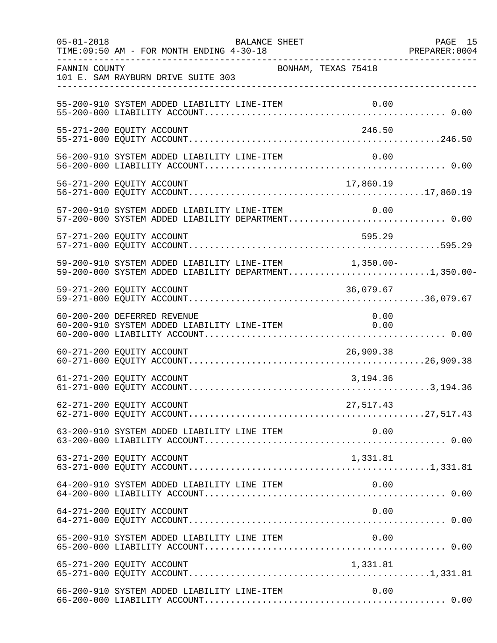| $05 - 01 - 2018$ | BALANCE SHEET<br>TIME: 09:50 AM - FOR MONTH ENDING 4-30-18                                                     |           | PAGE 15 |
|------------------|----------------------------------------------------------------------------------------------------------------|-----------|---------|
| FANNIN COUNTY    | BONHAM, TEXAS 75418<br>101 E. SAM RAYBURN DRIVE SUITE 303                                                      |           |         |
|                  | 55-200-910 SYSTEM ADDED LIABILITY LINE-ITEM                                                                    |           |         |
|                  | 55-271-200 EQUITY ACCOUNT                                                                                      | 246.50    |         |
|                  | 56-200-910 SYSTEM ADDED LIABILITY LINE-ITEM                                                                    | 0.00      |         |
|                  | 56-271-200 EQUITY ACCOUNT                                                                                      | 17,860.19 |         |
|                  | 57-200-910 SYSTEM ADDED LIABILITY LINE-ITEM<br>57-200-000 SYSTEM ADDED LIABILITY DEPARTMENT 0.00               | 0.00      |         |
|                  | 57-271-200 EQUITY ACCOUNT                                                                                      | 595.29    |         |
|                  | 59-200-910 SYSTEM ADDED LIABILITY LINE-ITEM 1,350.00-<br>59-200-000 SYSTEM ADDED LIABILITY DEPARTMENT1,350.00- |           |         |
|                  | 59-271-200 EQUITY ACCOUNT                                                                                      | 36,079.67 |         |
|                  | 60-200-200 DEFERRED REVENUE<br>60-200-910 SYSTEM ADDED LIABILITY LINE-ITEM 0.00                                | 0.00      |         |
|                  | 60-271-200 EQUITY ACCOUNT                                                                                      | 26,909.38 |         |
|                  | 61-271-200 EQUITY ACCOUNT                                                                                      | 3,194.36  |         |
|                  | 62-271-200 EQUITY ACCOUNT                                                                                      | 27,517.43 |         |
|                  |                                                                                                                |           |         |
|                  | 63-271-200 EQUITY ACCOUNT                                                                                      | 1,331.81  |         |
|                  | 64-200-910 SYSTEM ADDED LIABILITY LINE ITEM                                                                    | 0.00      |         |
|                  | 64-271-200 EQUITY ACCOUNT                                                                                      | 0.00      |         |
|                  | 65-200-910 SYSTEM ADDED LIABILITY LINE ITEM                                                                    |           |         |
|                  |                                                                                                                |           |         |
|                  | 66-200-910 SYSTEM ADDED LIABILITY LINE-ITEM                                                                    | 0.00      |         |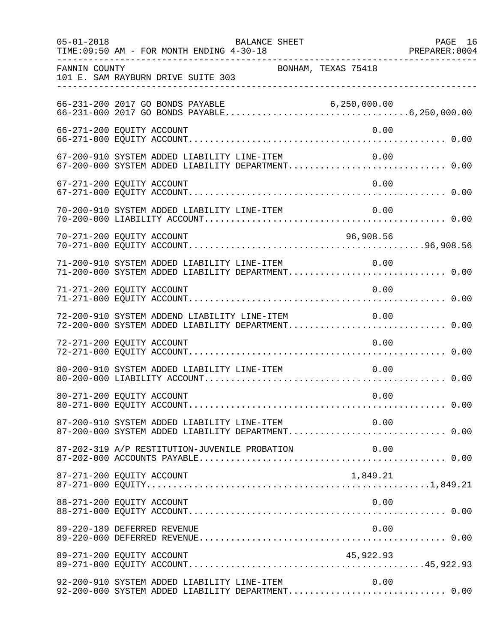| $05 - 01 - 2018$ | BALANCE SHEET<br>TIME: 09:50 AM - FOR MONTH ENDING 4-30-18                                                | PAGE 16<br>PREPARER: 0004 |
|------------------|-----------------------------------------------------------------------------------------------------------|---------------------------|
| FANNIN COUNTY    | BONHAM, TEXAS 75418<br>101 E. SAM RAYBURN DRIVE SUITE 303                                                 |                           |
|                  |                                                                                                           |                           |
|                  | 66-271-200 EQUITY ACCOUNT<br>0.00                                                                         |                           |
|                  | 67-200-910 SYSTEM ADDED LIABILITY LINE-ITEM<br>0.00<br>67-200-000 SYSTEM ADDED LIABILITY DEPARTMENT 0.00  |                           |
|                  | 0.00<br>67-271-200 EQUITY ACCOUNT                                                                         |                           |
|                  | 70-200-910 SYSTEM ADDED LIABILITY LINE-ITEM<br>0.00                                                       |                           |
|                  | 70-271-200 EQUITY ACCOUNT<br>96,908.56                                                                    |                           |
|                  | 0.00<br>71-200-910 SYSTEM ADDED LIABILITY LINE-ITEM<br>71-200-000 SYSTEM ADDED LIABILITY DEPARTMENT 0.00  |                           |
|                  | 0.00<br>71-271-200 EQUITY ACCOUNT                                                                         |                           |
|                  | 72-200-910 SYSTEM ADDEND LIABILITY LINE-ITEM<br>0.00<br>72-200-000 SYSTEM ADDED LIABILITY DEPARTMENT 0.00 |                           |
|                  | 72-271-200 EQUITY ACCOUNT<br>0.00                                                                         |                           |
|                  | 80-200-910 SYSTEM ADDED LIABILITY LINE-ITEM<br>0.00                                                       |                           |
|                  | 80-271-200 EQUITY ACCOUNT<br>0.00                                                                         |                           |
|                  | 87-200-910 SYSTEM ADDED LIABILITY LINE-ITEM 0.00<br>87-200-000 SYSTEM ADDED LIABILITY DEPARTMENT 0.00     |                           |
|                  | 87-202-319 A/P RESTITUTION-JUVENILE PROBATION<br>0.00                                                     |                           |
|                  | 87-271-200 EQUITY ACCOUNT<br>1,849.21                                                                     |                           |
|                  | 88-271-200 EQUITY ACCOUNT<br>0.00                                                                         |                           |
|                  | 89-220-189 DEFERRED REVENUE<br>0.00                                                                       |                           |
|                  | 89-271-200 EQUITY ACCOUNT<br>45,922.93                                                                    |                           |
|                  | 92-200-910 SYSTEM ADDED LIABILITY LINE-ITEM<br>0.00<br>92-200-000 SYSTEM ADDED LIABILITY DEPARTMENT 0.00  |                           |